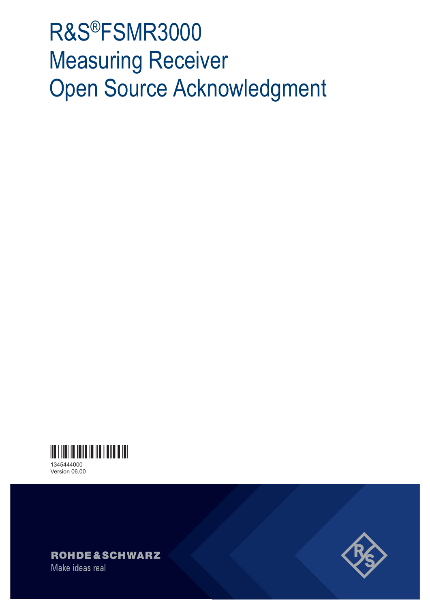# R&S®FSMR3000 Measuring Receiver Open Source Acknowledgment



Version 06.00





Make ideas real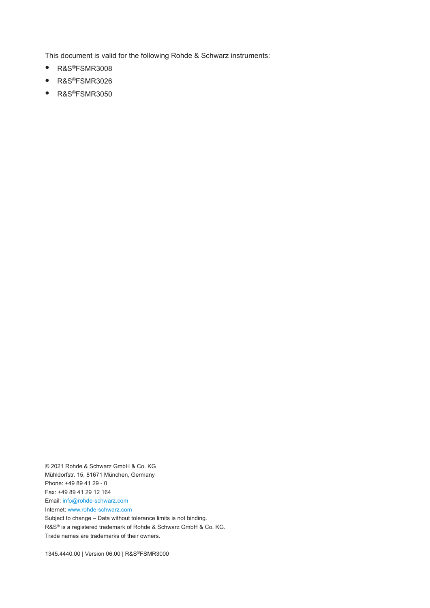This document is valid for the following Rohde & Schwarz instruments:

- R&S<sup>®</sup>FSMR3008
- R&S<sup>®</sup>FSMR3026
- R&S<sup>®</sup>FSMR3050

© 2021 Rohde & Schwarz GmbH & Co. KG Mühldorfstr. 15, 81671 München, Germany Phone: +49 89 41 29 - 0 Fax: +49 89 41 29 12 164 Email: [info@rohde-schwarz.com](mailto:info@rohde-schwarz.com) Internet: [www.rohde-schwarz.com](http://www.rohde-schwarz.com) Subject to change – Data without tolerance limits is not binding. R&S® is a registered trademark of Rohde & Schwarz GmbH & Co. KG.

Trade names are trademarks of their owners.

1345.4440.00 | Version 06.00 | R&S®FSMR3000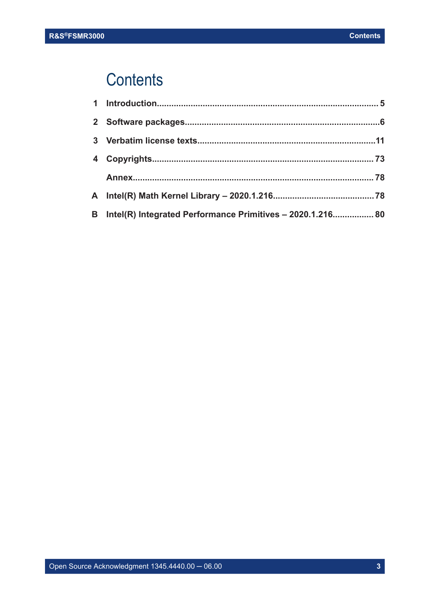## **Contents**

| B Intel(R) Integrated Performance Primitives - 2020.1.216 80 |  |
|--------------------------------------------------------------|--|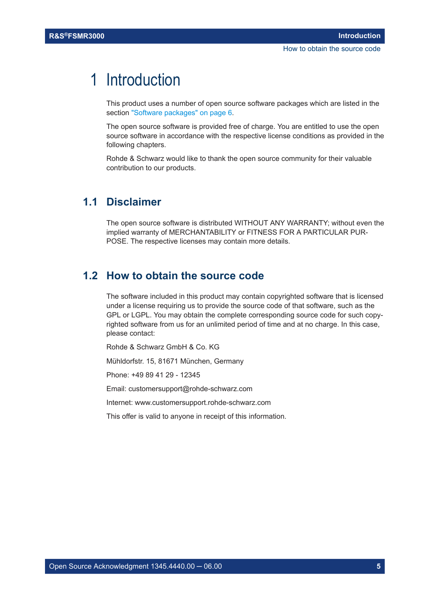## <span id="page-4-0"></span>1 Introduction

This product uses a number of open source software packages which are listed in the section ["Software packages" on page 6](#page-5-0).

The open source software is provided free of charge. You are entitled to use the open source software in accordance with the respective license conditions as provided in the following chapters.

Rohde & Schwarz would like to thank the open source community for their valuable contribution to our products.

## **1.1 Disclaimer**

The open source software is distributed WITHOUT ANY WARRANTY; without even the implied warranty of MERCHANTABILITY or FITNESS FOR A PARTICULAR PUR-POSE. The respective licenses may contain more details.

## **1.2 How to obtain the source code**

The software included in this product may contain copyrighted software that is licensed under a license requiring us to provide the source code of that software, such as the GPL or LGPL. You may obtain the complete corresponding source code for such copyrighted software from us for an unlimited period of time and at no charge. In this case, please contact:

Rohde & Schwarz GmbH & Co. KG

Mühldorfstr. 15, 81671 München, Germany

Phone: +49 89 41 29 - 12345

Email: customersupport@rohde-schwarz.com

Internet: www.customersupport.rohde-schwarz.com

This offer is valid to anyone in receipt of this information.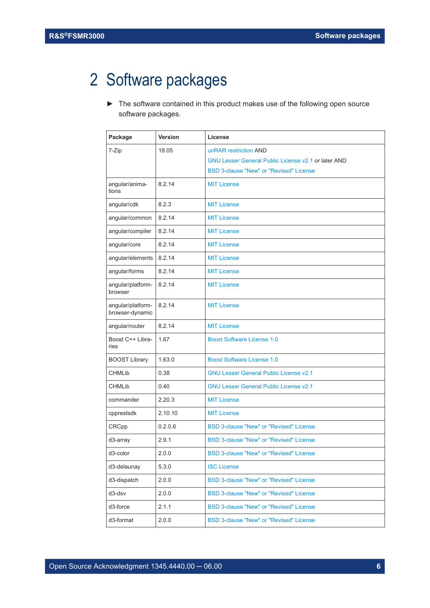## <span id="page-5-0"></span>2 Software packages

► The software contained in this product makes use of the following open source software packages.

| Package                              | <b>Version</b> | License                                                    |
|--------------------------------------|----------------|------------------------------------------------------------|
| 7-Zip                                | 18.05          | unRAR restriction AND                                      |
|                                      |                | <b>GNU Lesser General Public License v2.1 or later AND</b> |
|                                      |                | BSD 3-clause "New" or "Revised" License                    |
| angular/anima-<br>tions              | 8.2.14         | <b>MIT License</b>                                         |
| angular/cdk                          | 8.2.3          | <b>MIT License</b>                                         |
| angular/common                       | 8.2.14         | <b>MIT License</b>                                         |
| angular/compiler                     | 8.2.14         | <b>MIT License</b>                                         |
| angular/core                         | 8.2.14         | <b>MIT License</b>                                         |
| angular/elements                     | 8.2.14         | <b>MIT License</b>                                         |
| angular/forms                        | 8.2.14         | <b>MIT License</b>                                         |
| angular/platform-<br>browser         | 8.2.14         | <b>MIT License</b>                                         |
| angular/platform-<br>browser-dynamic | 8.2.14         | <b>MIT License</b>                                         |
| angular/router                       | 8.2.14         | <b>MIT License</b>                                         |
| Boost C++ Libra-<br>ries             | 1.67           | <b>Boost Software License 1.0</b>                          |
| <b>BOOST Library</b>                 | 1.63.0         | <b>Boost Software License 1.0</b>                          |
| <b>CHMLib</b>                        | 0.38           | <b>GNU Lesser General Public License v2.1</b>              |
| <b>CHMLib</b>                        | 0.40           | <b>GNU Lesser General Public License v2.1</b>              |
| commander                            | 2.20.3         | <b>MIT License</b>                                         |
| cpprestsdk                           | 2.10.10        | <b>MIT License</b>                                         |
| <b>CRCpp</b>                         | 0.2.0.6        | <b>BSD 3-clause "New" or "Revised" License</b>             |
| d3-array                             | 2.9.1          | <b>BSD 3-clause "New" or "Revised" License</b>             |
| d3-color                             | 2.0.0          | <b>BSD 3-clause "New" or "Revised" License</b>             |
| d3-delaunay                          | 5.3.0          | <b>ISC License</b>                                         |
| d3-dispatch                          | 2.0.0          | BSD 3-clause "New" or "Revised" License                    |
| d3-dsv                               | 2.0.0          | <b>BSD 3-clause "New" or "Revised" License</b>             |
| d3-force                             | 2.1.1          | BSD 3-clause "New" or "Revised" License                    |
| d3-format                            | 2.0.0          | <b>BSD 3-clause "New" or "Revised" License</b>             |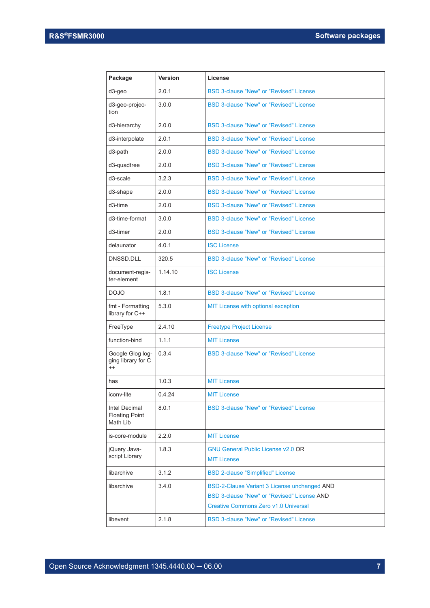| Package                                            | <b>Version</b> | License                                                                                                                                    |
|----------------------------------------------------|----------------|--------------------------------------------------------------------------------------------------------------------------------------------|
| d3-geo                                             | 201            | <b>BSD 3-clause "New" or "Revised" License</b>                                                                                             |
| d3-geo-projec-<br>tion                             | 3.0.0          | <b>BSD 3-clause "New" or "Revised" License</b>                                                                                             |
| d3-hierarchy                                       | 2.0.0          | <b>BSD 3-clause "New" or "Revised" License</b>                                                                                             |
| d3-interpolate                                     | 2.0.1          | <b>BSD 3-clause "New" or "Revised" License</b>                                                                                             |
| d3-path                                            | 2.0.0          | <b>BSD 3-clause "New" or "Revised" License</b>                                                                                             |
| d3-quadtree                                        | 2.0.0          | <b>BSD 3-clause "New" or "Revised" License</b>                                                                                             |
| d3-scale                                           | 3.2.3          | <b>BSD 3-clause "New" or "Revised" License</b>                                                                                             |
| d3-shape                                           | 2.0.0          | <b>BSD 3-clause "New" or "Revised" License</b>                                                                                             |
| d3-time                                            | 2.0.0          | <b>BSD 3-clause "New" or "Revised" License</b>                                                                                             |
| d3-time-format                                     | 3.0.0          | <b>BSD 3-clause "New" or "Revised" License</b>                                                                                             |
| d3-timer                                           | 2.0.0          | <b>BSD 3-clause "New" or "Revised" License</b>                                                                                             |
| delaunator                                         | 4.0.1          | <b>ISC License</b>                                                                                                                         |
| DNSSD.DLL                                          | 320.5          | <b>BSD 3-clause "New" or "Revised" License</b>                                                                                             |
| document-regis-<br>ter-element                     | 1.14.10        | <b>ISC License</b>                                                                                                                         |
| <b>DOJO</b>                                        | 1.8.1          | <b>BSD 3-clause "New" or "Revised" License</b>                                                                                             |
| fmt - Formatting<br>library for C++                | 5.3.0          | MIT License with optional exception                                                                                                        |
| FreeType                                           | 2.4.10         | <b>Freetype Project License</b>                                                                                                            |
| function-bind                                      | 1.1.1          | <b>MIT License</b>                                                                                                                         |
| Google Glog log-<br>ging library for C<br>$^{++}$  | 0.3.4          | <b>BSD 3-clause "New" or "Revised" License</b>                                                                                             |
| has                                                | 1.0.3          | <b>MIT License</b>                                                                                                                         |
| iconv-lite                                         | 0.4.24         | <b>MIT License</b>                                                                                                                         |
| Intel Decimal<br><b>Floating Point</b><br>Math Lib | 8.0.1          | BSD 3-clause "New" or "Revised" License                                                                                                    |
| is-core-module                                     | 2.2.0          | <b>MIT License</b>                                                                                                                         |
| jQuery Java-<br>script Library                     | 1.8.3          | <b>GNU General Public License v2.0 OR</b><br><b>MIT License</b>                                                                            |
| libarchive                                         | 3.1.2          | <b>BSD 2-clause "Simplified" License</b>                                                                                                   |
| libarchive                                         | 3.4.0          | BSD-2-Clause Variant 3 License unchanged AND<br>BSD 3-clause "New" or "Revised" License AND<br><b>Creative Commons Zero v1.0 Universal</b> |
| libevent                                           | 2.1.8          | <b>BSD 3-clause "New" or "Revised" License</b>                                                                                             |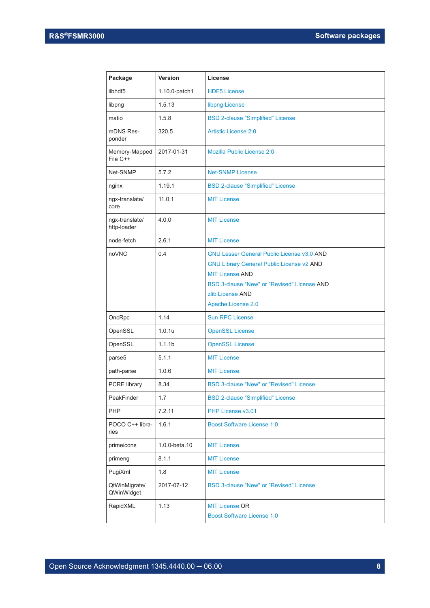| Package                       | <b>Version</b>     | License                                                                                                                                                                                                                         |
|-------------------------------|--------------------|---------------------------------------------------------------------------------------------------------------------------------------------------------------------------------------------------------------------------------|
| libhdf5                       | 1.10.0-patch1      | <b>HDF5 License</b>                                                                                                                                                                                                             |
| libpng                        | 1.5.13             | libpng License                                                                                                                                                                                                                  |
| matio                         | 1.5.8              | <b>BSD 2-clause "Simplified" License</b>                                                                                                                                                                                        |
| mDNS Res-<br>ponder           | 320.5              | <b>Artistic License 2.0</b>                                                                                                                                                                                                     |
| Memory-Mapped<br>File C++     | 2017-01-31         | <b>Mozilla Public License 2.0</b>                                                                                                                                                                                               |
| Net-SNMP                      | 5.7.2              | <b>Net-SNMP License</b>                                                                                                                                                                                                         |
| nginx                         | 1.19.1             | <b>BSD 2-clause "Simplified" License</b>                                                                                                                                                                                        |
| ngx-translate/<br>core        | 11.0.1             | <b>MIT License</b>                                                                                                                                                                                                              |
| ngx-translate/<br>http-loader | 4.0.0              | <b>MIT License</b>                                                                                                                                                                                                              |
| node-fetch                    | 2.6.1              | <b>MIT License</b>                                                                                                                                                                                                              |
| noVNC                         | 0.4                | <b>GNU Lesser General Public License v3.0 AND</b><br><b>GNU Library General Public License v2 AND</b><br><b>MIT License AND</b><br><b>BSD 3-clause "New" or "Revised" License AND</b><br>zlib License AND<br>Apache License 2.0 |
| OncRpc                        | 1.14               | <b>Sun RPC License</b>                                                                                                                                                                                                          |
| OpenSSL                       | 1.0.1u             | <b>OpenSSL License</b>                                                                                                                                                                                                          |
| OpenSSL                       | 1.1.1 <sub>b</sub> | <b>OpenSSL License</b>                                                                                                                                                                                                          |
| parse5                        | 5.1.1              | <b>MIT License</b>                                                                                                                                                                                                              |
| path-parse                    | 1.0.6              | <b>MIT License</b>                                                                                                                                                                                                              |
| PCRE library                  | 8.34               | <b>BSD 3-clause "New" or "Revised" License</b>                                                                                                                                                                                  |
| PeakFinder                    | 1.7                | <b>BSD 2-clause "Simplified" License</b>                                                                                                                                                                                        |
| <b>PHP</b>                    | 7.2.11             | PHP License v3.01                                                                                                                                                                                                               |
| POCO C++ libra-<br>ries       | 1.6.1              | <b>Boost Software License 1.0</b>                                                                                                                                                                                               |
| primeicons                    | 1.0.0-beta.10      | <b>MIT License</b>                                                                                                                                                                                                              |
| primeng                       | 8.1.1              | <b>MIT License</b>                                                                                                                                                                                                              |
| PugiXml                       | 1.8                | <b>MIT License</b>                                                                                                                                                                                                              |
| QtWinMigrate/<br>QWinWidget   | 2017-07-12         | <b>BSD 3-clause "New" or "Revised" License</b>                                                                                                                                                                                  |
| RapidXML                      | 1.13               | <b>MIT License OR</b><br><b>Boost Software License 1.0</b>                                                                                                                                                                      |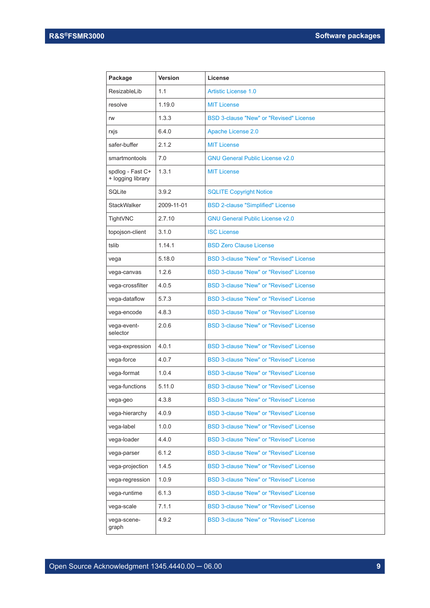| Package                               | <b>Version</b> | License                                        |
|---------------------------------------|----------------|------------------------------------------------|
| ResizableLib                          | 1.1            | <b>Artistic License 1.0</b>                    |
| resolve                               | 1.19.0         | <b>MIT License</b>                             |
| rw                                    | 1.3.3          | <b>BSD 3-clause "New" or "Revised" License</b> |
| rxjs                                  | 6.4.0          | Apache License 2.0                             |
| safer-buffer                          | 2.1.2          | <b>MIT License</b>                             |
| smartmontools                         | 7.0            | <b>GNU General Public License v2.0</b>         |
| spdlog - Fast C+<br>+ logging library | 131            | <b>MIT License</b>                             |
| <b>SQLite</b>                         | 3.9.2          | <b>SQLITE Copyright Notice</b>                 |
| <b>StackWalker</b>                    | 2009-11-01     | <b>BSD 2-clause "Simplified" License</b>       |
| TightVNC                              | 2710           | <b>GNU General Public License v2.0</b>         |
| topojson-client                       | 3.1.0          | <b>ISC License</b>                             |
| tslib                                 | 1.14.1         | <b>BSD Zero Clause License</b>                 |
| vega                                  | 5.18.0         | <b>BSD 3-clause "New" or "Revised" License</b> |
| vega-canvas                           | 1.2.6          | <b>BSD 3-clause "New" or "Revised" License</b> |
| vega-crossfilter                      | 4.0.5          | <b>BSD 3-clause "New" or "Revised" License</b> |
| vega-dataflow                         | 5.7.3          | <b>BSD 3-clause "New" or "Revised" License</b> |
| vega-encode                           | 4.8.3          | <b>BSD 3-clause "New" or "Revised" License</b> |
| vega-event-<br>selector               | 2.0.6          | <b>BSD 3-clause "New" or "Revised" License</b> |
| vega-expression                       | 4.0.1          | <b>BSD 3-clause "New" or "Revised" License</b> |
| vega-force                            | 4.0.7          | <b>BSD 3-clause "New" or "Revised" License</b> |
| vega-format                           | 1.0.4          | <b>BSD 3-clause "New" or "Revised" License</b> |
| vega-functions                        | 5.11.0         | <b>BSD 3-clause "New" or "Revised" License</b> |
| vega-geo                              | 4.3.8          | <b>BSD 3-clause "New" or "Revised" License</b> |
| vega-hierarchy                        | 4.0.9          | <b>BSD 3-clause "New" or "Revised" License</b> |
| vega-label                            | 1.0.0          | BSD 3-clause "New" or "Revised" License        |
| vega-loader                           | 4.4.0          | <b>BSD 3-clause "New" or "Revised" License</b> |
| vega-parser                           | 6.1.2          | <b>BSD 3-clause "New" or "Revised" License</b> |
| vega-projection                       | 1.4.5          | <b>BSD 3-clause "New" or "Revised" License</b> |
| vega-regression                       | 1.0.9          | <b>BSD 3-clause "New" or "Revised" License</b> |
| vega-runtime                          | 6.1.3          | <b>BSD 3-clause "New" or "Revised" License</b> |
| vega-scale                            | 7.1.1          | <b>BSD 3-clause "New" or "Revised" License</b> |
| vega-scene-<br>graph                  | 4.9.2          | <b>BSD 3-clause "New" or "Revised" License</b> |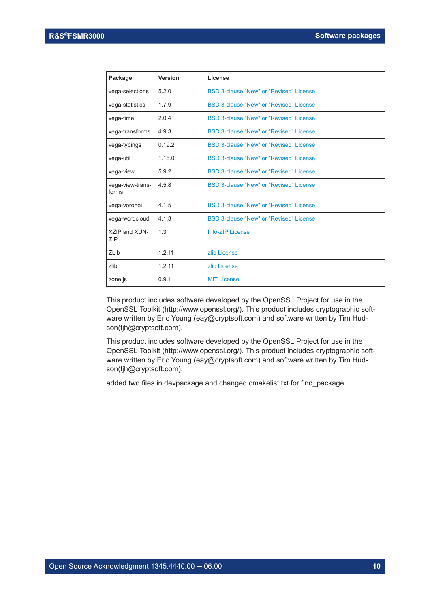| Package                     | <b>Version</b> | License                                        |
|-----------------------------|----------------|------------------------------------------------|
| vega-selections             | 5.2.0          | <b>BSD 3-clause "New" or "Revised" License</b> |
| vega-statistics             | 1.7.9          | <b>BSD 3-clause "New" or "Revised" License</b> |
| vega-time                   | 2.0.4          | <b>BSD 3-clause "New" or "Revised" License</b> |
| vega-transforms             | 4.9.3          | <b>BSD 3-clause "New" or "Revised" License</b> |
| vega-typings                | 0.19.2         | <b>BSD 3-clause "New" or "Revised" License</b> |
| vega-util                   | 1.16.0         | BSD 3-clause "New" or "Revised" License        |
| vega-view                   | 5.9.2          | <b>BSD 3-clause "New" or "Revised" License</b> |
| vega-view-trans-<br>forms   | 4.5.8          | <b>BSD 3-clause "New" or "Revised" License</b> |
| vega-voronoi                | 4.1.5          | BSD 3-clause "New" or "Revised" License        |
| vega-wordcloud              | 4.1.3          | <b>BSD 3-clause "New" or "Revised" License</b> |
| X7IP and XUN-<br><b>ZIP</b> | 1.3            | Info-ZIP License                               |
| ZLib                        | 1.2.11         | zlib License                                   |
| zlib                        | 1.2.11         | zlib License                                   |
| zone.js                     | 0.9.1          | <b>MIT License</b>                             |

This product includes software developed by the OpenSSL Project for use in the OpenSSL Toolkit (http://www.openssl.org/). This product includes cryptographic software written by Eric Young (eay@cryptsoft.com) and software written by Tim Hudson(tjh@cryptsoft.com).

This product includes software developed by the OpenSSL Project for use in the OpenSSL Toolkit (http://www.openssl.org/). This product includes cryptographic software written by Eric Young (eay@cryptsoft.com) and software written by Tim Hudson(tjh@cryptsoft.com).

added two files in devpackage and changed cmakelist.txt for find\_package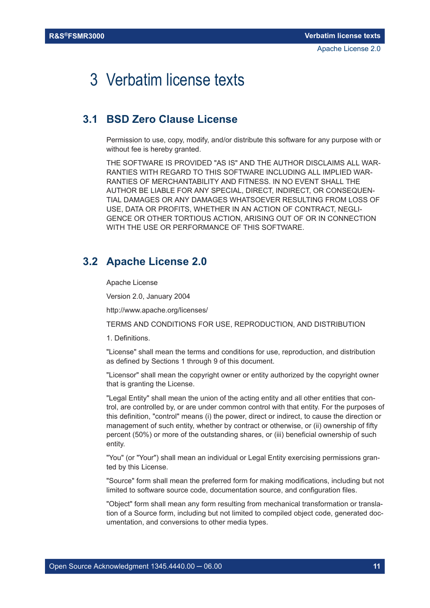## <span id="page-10-0"></span>3 Verbatim license texts

## **3.1 BSD Zero Clause License**

Permission to use, copy, modify, and/or distribute this software for any purpose with or without fee is hereby granted.

THE SOFTWARE IS PROVIDED "AS IS" AND THE AUTHOR DISCLAIMS ALL WAR-RANTIES WITH REGARD TO THIS SOFTWARE INCLUDING ALL IMPLIED WAR-RANTIES OF MERCHANTABILITY AND FITNESS. IN NO EVENT SHALL THE AUTHOR BE LIABLE FOR ANY SPECIAL, DIRECT, INDIRECT, OR CONSEQUEN-TIAL DAMAGES OR ANY DAMAGES WHATSOEVER RESULTING FROM LOSS OF USE, DATA OR PROFITS, WHETHER IN AN ACTION OF CONTRACT, NEGLI-GENCE OR OTHER TORTIOUS ACTION, ARISING OUT OF OR IN CONNECTION WITH THE USE OR PERFORMANCE OF THIS SOFTWARE.

## **3.2 Apache License 2.0**

Apache License

Version 2.0, January 2004

http://www.apache.org/licenses/

TERMS AND CONDITIONS FOR USE, REPRODUCTION, AND DISTRIBUTION

1. Definitions.

"License" shall mean the terms and conditions for use, reproduction, and distribution as defined by Sections 1 through 9 of this document.

"Licensor" shall mean the copyright owner or entity authorized by the copyright owner that is granting the License.

"Legal Entity" shall mean the union of the acting entity and all other entities that control, are controlled by, or are under common control with that entity. For the purposes of this definition, "control" means (i) the power, direct or indirect, to cause the direction or management of such entity, whether by contract or otherwise, or (ii) ownership of fifty percent (50%) or more of the outstanding shares, or (iii) beneficial ownership of such entity.

"You" (or "Your") shall mean an individual or Legal Entity exercising permissions granted by this License.

"Source" form shall mean the preferred form for making modifications, including but not limited to software source code, documentation source, and configuration files.

"Object" form shall mean any form resulting from mechanical transformation or translation of a Source form, including but not limited to compiled object code, generated documentation, and conversions to other media types.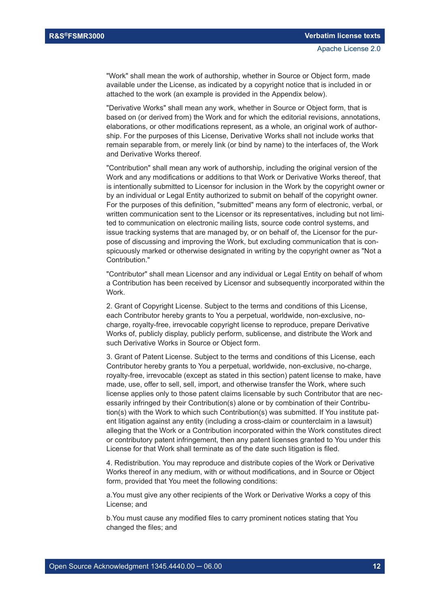"Work" shall mean the work of authorship, whether in Source or Object form, made available under the License, as indicated by a copyright notice that is included in or attached to the work (an example is provided in the Appendix below).

"Derivative Works" shall mean any work, whether in Source or Object form, that is based on (or derived from) the Work and for which the editorial revisions, annotations, elaborations, or other modifications represent, as a whole, an original work of authorship. For the purposes of this License, Derivative Works shall not include works that remain separable from, or merely link (or bind by name) to the interfaces of, the Work and Derivative Works thereof.

"Contribution" shall mean any work of authorship, including the original version of the Work and any modifications or additions to that Work or Derivative Works thereof, that is intentionally submitted to Licensor for inclusion in the Work by the copyright owner or by an individual or Legal Entity authorized to submit on behalf of the copyright owner. For the purposes of this definition, "submitted" means any form of electronic, verbal, or written communication sent to the Licensor or its representatives, including but not limited to communication on electronic mailing lists, source code control systems, and issue tracking systems that are managed by, or on behalf of, the Licensor for the purpose of discussing and improving the Work, but excluding communication that is conspicuously marked or otherwise designated in writing by the copyright owner as "Not a Contribution."

"Contributor" shall mean Licensor and any individual or Legal Entity on behalf of whom a Contribution has been received by Licensor and subsequently incorporated within the Work.

2. Grant of Copyright License. Subject to the terms and conditions of this License, each Contributor hereby grants to You a perpetual, worldwide, non-exclusive, nocharge, royalty-free, irrevocable copyright license to reproduce, prepare Derivative Works of, publicly display, publicly perform, sublicense, and distribute the Work and such Derivative Works in Source or Object form.

3. Grant of Patent License. Subject to the terms and conditions of this License, each Contributor hereby grants to You a perpetual, worldwide, non-exclusive, no-charge, royalty-free, irrevocable (except as stated in this section) patent license to make, have made, use, offer to sell, sell, import, and otherwise transfer the Work, where such license applies only to those patent claims licensable by such Contributor that are necessarily infringed by their Contribution(s) alone or by combination of their Contribution(s) with the Work to which such Contribution(s) was submitted. If You institute patent litigation against any entity (including a cross-claim or counterclaim in a lawsuit) alleging that the Work or a Contribution incorporated within the Work constitutes direct or contributory patent infringement, then any patent licenses granted to You under this License for that Work shall terminate as of the date such litigation is filed.

4. Redistribution. You may reproduce and distribute copies of the Work or Derivative Works thereof in any medium, with or without modifications, and in Source or Object form, provided that You meet the following conditions:

a.You must give any other recipients of the Work or Derivative Works a copy of this License; and

b.You must cause any modified files to carry prominent notices stating that You changed the files; and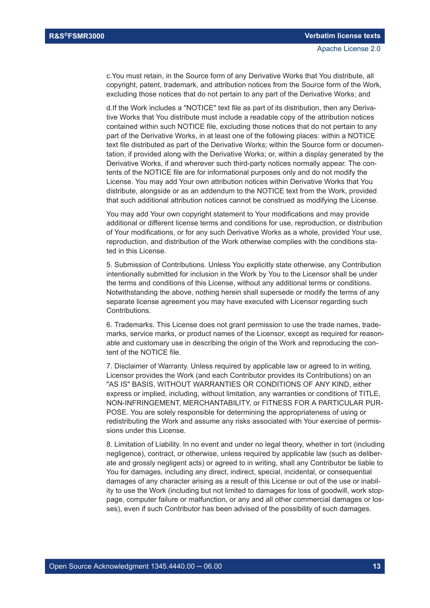c.You must retain, in the Source form of any Derivative Works that You distribute, all copyright, patent, trademark, and attribution notices from the Source form of the Work, excluding those notices that do not pertain to any part of the Derivative Works; and

d.If the Work includes a "NOTICE" text file as part of its distribution, then any Derivative Works that You distribute must include a readable copy of the attribution notices contained within such NOTICE file, excluding those notices that do not pertain to any part of the Derivative Works, in at least one of the following places: within a NOTICE text file distributed as part of the Derivative Works; within the Source form or documentation, if provided along with the Derivative Works; or, within a display generated by the Derivative Works, if and wherever such third-party notices normally appear. The contents of the NOTICE file are for informational purposes only and do not modify the License. You may add Your own attribution notices within Derivative Works that You distribute, alongside or as an addendum to the NOTICE text from the Work, provided that such additional attribution notices cannot be construed as modifying the License.

You may add Your own copyright statement to Your modifications and may provide additional or different license terms and conditions for use, reproduction, or distribution of Your modifications, or for any such Derivative Works as a whole, provided Your use, reproduction, and distribution of the Work otherwise complies with the conditions stated in this License.

5. Submission of Contributions. Unless You explicitly state otherwise, any Contribution intentionally submitted for inclusion in the Work by You to the Licensor shall be under the terms and conditions of this License, without any additional terms or conditions. Notwithstanding the above, nothing herein shall supersede or modify the terms of any separate license agreement you may have executed with Licensor regarding such Contributions.

6. Trademarks. This License does not grant permission to use the trade names, trademarks, service marks, or product names of the Licensor, except as required for reasonable and customary use in describing the origin of the Work and reproducing the content of the NOTICE file.

7. Disclaimer of Warranty. Unless required by applicable law or agreed to in writing, Licensor provides the Work (and each Contributor provides its Contributions) on an "AS IS" BASIS, WITHOUT WARRANTIES OR CONDITIONS OF ANY KIND, either express or implied, including, without limitation, any warranties or conditions of TITLE, NON-INFRINGEMENT, MERCHANTABILITY, or FITNESS FOR A PARTICULAR PUR-POSE. You are solely responsible for determining the appropriateness of using or redistributing the Work and assume any risks associated with Your exercise of permissions under this License.

8. Limitation of Liability. In no event and under no legal theory, whether in tort (including negligence), contract, or otherwise, unless required by applicable law (such as deliberate and grossly negligent acts) or agreed to in writing, shall any Contributor be liable to You for damages, including any direct, indirect, special, incidental, or consequential damages of any character arising as a result of this License or out of the use or inability to use the Work (including but not limited to damages for loss of goodwill, work stoppage, computer failure or malfunction, or any and all other commercial damages or losses), even if such Contributor has been advised of the possibility of such damages.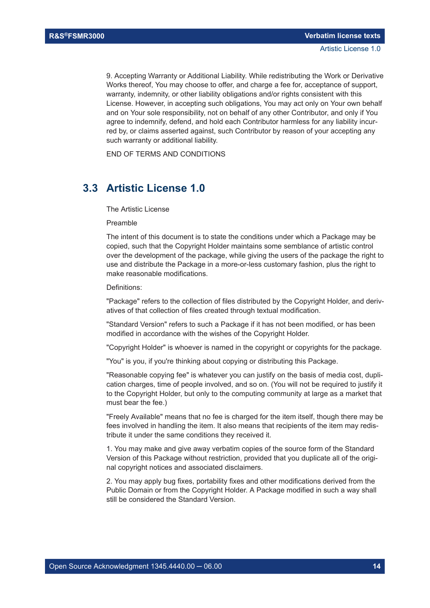<span id="page-13-0"></span>9. Accepting Warranty or Additional Liability. While redistributing the Work or Derivative Works thereof, You may choose to offer, and charge a fee for, acceptance of support, warranty, indemnity, or other liability obligations and/or rights consistent with this License. However, in accepting such obligations, You may act only on Your own behalf and on Your sole responsibility, not on behalf of any other Contributor, and only if You agree to indemnify, defend, and hold each Contributor harmless for any liability incurred by, or claims asserted against, such Contributor by reason of your accepting any such warranty or additional liability.

END OF TERMS AND CONDITIONS

## **3.3 Artistic License 1.0**

The Artistic License

#### Preamble

The intent of this document is to state the conditions under which a Package may be copied, such that the Copyright Holder maintains some semblance of artistic control over the development of the package, while giving the users of the package the right to use and distribute the Package in a more-or-less customary fashion, plus the right to make reasonable modifications.

Definitions:

"Package" refers to the collection of files distributed by the Copyright Holder, and derivatives of that collection of files created through textual modification.

"Standard Version" refers to such a Package if it has not been modified, or has been modified in accordance with the wishes of the Copyright Holder.

"Copyright Holder" is whoever is named in the copyright or copyrights for the package.

"You" is you, if you're thinking about copying or distributing this Package.

"Reasonable copying fee" is whatever you can justify on the basis of media cost, duplication charges, time of people involved, and so on. (You will not be required to justify it to the Copyright Holder, but only to the computing community at large as a market that must bear the fee.)

"Freely Available" means that no fee is charged for the item itself, though there may be fees involved in handling the item. It also means that recipients of the item may redistribute it under the same conditions they received it.

1. You may make and give away verbatim copies of the source form of the Standard Version of this Package without restriction, provided that you duplicate all of the original copyright notices and associated disclaimers.

2. You may apply bug fixes, portability fixes and other modifications derived from the Public Domain or from the Copyright Holder. A Package modified in such a way shall still be considered the Standard Version.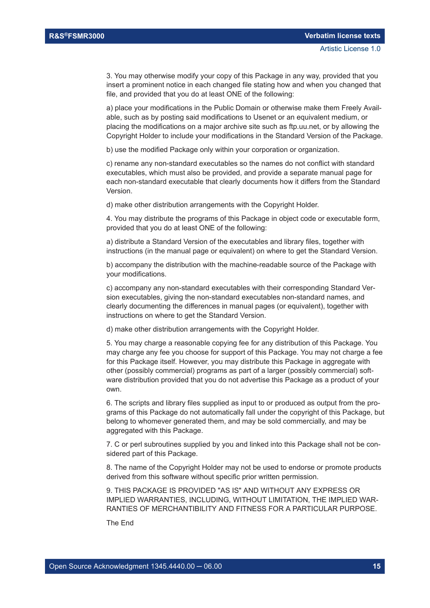3. You may otherwise modify your copy of this Package in any way, provided that you insert a prominent notice in each changed file stating how and when you changed that file, and provided that you do at least ONE of the following:

a) place your modifications in the Public Domain or otherwise make them Freely Available, such as by posting said modifications to Usenet or an equivalent medium, or placing the modifications on a major archive site such as ftp.uu.net, or by allowing the Copyright Holder to include your modifications in the Standard Version of the Package.

b) use the modified Package only within your corporation or organization.

c) rename any non-standard executables so the names do not conflict with standard executables, which must also be provided, and provide a separate manual page for each non-standard executable that clearly documents how it differs from the Standard Version.

d) make other distribution arrangements with the Copyright Holder.

4. You may distribute the programs of this Package in object code or executable form, provided that you do at least ONE of the following:

a) distribute a Standard Version of the executables and library files, together with instructions (in the manual page or equivalent) on where to get the Standard Version.

b) accompany the distribution with the machine-readable source of the Package with your modifications.

c) accompany any non-standard executables with their corresponding Standard Version executables, giving the non-standard executables non-standard names, and clearly documenting the differences in manual pages (or equivalent), together with instructions on where to get the Standard Version.

d) make other distribution arrangements with the Copyright Holder.

5. You may charge a reasonable copying fee for any distribution of this Package. You may charge any fee you choose for support of this Package. You may not charge a fee for this Package itself. However, you may distribute this Package in aggregate with other (possibly commercial) programs as part of a larger (possibly commercial) software distribution provided that you do not advertise this Package as a product of your own.

6. The scripts and library files supplied as input to or produced as output from the programs of this Package do not automatically fall under the copyright of this Package, but belong to whomever generated them, and may be sold commercially, and may be aggregated with this Package.

7. C or perl subroutines supplied by you and linked into this Package shall not be considered part of this Package.

8. The name of the Copyright Holder may not be used to endorse or promote products derived from this software without specific prior written permission.

9. THIS PACKAGE IS PROVIDED "AS IS" AND WITHOUT ANY EXPRESS OR IMPLIED WARRANTIES, INCLUDING, WITHOUT LIMITATION, THE IMPLIED WAR-RANTIES OF MERCHANTIBILITY AND FITNESS FOR A PARTICULAR PURPOSE.

The End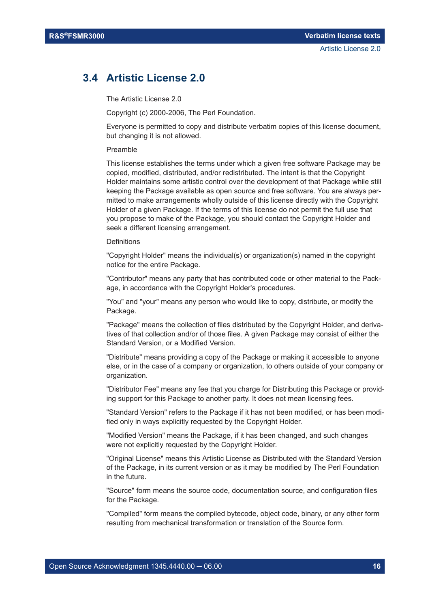## <span id="page-15-0"></span>**3.4 Artistic License 2.0**

The Artistic License 2.0

Copyright (c) 2000-2006, The Perl Foundation.

Everyone is permitted to copy and distribute verbatim copies of this license document, but changing it is not allowed.

#### Preamble

This license establishes the terms under which a given free software Package may be copied, modified, distributed, and/or redistributed. The intent is that the Copyright Holder maintains some artistic control over the development of that Package while still keeping the Package available as open source and free software. You are always permitted to make arrangements wholly outside of this license directly with the Copyright Holder of a given Package. If the terms of this license do not permit the full use that you propose to make of the Package, you should contact the Copyright Holder and seek a different licensing arrangement.

#### Definitions

"Copyright Holder" means the individual(s) or organization(s) named in the copyright notice for the entire Package.

"Contributor" means any party that has contributed code or other material to the Package, in accordance with the Copyright Holder's procedures.

"You" and "your" means any person who would like to copy, distribute, or modify the Package.

"Package" means the collection of files distributed by the Copyright Holder, and derivatives of that collection and/or of those files. A given Package may consist of either the Standard Version, or a Modified Version.

"Distribute" means providing a copy of the Package or making it accessible to anyone else, or in the case of a company or organization, to others outside of your company or organization.

"Distributor Fee" means any fee that you charge for Distributing this Package or providing support for this Package to another party. It does not mean licensing fees.

"Standard Version" refers to the Package if it has not been modified, or has been modified only in ways explicitly requested by the Copyright Holder.

"Modified Version" means the Package, if it has been changed, and such changes were not explicitly requested by the Copyright Holder.

"Original License" means this Artistic License as Distributed with the Standard Version of the Package, in its current version or as it may be modified by The Perl Foundation in the future.

"Source" form means the source code, documentation source, and configuration files for the Package.

"Compiled" form means the compiled bytecode, object code, binary, or any other form resulting from mechanical transformation or translation of the Source form.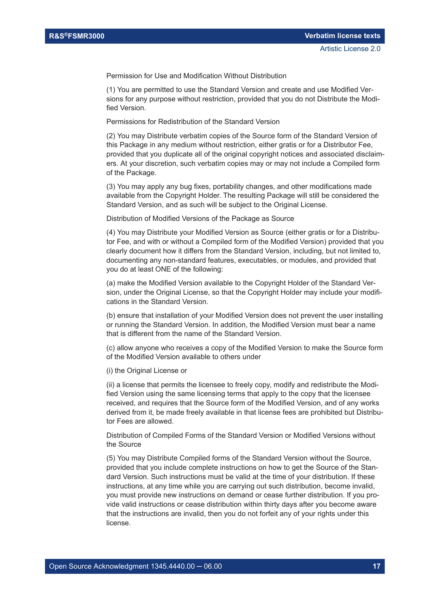Permission for Use and Modification Without Distribution

(1) You are permitted to use the Standard Version and create and use Modified Versions for any purpose without restriction, provided that you do not Distribute the Modified Version.

Permissions for Redistribution of the Standard Version

(2) You may Distribute verbatim copies of the Source form of the Standard Version of this Package in any medium without restriction, either gratis or for a Distributor Fee, provided that you duplicate all of the original copyright notices and associated disclaimers. At your discretion, such verbatim copies may or may not include a Compiled form of the Package.

(3) You may apply any bug fixes, portability changes, and other modifications made available from the Copyright Holder. The resulting Package will still be considered the Standard Version, and as such will be subject to the Original License.

Distribution of Modified Versions of the Package as Source

(4) You may Distribute your Modified Version as Source (either gratis or for a Distributor Fee, and with or without a Compiled form of the Modified Version) provided that you clearly document how it differs from the Standard Version, including, but not limited to, documenting any non-standard features, executables, or modules, and provided that you do at least ONE of the following:

(a) make the Modified Version available to the Copyright Holder of the Standard Version, under the Original License, so that the Copyright Holder may include your modifications in the Standard Version.

(b) ensure that installation of your Modified Version does not prevent the user installing or running the Standard Version. In addition, the Modified Version must bear a name that is different from the name of the Standard Version.

(c) allow anyone who receives a copy of the Modified Version to make the Source form of the Modified Version available to others under

(i) the Original License or

(ii) a license that permits the licensee to freely copy, modify and redistribute the Modified Version using the same licensing terms that apply to the copy that the licensee received, and requires that the Source form of the Modified Version, and of any works derived from it, be made freely available in that license fees are prohibited but Distributor Fees are allowed.

Distribution of Compiled Forms of the Standard Version or Modified Versions without the Source

(5) You may Distribute Compiled forms of the Standard Version without the Source, provided that you include complete instructions on how to get the Source of the Standard Version. Such instructions must be valid at the time of your distribution. If these instructions, at any time while you are carrying out such distribution, become invalid, you must provide new instructions on demand or cease further distribution. If you provide valid instructions or cease distribution within thirty days after you become aware that the instructions are invalid, then you do not forfeit any of your rights under this license.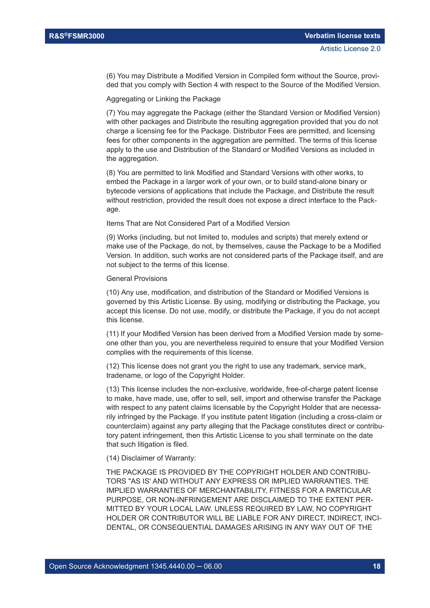(6) You may Distribute a Modified Version in Compiled form without the Source, provided that you comply with Section 4 with respect to the Source of the Modified Version.

Aggregating or Linking the Package

(7) You may aggregate the Package (either the Standard Version or Modified Version) with other packages and Distribute the resulting aggregation provided that you do not charge a licensing fee for the Package. Distributor Fees are permitted, and licensing fees for other components in the aggregation are permitted. The terms of this license apply to the use and Distribution of the Standard or Modified Versions as included in the aggregation.

(8) You are permitted to link Modified and Standard Versions with other works, to embed the Package in a larger work of your own, or to build stand-alone binary or bytecode versions of applications that include the Package, and Distribute the result without restriction, provided the result does not expose a direct interface to the Package.

Items That are Not Considered Part of a Modified Version

(9) Works (including, but not limited to, modules and scripts) that merely extend or make use of the Package, do not, by themselves, cause the Package to be a Modified Version. In addition, such works are not considered parts of the Package itself, and are not subject to the terms of this license.

#### General Provisions

(10) Any use, modification, and distribution of the Standard or Modified Versions is governed by this Artistic License. By using, modifying or distributing the Package, you accept this license. Do not use, modify, or distribute the Package, if you do not accept this license.

(11) If your Modified Version has been derived from a Modified Version made by someone other than you, you are nevertheless required to ensure that your Modified Version complies with the requirements of this license.

(12) This license does not grant you the right to use any trademark, service mark, tradename, or logo of the Copyright Holder.

(13) This license includes the non-exclusive, worldwide, free-of-charge patent license to make, have made, use, offer to sell, sell, import and otherwise transfer the Package with respect to any patent claims licensable by the Copyright Holder that are necessarily infringed by the Package. If you institute patent litigation (including a cross-claim or counterclaim) against any party alleging that the Package constitutes direct or contributory patent infringement, then this Artistic License to you shall terminate on the date that such litigation is filed.

#### (14) Disclaimer of Warranty:

THE PACKAGE IS PROVIDED BY THE COPYRIGHT HOLDER AND CONTRIBU-TORS "AS IS' AND WITHOUT ANY EXPRESS OR IMPLIED WARRANTIES. THE IMPLIED WARRANTIES OF MERCHANTABILITY, FITNESS FOR A PARTICULAR PURPOSE, OR NON-INFRINGEMENT ARE DISCLAIMED TO THE EXTENT PER-MITTED BY YOUR LOCAL LAW. UNLESS REQUIRED BY LAW, NO COPYRIGHT HOLDER OR CONTRIBUTOR WILL BE LIABLE FOR ANY DIRECT, INDIRECT, INCI-DENTAL, OR CONSEQUENTIAL DAMAGES ARISING IN ANY WAY OUT OF THE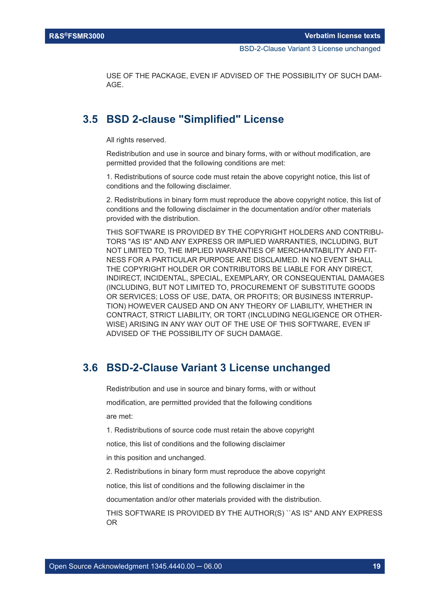<span id="page-18-0"></span>USE OF THE PACKAGE, EVEN IF ADVISED OF THE POSSIBILITY OF SUCH DAM-AGE.

## **3.5 BSD 2-clause "Simplified" License**

All rights reserved.

Redistribution and use in source and binary forms, with or without modification, are permitted provided that the following conditions are met:

1. Redistributions of source code must retain the above copyright notice, this list of conditions and the following disclaimer.

2. Redistributions in binary form must reproduce the above copyright notice, this list of conditions and the following disclaimer in the documentation and/or other materials provided with the distribution.

THIS SOFTWARE IS PROVIDED BY THE COPYRIGHT HOLDERS AND CONTRIBU-TORS "AS IS" AND ANY EXPRESS OR IMPLIED WARRANTIES, INCLUDING, BUT NOT LIMITED TO, THE IMPLIED WARRANTIES OF MERCHANTABILITY AND FIT-NESS FOR A PARTICULAR PURPOSE ARE DISCLAIMED. IN NO EVENT SHALL THE COPYRIGHT HOLDER OR CONTRIBUTORS BE LIABLE FOR ANY DIRECT, INDIRECT, INCIDENTAL, SPECIAL, EXEMPLARY, OR CONSEQUENTIAL DAMAGES (INCLUDING, BUT NOT LIMITED TO, PROCUREMENT OF SUBSTITUTE GOODS OR SERVICES; LOSS OF USE, DATA, OR PROFITS; OR BUSINESS INTERRUP-TION) HOWEVER CAUSED AND ON ANY THEORY OF LIABILITY, WHETHER IN CONTRACT, STRICT LIABILITY, OR TORT (INCLUDING NEGLIGENCE OR OTHER-WISE) ARISING IN ANY WAY OUT OF THE USE OF THIS SOFTWARE, EVEN IF ADVISED OF THE POSSIBILITY OF SUCH DAMAGE.

#### **3.6 BSD-2-Clause Variant 3 License unchanged**

Redistribution and use in source and binary forms, with or without modification, are permitted provided that the following conditions are met:

1. Redistributions of source code must retain the above copyright

notice, this list of conditions and the following disclaimer

in this position and unchanged.

2. Redistributions in binary form must reproduce the above copyright

notice, this list of conditions and the following disclaimer in the

documentation and/or other materials provided with the distribution.

THIS SOFTWARE IS PROVIDED BY THE AUTHOR(S) ``AS IS'' AND ANY EXPRESS OR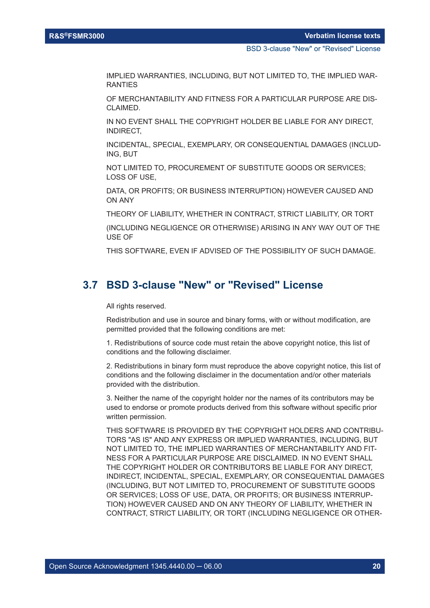<span id="page-19-0"></span>IMPLIED WARRANTIES, INCLUDING, BUT NOT LIMITED TO, THE IMPLIED WAR-RANTIES

OF MERCHANTABILITY AND FITNESS FOR A PARTICULAR PURPOSE ARE DIS-CLAIMED.

IN NO EVENT SHALL THE COPYRIGHT HOLDER BE LIABLE FOR ANY DIRECT, INDIRECT,

INCIDENTAL, SPECIAL, EXEMPLARY, OR CONSEQUENTIAL DAMAGES (INCLUD-ING, BUT

NOT LIMITED TO, PROCUREMENT OF SUBSTITUTE GOODS OR SERVICES; LOSS OF USE,

DATA, OR PROFITS; OR BUSINESS INTERRUPTION) HOWEVER CAUSED AND ON ANY

THEORY OF LIABILITY, WHETHER IN CONTRACT, STRICT LIABILITY, OR TORT

(INCLUDING NEGLIGENCE OR OTHERWISE) ARISING IN ANY WAY OUT OF THE USE OF

THIS SOFTWARE, EVEN IF ADVISED OF THE POSSIBILITY OF SUCH DAMAGE.

### **3.7 BSD 3-clause "New" or "Revised" License**

All rights reserved.

Redistribution and use in source and binary forms, with or without modification, are permitted provided that the following conditions are met:

1. Redistributions of source code must retain the above copyright notice, this list of conditions and the following disclaimer.

2. Redistributions in binary form must reproduce the above copyright notice, this list of conditions and the following disclaimer in the documentation and/or other materials provided with the distribution.

3. Neither the name of the copyright holder nor the names of its contributors may be used to endorse or promote products derived from this software without specific prior written permission.

THIS SOFTWARE IS PROVIDED BY THE COPYRIGHT HOLDERS AND CONTRIBU-TORS "AS IS" AND ANY EXPRESS OR IMPLIED WARRANTIES, INCLUDING, BUT NOT LIMITED TO, THE IMPLIED WARRANTIES OF MERCHANTABILITY AND FIT-NESS FOR A PARTICULAR PURPOSE ARE DISCLAIMED. IN NO EVENT SHALL THE COPYRIGHT HOLDER OR CONTRIBUTORS BE LIABLE FOR ANY DIRECT, INDIRECT, INCIDENTAL, SPECIAL, EXEMPLARY, OR CONSEQUENTIAL DAMAGES (INCLUDING, BUT NOT LIMITED TO, PROCUREMENT OF SUBSTITUTE GOODS OR SERVICES; LOSS OF USE, DATA, OR PROFITS; OR BUSINESS INTERRUP-TION) HOWEVER CAUSED AND ON ANY THEORY OF LIABILITY, WHETHER IN CONTRACT, STRICT LIABILITY, OR TORT (INCLUDING NEGLIGENCE OR OTHER-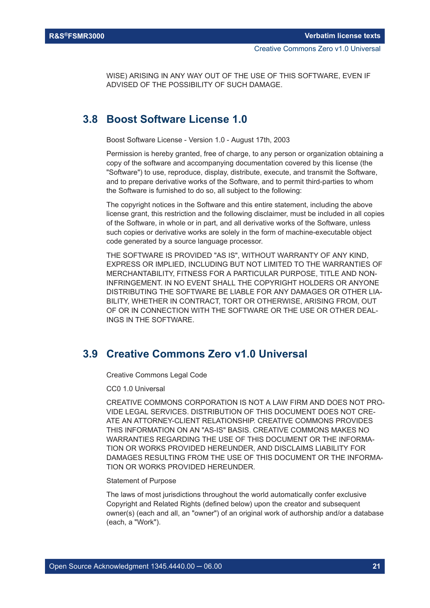<span id="page-20-0"></span>WISE) ARISING IN ANY WAY OUT OF THE USE OF THIS SOFTWARE, EVEN IF ADVISED OF THE POSSIBILITY OF SUCH DAMAGE.

### **3.8 Boost Software License 1.0**

Boost Software License - Version 1.0 - August 17th, 2003

Permission is hereby granted, free of charge, to any person or organization obtaining a copy of the software and accompanying documentation covered by this license (the "Software") to use, reproduce, display, distribute, execute, and transmit the Software, and to prepare derivative works of the Software, and to permit third-parties to whom the Software is furnished to do so, all subject to the following:

The copyright notices in the Software and this entire statement, including the above license grant, this restriction and the following disclaimer, must be included in all copies of the Software, in whole or in part, and all derivative works of the Software, unless such copies or derivative works are solely in the form of machine-executable object code generated by a source language processor.

THE SOFTWARE IS PROVIDED "AS IS", WITHOUT WARRANTY OF ANY KIND, EXPRESS OR IMPLIED, INCLUDING BUT NOT LIMITED TO THE WARRANTIES OF MERCHANTABILITY, FITNESS FOR A PARTICULAR PURPOSE, TITLE AND NON-INFRINGEMENT. IN NO EVENT SHALL THE COPYRIGHT HOLDERS OR ANYONE DISTRIBUTING THE SOFTWARE BE LIABLE FOR ANY DAMAGES OR OTHER LIA-BILITY, WHETHER IN CONTRACT, TORT OR OTHERWISE, ARISING FROM, OUT OF OR IN CONNECTION WITH THE SOFTWARE OR THE USE OR OTHER DEAL-INGS IN THE SOFTWARE.

#### **3.9 Creative Commons Zero v1.0 Universal**

Creative Commons Legal Code

CC0 1.0 Universal

CREATIVE COMMONS CORPORATION IS NOT A LAW FIRM AND DOES NOT PRO-VIDE LEGAL SERVICES. DISTRIBUTION OF THIS DOCUMENT DOES NOT CRE-ATE AN ATTORNEY-CLIENT RELATIONSHIP. CREATIVE COMMONS PROVIDES THIS INFORMATION ON AN "AS-IS" BASIS. CREATIVE COMMONS MAKES NO WARRANTIES REGARDING THE USE OF THIS DOCUMENT OR THE INFORMA-TION OR WORKS PROVIDED HEREUNDER, AND DISCLAIMS LIABILITY FOR DAMAGES RESULTING FROM THE USE OF THIS DOCUMENT OR THE INFORMA-TION OR WORKS PROVIDED HEREUNDER.

#### Statement of Purpose

The laws of most jurisdictions throughout the world automatically confer exclusive Copyright and Related Rights (defined below) upon the creator and subsequent owner(s) (each and all, an "owner") of an original work of authorship and/or a database (each, a "Work").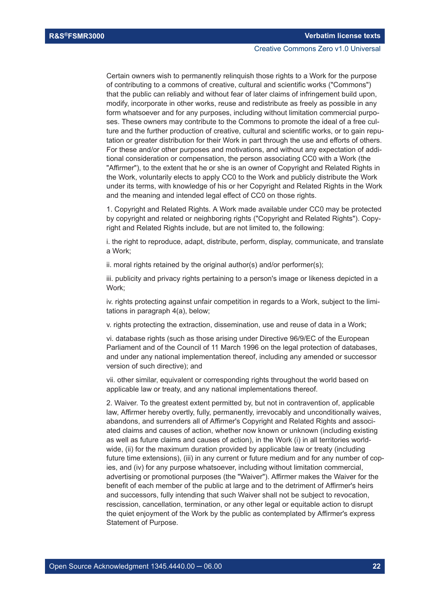#### Creative Commons Zero v1.0 Universal

Certain owners wish to permanently relinquish those rights to a Work for the purpose of contributing to a commons of creative, cultural and scientific works ("Commons") that the public can reliably and without fear of later claims of infringement build upon, modify, incorporate in other works, reuse and redistribute as freely as possible in any form whatsoever and for any purposes, including without limitation commercial purposes. These owners may contribute to the Commons to promote the ideal of a free culture and the further production of creative, cultural and scientific works, or to gain reputation or greater distribution for their Work in part through the use and efforts of others. For these and/or other purposes and motivations, and without any expectation of additional consideration or compensation, the person associating CC0 with a Work (the "Affirmer"), to the extent that he or she is an owner of Copyright and Related Rights in the Work, voluntarily elects to apply CC0 to the Work and publicly distribute the Work under its terms, with knowledge of his or her Copyright and Related Rights in the Work and the meaning and intended legal effect of CC0 on those rights.

1. Copyright and Related Rights. A Work made available under CC0 may be protected by copyright and related or neighboring rights ("Copyright and Related Rights"). Copyright and Related Rights include, but are not limited to, the following:

i. the right to reproduce, adapt, distribute, perform, display, communicate, and translate a Work;

ii. moral rights retained by the original author(s) and/or performer(s);

iii. publicity and privacy rights pertaining to a person's image or likeness depicted in a Work;

iv. rights protecting against unfair competition in regards to a Work, subject to the limitations in paragraph 4(a), below;

v. rights protecting the extraction, dissemination, use and reuse of data in a Work;

vi. database rights (such as those arising under Directive 96/9/EC of the European Parliament and of the Council of 11 March 1996 on the legal protection of databases, and under any national implementation thereof, including any amended or successor version of such directive); and

vii. other similar, equivalent or corresponding rights throughout the world based on applicable law or treaty, and any national implementations thereof.

2. Waiver. To the greatest extent permitted by, but not in contravention of, applicable law, Affirmer hereby overtly, fully, permanently, irrevocably and unconditionally waives, abandons, and surrenders all of Affirmer's Copyright and Related Rights and associated claims and causes of action, whether now known or unknown (including existing as well as future claims and causes of action), in the Work (i) in all territories worldwide, (ii) for the maximum duration provided by applicable law or treaty (including future time extensions), (iii) in any current or future medium and for any number of copies, and (iv) for any purpose whatsoever, including without limitation commercial, advertising or promotional purposes (the "Waiver"). Affirmer makes the Waiver for the benefit of each member of the public at large and to the detriment of Affirmer's heirs and successors, fully intending that such Waiver shall not be subject to revocation, rescission, cancellation, termination, or any other legal or equitable action to disrupt the quiet enjoyment of the Work by the public as contemplated by Affirmer's express Statement of Purpose.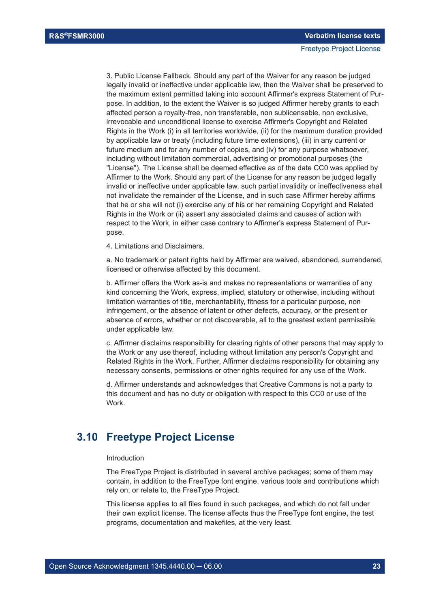<span id="page-22-0"></span>3. Public License Fallback. Should any part of the Waiver for any reason be judged legally invalid or ineffective under applicable law, then the Waiver shall be preserved to the maximum extent permitted taking into account Affirmer's express Statement of Purpose. In addition, to the extent the Waiver is so judged Affirmer hereby grants to each affected person a royalty-free, non transferable, non sublicensable, non exclusive, irrevocable and unconditional license to exercise Affirmer's Copyright and Related Rights in the Work (i) in all territories worldwide, (ii) for the maximum duration provided by applicable law or treaty (including future time extensions), (iii) in any current or future medium and for any number of copies, and (iv) for any purpose whatsoever, including without limitation commercial, advertising or promotional purposes (the "License"). The License shall be deemed effective as of the date CC0 was applied by Affirmer to the Work. Should any part of the License for any reason be judged legally invalid or ineffective under applicable law, such partial invalidity or ineffectiveness shall not invalidate the remainder of the License, and in such case Affirmer hereby affirms that he or she will not (i) exercise any of his or her remaining Copyright and Related Rights in the Work or (ii) assert any associated claims and causes of action with respect to the Work, in either case contrary to Affirmer's express Statement of Purpose.

4. Limitations and Disclaimers.

a. No trademark or patent rights held by Affirmer are waived, abandoned, surrendered, licensed or otherwise affected by this document.

b. Affirmer offers the Work as-is and makes no representations or warranties of any kind concerning the Work, express, implied, statutory or otherwise, including without limitation warranties of title, merchantability, fitness for a particular purpose, non infringement, or the absence of latent or other defects, accuracy, or the present or absence of errors, whether or not discoverable, all to the greatest extent permissible under applicable law.

c. Affirmer disclaims responsibility for clearing rights of other persons that may apply to the Work or any use thereof, including without limitation any person's Copyright and Related Rights in the Work. Further, Affirmer disclaims responsibility for obtaining any necessary consents, permissions or other rights required for any use of the Work.

d. Affirmer understands and acknowledges that Creative Commons is not a party to this document and has no duty or obligation with respect to this CC0 or use of the Work.

## **3.10 Freetype Project License**

#### Introduction

The FreeType Project is distributed in several archive packages; some of them may contain, in addition to the FreeType font engine, various tools and contributions which rely on, or relate to, the FreeType Project.

This license applies to all files found in such packages, and which do not fall under their own explicit license. The license affects thus the FreeType font engine, the test programs, documentation and makefiles, at the very least.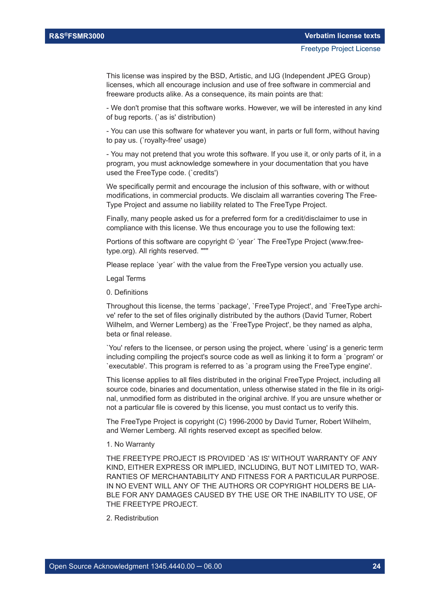This license was inspired by the BSD, Artistic, and IJG (Independent JPEG Group) licenses, which all encourage inclusion and use of free software in commercial and freeware products alike. As a consequence, its main points are that:

- We don't promise that this software works. However, we will be interested in any kind of bug reports. (`as is' distribution)

- You can use this software for whatever you want, in parts or full form, without having to pay us. (`royalty-free' usage)

- You may not pretend that you wrote this software. If you use it, or only parts of it, in a program, you must acknowledge somewhere in your documentation that you have used the FreeType code. (`credits')

We specifically permit and encourage the inclusion of this software, with or without modifications, in commercial products. We disclaim all warranties covering The Free-Type Project and assume no liability related to The FreeType Project.

Finally, many people asked us for a preferred form for a credit/disclaimer to use in compliance with this license. We thus encourage you to use the following text:

Portions of this software are copyright © ´year´ The FreeType Project (www.freetype.org). All rights reserved. """

Please replace ´year´ with the value from the FreeType version you actually use.

Legal Terms

0. Definitions

Throughout this license, the terms `package', `FreeType Project', and `FreeType archive' refer to the set of files originally distributed by the authors (David Turner, Robert Wilhelm, and Werner Lemberg) as the `FreeType Project', be they named as alpha, beta or final release.

`You' refers to the licensee, or person using the project, where `using' is a generic term including compiling the project's source code as well as linking it to form a `program' or `executable'. This program is referred to as `a program using the FreeType engine'.

This license applies to all files distributed in the original FreeType Project, including all source code, binaries and documentation, unless otherwise stated in the file in its original, unmodified form as distributed in the original archive. If you are unsure whether or not a particular file is covered by this license, you must contact us to verify this.

The FreeType Project is copyright (C) 1996-2000 by David Turner, Robert Wilhelm, and Werner Lemberg. All rights reserved except as specified below.

#### 1. No Warranty

THE FREETYPE PROJECT IS PROVIDED `AS IS' WITHOUT WARRANTY OF ANY KIND, EITHER EXPRESS OR IMPLIED, INCLUDING, BUT NOT LIMITED TO, WAR-RANTIES OF MERCHANTABILITY AND FITNESS FOR A PARTICULAR PURPOSE. IN NO EVENT WILL ANY OF THE AUTHORS OR COPYRIGHT HOLDERS BE LIA-BLE FOR ANY DAMAGES CAUSED BY THE USE OR THE INABILITY TO USE, OF THE FREETYPE PROJECT.

2. Redistribution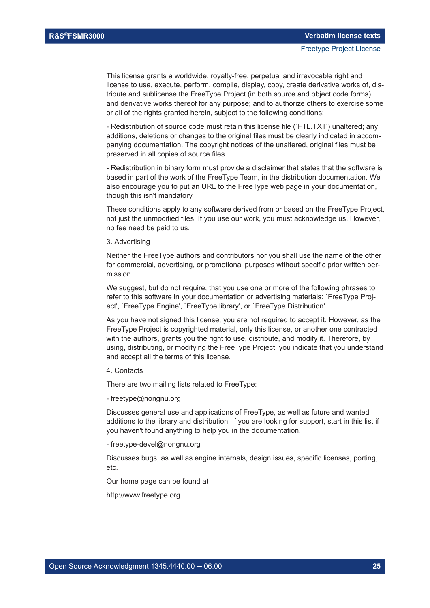This license grants a worldwide, royalty-free, perpetual and irrevocable right and license to use, execute, perform, compile, display, copy, create derivative works of, distribute and sublicense the FreeType Project (in both source and object code forms) and derivative works thereof for any purpose; and to authorize others to exercise some or all of the rights granted herein, subject to the following conditions:

- Redistribution of source code must retain this license file (`FTL.TXT') unaltered; any additions, deletions or changes to the original files must be clearly indicated in accompanying documentation. The copyright notices of the unaltered, original files must be preserved in all copies of source files.

- Redistribution in binary form must provide a disclaimer that states that the software is based in part of the work of the FreeType Team, in the distribution documentation. We also encourage you to put an URL to the FreeType web page in your documentation, though this isn't mandatory.

These conditions apply to any software derived from or based on the FreeType Project, not just the unmodified files. If you use our work, you must acknowledge us. However, no fee need be paid to us.

#### 3. Advertising

Neither the FreeType authors and contributors nor you shall use the name of the other for commercial, advertising, or promotional purposes without specific prior written permission.

We suggest, but do not require, that you use one or more of the following phrases to refer to this software in your documentation or advertising materials: `FreeType Project', `FreeType Engine', `FreeType library', or `FreeType Distribution'.

As you have not signed this license, you are not required to accept it. However, as the FreeType Project is copyrighted material, only this license, or another one contracted with the authors, grants you the right to use, distribute, and modify it. Therefore, by using, distributing, or modifying the FreeType Project, you indicate that you understand and accept all the terms of this license.

#### 4. Contacts

There are two mailing lists related to FreeType:

- freetype@nongnu.org

Discusses general use and applications of FreeType, as well as future and wanted additions to the library and distribution. If you are looking for support, start in this list if you haven't found anything to help you in the documentation.

- freetype-devel@nongnu.org

Discusses bugs, as well as engine internals, design issues, specific licenses, porting, etc.

Our home page can be found at

http://www.freetype.org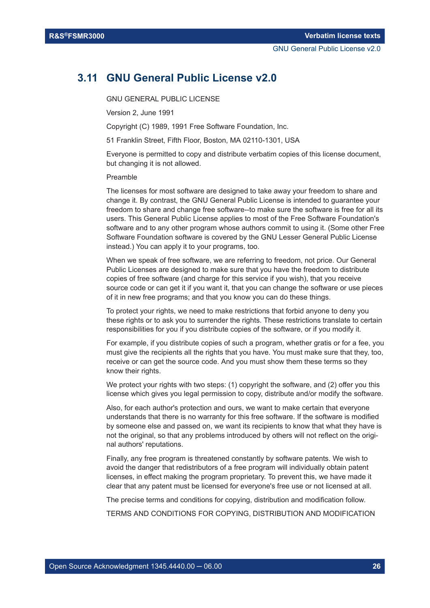## <span id="page-25-0"></span>**3.11 GNU General Public License v2.0**

GNU GENERAL PUBLIC LICENSE

Version 2, June 1991

Copyright (C) 1989, 1991 Free Software Foundation, Inc.

51 Franklin Street, Fifth Floor, Boston, MA 02110-1301, USA

Everyone is permitted to copy and distribute verbatim copies of this license document, but changing it is not allowed.

#### Preamble

The licenses for most software are designed to take away your freedom to share and change it. By contrast, the GNU General Public License is intended to guarantee your freedom to share and change free software--to make sure the software is free for all its users. This General Public License applies to most of the Free Software Foundation's software and to any other program whose authors commit to using it. (Some other Free Software Foundation software is covered by the GNU Lesser General Public License instead.) You can apply it to your programs, too.

When we speak of free software, we are referring to freedom, not price. Our General Public Licenses are designed to make sure that you have the freedom to distribute copies of free software (and charge for this service if you wish), that you receive source code or can get it if you want it, that you can change the software or use pieces of it in new free programs; and that you know you can do these things.

To protect your rights, we need to make restrictions that forbid anyone to deny you these rights or to ask you to surrender the rights. These restrictions translate to certain responsibilities for you if you distribute copies of the software, or if you modify it.

For example, if you distribute copies of such a program, whether gratis or for a fee, you must give the recipients all the rights that you have. You must make sure that they, too, receive or can get the source code. And you must show them these terms so they know their rights.

We protect your rights with two steps: (1) copyright the software, and (2) offer you this license which gives you legal permission to copy, distribute and/or modify the software.

Also, for each author's protection and ours, we want to make certain that everyone understands that there is no warranty for this free software. If the software is modified by someone else and passed on, we want its recipients to know that what they have is not the original, so that any problems introduced by others will not reflect on the original authors' reputations.

Finally, any free program is threatened constantly by software patents. We wish to avoid the danger that redistributors of a free program will individually obtain patent licenses, in effect making the program proprietary. To prevent this, we have made it clear that any patent must be licensed for everyone's free use or not licensed at all.

The precise terms and conditions for copying, distribution and modification follow.

TERMS AND CONDITIONS FOR COPYING, DISTRIBUTION AND MODIFICATION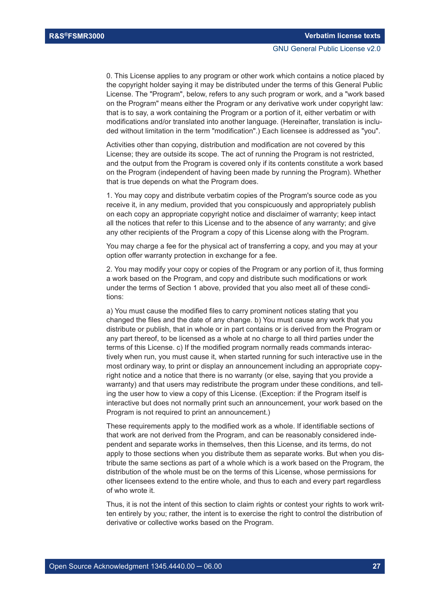0. This License applies to any program or other work which contains a notice placed by the copyright holder saying it may be distributed under the terms of this General Public License. The "Program", below, refers to any such program or work, and a "work based on the Program" means either the Program or any derivative work under copyright law: that is to say, a work containing the Program or a portion of it, either verbatim or with modifications and/or translated into another language. (Hereinafter, translation is included without limitation in the term "modification".) Each licensee is addressed as "you".

Activities other than copying, distribution and modification are not covered by this License; they are outside its scope. The act of running the Program is not restricted, and the output from the Program is covered only if its contents constitute a work based on the Program (independent of having been made by running the Program). Whether that is true depends on what the Program does.

1. You may copy and distribute verbatim copies of the Program's source code as you receive it, in any medium, provided that you conspicuously and appropriately publish on each copy an appropriate copyright notice and disclaimer of warranty; keep intact all the notices that refer to this License and to the absence of any warranty; and give any other recipients of the Program a copy of this License along with the Program.

You may charge a fee for the physical act of transferring a copy, and you may at your option offer warranty protection in exchange for a fee.

2. You may modify your copy or copies of the Program or any portion of it, thus forming a work based on the Program, and copy and distribute such modifications or work under the terms of Section 1 above, provided that you also meet all of these conditions:

a) You must cause the modified files to carry prominent notices stating that you changed the files and the date of any change. b) You must cause any work that you distribute or publish, that in whole or in part contains or is derived from the Program or any part thereof, to be licensed as a whole at no charge to all third parties under the terms of this License. c) If the modified program normally reads commands interactively when run, you must cause it, when started running for such interactive use in the most ordinary way, to print or display an announcement including an appropriate copyright notice and a notice that there is no warranty (or else, saying that you provide a warranty) and that users may redistribute the program under these conditions, and telling the user how to view a copy of this License. (Exception: if the Program itself is interactive but does not normally print such an announcement, your work based on the Program is not required to print an announcement.)

These requirements apply to the modified work as a whole. If identifiable sections of that work are not derived from the Program, and can be reasonably considered independent and separate works in themselves, then this License, and its terms, do not apply to those sections when you distribute them as separate works. But when you distribute the same sections as part of a whole which is a work based on the Program, the distribution of the whole must be on the terms of this License, whose permissions for other licensees extend to the entire whole, and thus to each and every part regardless of who wrote it.

Thus, it is not the intent of this section to claim rights or contest your rights to work written entirely by you; rather, the intent is to exercise the right to control the distribution of derivative or collective works based on the Program.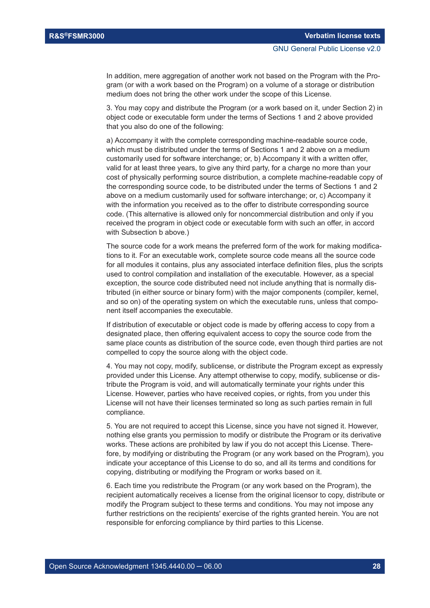In addition, mere aggregation of another work not based on the Program with the Program (or with a work based on the Program) on a volume of a storage or distribution medium does not bring the other work under the scope of this License.

3. You may copy and distribute the Program (or a work based on it, under Section 2) in object code or executable form under the terms of Sections 1 and 2 above provided that you also do one of the following:

a) Accompany it with the complete corresponding machine-readable source code, which must be distributed under the terms of Sections 1 and 2 above on a medium customarily used for software interchange; or, b) Accompany it with a written offer, valid for at least three years, to give any third party, for a charge no more than your cost of physically performing source distribution, a complete machine-readable copy of the corresponding source code, to be distributed under the terms of Sections 1 and 2 above on a medium customarily used for software interchange; or, c) Accompany it with the information you received as to the offer to distribute corresponding source code. (This alternative is allowed only for noncommercial distribution and only if you received the program in object code or executable form with such an offer, in accord with Subsection b above.)

The source code for a work means the preferred form of the work for making modifications to it. For an executable work, complete source code means all the source code for all modules it contains, plus any associated interface definition files, plus the scripts used to control compilation and installation of the executable. However, as a special exception, the source code distributed need not include anything that is normally distributed (in either source or binary form) with the major components (compiler, kernel, and so on) of the operating system on which the executable runs, unless that component itself accompanies the executable.

If distribution of executable or object code is made by offering access to copy from a designated place, then offering equivalent access to copy the source code from the same place counts as distribution of the source code, even though third parties are not compelled to copy the source along with the object code.

4. You may not copy, modify, sublicense, or distribute the Program except as expressly provided under this License. Any attempt otherwise to copy, modify, sublicense or distribute the Program is void, and will automatically terminate your rights under this License. However, parties who have received copies, or rights, from you under this License will not have their licenses terminated so long as such parties remain in full compliance.

5. You are not required to accept this License, since you have not signed it. However, nothing else grants you permission to modify or distribute the Program or its derivative works. These actions are prohibited by law if you do not accept this License. Therefore, by modifying or distributing the Program (or any work based on the Program), you indicate your acceptance of this License to do so, and all its terms and conditions for copying, distributing or modifying the Program or works based on it.

6. Each time you redistribute the Program (or any work based on the Program), the recipient automatically receives a license from the original licensor to copy, distribute or modify the Program subject to these terms and conditions. You may not impose any further restrictions on the recipients' exercise of the rights granted herein. You are not responsible for enforcing compliance by third parties to this License.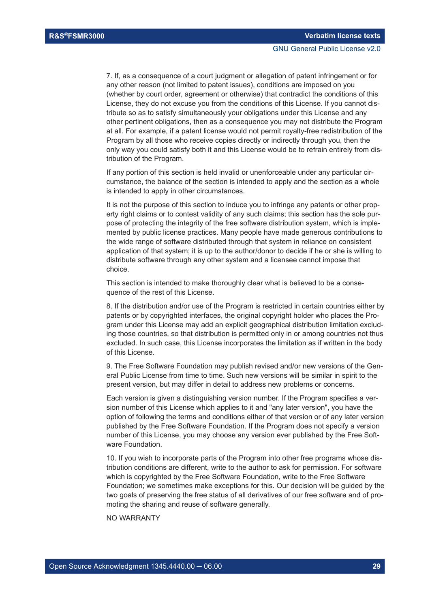7. If, as a consequence of a court judgment or allegation of patent infringement or for any other reason (not limited to patent issues), conditions are imposed on you (whether by court order, agreement or otherwise) that contradict the conditions of this License, they do not excuse you from the conditions of this License. If you cannot distribute so as to satisfy simultaneously your obligations under this License and any other pertinent obligations, then as a consequence you may not distribute the Program at all. For example, if a patent license would not permit royalty-free redistribution of the Program by all those who receive copies directly or indirectly through you, then the only way you could satisfy both it and this License would be to refrain entirely from distribution of the Program.

If any portion of this section is held invalid or unenforceable under any particular circumstance, the balance of the section is intended to apply and the section as a whole is intended to apply in other circumstances.

It is not the purpose of this section to induce you to infringe any patents or other property right claims or to contest validity of any such claims; this section has the sole purpose of protecting the integrity of the free software distribution system, which is implemented by public license practices. Many people have made generous contributions to the wide range of software distributed through that system in reliance on consistent application of that system; it is up to the author/donor to decide if he or she is willing to distribute software through any other system and a licensee cannot impose that choice.

This section is intended to make thoroughly clear what is believed to be a consequence of the rest of this License.

8. If the distribution and/or use of the Program is restricted in certain countries either by patents or by copyrighted interfaces, the original copyright holder who places the Program under this License may add an explicit geographical distribution limitation excluding those countries, so that distribution is permitted only in or among countries not thus excluded. In such case, this License incorporates the limitation as if written in the body of this License.

9. The Free Software Foundation may publish revised and/or new versions of the General Public License from time to time. Such new versions will be similar in spirit to the present version, but may differ in detail to address new problems or concerns.

Each version is given a distinguishing version number. If the Program specifies a version number of this License which applies to it and "any later version", you have the option of following the terms and conditions either of that version or of any later version published by the Free Software Foundation. If the Program does not specify a version number of this License, you may choose any version ever published by the Free Software Foundation.

10. If you wish to incorporate parts of the Program into other free programs whose distribution conditions are different, write to the author to ask for permission. For software which is copyrighted by the Free Software Foundation, write to the Free Software Foundation; we sometimes make exceptions for this. Our decision will be guided by the two goals of preserving the free status of all derivatives of our free software and of promoting the sharing and reuse of software generally.

NO WARRANTY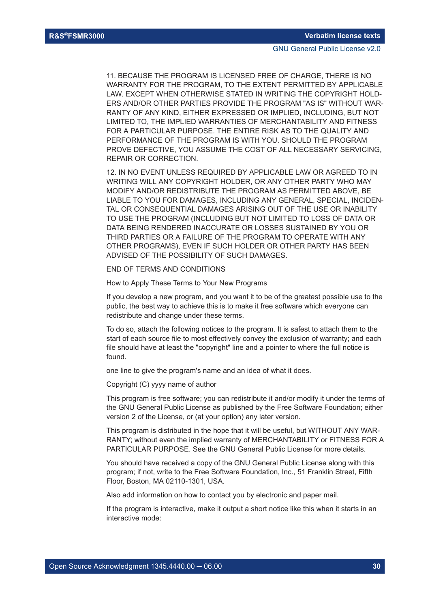11. BECAUSE THE PROGRAM IS LICENSED FREE OF CHARGE, THERE IS NO WARRANTY FOR THE PROGRAM, TO THE EXTENT PERMITTED BY APPLICABLE LAW. EXCEPT WHEN OTHERWISE STATED IN WRITING THE COPYRIGHT HOLD-ERS AND/OR OTHER PARTIES PROVIDE THE PROGRAM "AS IS" WITHOUT WAR-RANTY OF ANY KIND, EITHER EXPRESSED OR IMPLIED, INCLUDING, BUT NOT LIMITED TO, THE IMPLIED WARRANTIES OF MERCHANTABILITY AND FITNESS FOR A PARTICULAR PURPOSE. THE ENTIRE RISK AS TO THE QUALITY AND PERFORMANCE OF THE PROGRAM IS WITH YOU. SHOULD THE PROGRAM PROVE DEFECTIVE, YOU ASSUME THE COST OF ALL NECESSARY SERVICING, REPAIR OR CORRECTION.

12. IN NO EVENT UNLESS REQUIRED BY APPLICABLE LAW OR AGREED TO IN WRITING WILL ANY COPYRIGHT HOLDER, OR ANY OTHER PARTY WHO MAY MODIFY AND/OR REDISTRIBUTE THE PROGRAM AS PERMITTED ABOVE, BE LIABLE TO YOU FOR DAMAGES, INCLUDING ANY GENERAL, SPECIAL, INCIDEN-TAL OR CONSEQUENTIAL DAMAGES ARISING OUT OF THE USE OR INABILITY TO USE THE PROGRAM (INCLUDING BUT NOT LIMITED TO LOSS OF DATA OR DATA BEING RENDERED INACCURATE OR LOSSES SUSTAINED BY YOU OR THIRD PARTIES OR A FAILURE OF THE PROGRAM TO OPERATE WITH ANY OTHER PROGRAMS), EVEN IF SUCH HOLDER OR OTHER PARTY HAS BEEN ADVISED OF THE POSSIBILITY OF SUCH DAMAGES.

END OF TERMS AND CONDITIONS

How to Apply These Terms to Your New Programs

If you develop a new program, and you want it to be of the greatest possible use to the public, the best way to achieve this is to make it free software which everyone can redistribute and change under these terms.

To do so, attach the following notices to the program. It is safest to attach them to the start of each source file to most effectively convey the exclusion of warranty; and each file should have at least the "copyright" line and a pointer to where the full notice is found.

one line to give the program's name and an idea of what it does.

Copyright (C) yyyy name of author

This program is free software; you can redistribute it and/or modify it under the terms of the GNU General Public License as published by the Free Software Foundation; either version 2 of the License, or (at your option) any later version.

This program is distributed in the hope that it will be useful, but WITHOUT ANY WAR-RANTY; without even the implied warranty of MERCHANTABILITY or FITNESS FOR A PARTICULAR PURPOSE. See the GNU General Public License for more details.

You should have received a copy of the GNU General Public License along with this program; if not, write to the Free Software Foundation, Inc., 51 Franklin Street, Fifth Floor, Boston, MA 02110-1301, USA.

Also add information on how to contact you by electronic and paper mail.

If the program is interactive, make it output a short notice like this when it starts in an interactive mode: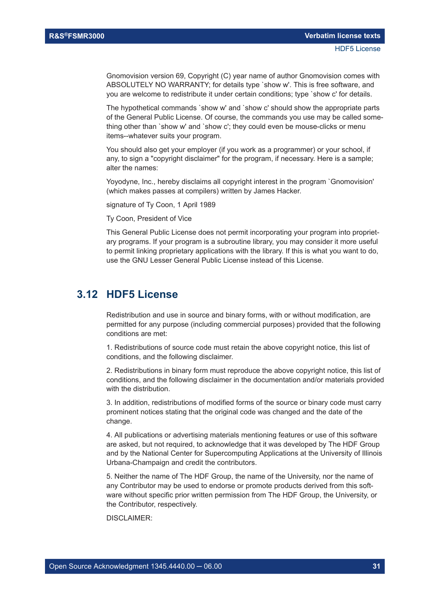<span id="page-30-0"></span>Gnomovision version 69, Copyright (C) year name of author Gnomovision comes with ABSOLUTELY NO WARRANTY; for details type `show w'. This is free software, and you are welcome to redistribute it under certain conditions; type `show c' for details.

The hypothetical commands `show w' and `show c' should show the appropriate parts of the General Public License. Of course, the commands you use may be called something other than `show w' and `show c'; they could even be mouse-clicks or menu items--whatever suits your program.

You should also get your employer (if you work as a programmer) or your school, if any, to sign a "copyright disclaimer" for the program, if necessary. Here is a sample; alter the names:

Yoyodyne, Inc., hereby disclaims all copyright interest in the program `Gnomovision' (which makes passes at compilers) written by James Hacker.

signature of Ty Coon, 1 April 1989

Ty Coon, President of Vice

This General Public License does not permit incorporating your program into proprietary programs. If your program is a subroutine library, you may consider it more useful to permit linking proprietary applications with the library. If this is what you want to do, use the GNU Lesser General Public License instead of this License.

### **3.12 HDF5 License**

Redistribution and use in source and binary forms, with or without modification, are permitted for any purpose (including commercial purposes) provided that the following conditions are met:

1. Redistributions of source code must retain the above copyright notice, this list of conditions, and the following disclaimer.

2. Redistributions in binary form must reproduce the above copyright notice, this list of conditions, and the following disclaimer in the documentation and/or materials provided with the distribution.

3. In addition, redistributions of modified forms of the source or binary code must carry prominent notices stating that the original code was changed and the date of the change.

4. All publications or advertising materials mentioning features or use of this software are asked, but not required, to acknowledge that it was developed by The HDF Group and by the National Center for Supercomputing Applications at the University of Illinois Urbana-Champaign and credit the contributors.

5. Neither the name of The HDF Group, the name of the University, nor the name of any Contributor may be used to endorse or promote products derived from this software without specific prior written permission from The HDF Group, the University, or the Contributor, respectively.

DISCLAIMER<sup>.</sup>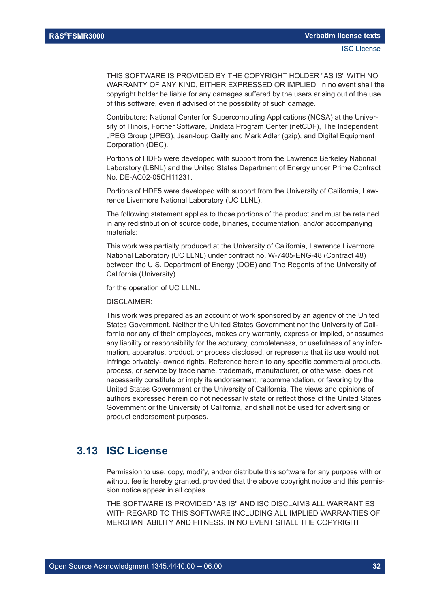<span id="page-31-0"></span>THIS SOFTWARE IS PROVIDED BY THE COPYRIGHT HOLDER "AS IS" WITH NO WARRANTY OF ANY KIND, EITHER EXPRESSED OR IMPLIED. In no event shall the copyright holder be liable for any damages suffered by the users arising out of the use of this software, even if advised of the possibility of such damage.

Contributors: National Center for Supercomputing Applications (NCSA) at the University of Illinois, Fortner Software, Unidata Program Center (netCDF), The Independent JPEG Group (JPEG), Jean-loup Gailly and Mark Adler (gzip), and Digital Equipment Corporation (DEC).

Portions of HDF5 were developed with support from the Lawrence Berkeley National Laboratory (LBNL) and the United States Department of Energy under Prime Contract No. DE-AC02-05CH11231.

Portions of HDF5 were developed with support from the University of California, Lawrence Livermore National Laboratory (UC LLNL).

The following statement applies to those portions of the product and must be retained in any redistribution of source code, binaries, documentation, and/or accompanying materials:

This work was partially produced at the University of California, Lawrence Livermore National Laboratory (UC LLNL) under contract no. W-7405-ENG-48 (Contract 48) between the U.S. Department of Energy (DOE) and The Regents of the University of California (University)

for the operation of UC LLNL.

DISCLAIMER:

This work was prepared as an account of work sponsored by an agency of the United States Government. Neither the United States Government nor the University of California nor any of their employees, makes any warranty, express or implied, or assumes any liability or responsibility for the accuracy, completeness, or usefulness of any information, apparatus, product, or process disclosed, or represents that its use would not infringe privately- owned rights. Reference herein to any specific commercial products, process, or service by trade name, trademark, manufacturer, or otherwise, does not necessarily constitute or imply its endorsement, recommendation, or favoring by the United States Government or the University of California. The views and opinions of authors expressed herein do not necessarily state or reflect those of the United States Government or the University of California, and shall not be used for advertising or product endorsement purposes.

## **3.13 ISC License**

Permission to use, copy, modify, and/or distribute this software for any purpose with or without fee is hereby granted, provided that the above copyright notice and this permission notice appear in all copies.

THE SOFTWARE IS PROVIDED "AS IS" AND ISC DISCLAIMS ALL WARRANTIES WITH REGARD TO THIS SOFTWARE INCLUDING ALL IMPLIED WARRANTIES OF MERCHANTABILITY AND FITNESS. IN NO EVENT SHALL THE COPYRIGHT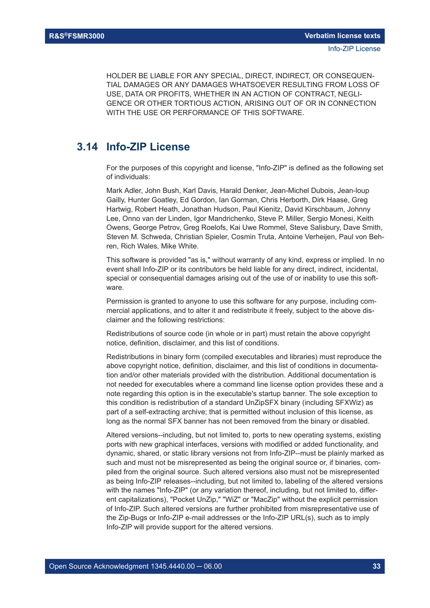<span id="page-32-0"></span>HOLDER BE LIABLE FOR ANY SPECIAL, DIRECT, INDIRECT, OR CONSEQUEN-TIAL DAMAGES OR ANY DAMAGES WHATSOEVER RESULTING FROM LOSS OF USE, DATA OR PROFITS, WHETHER IN AN ACTION OF CONTRACT, NEGLI-GENCE OR OTHER TORTIOUS ACTION, ARISING OUT OF OR IN CONNECTION WITH THE USE OR PERFORMANCE OF THIS SOFTWARE.

## **3.14 Info-ZIP License**

For the purposes of this copyright and license, "Info-ZIP" is defined as the following set of individuals:

Mark Adler, John Bush, Karl Davis, Harald Denker, Jean-Michel Dubois, Jean-loup Gailly, Hunter Goatley, Ed Gordon, Ian Gorman, Chris Herborth, Dirk Haase, Greg Hartwig, Robert Heath, Jonathan Hudson, Paul Kienitz, David Kirschbaum, Johnny Lee, Onno van der Linden, Igor Mandrichenko, Steve P. Miller, Sergio Monesi, Keith Owens, George Petrov, Greg Roelofs, Kai Uwe Rommel, Steve Salisbury, Dave Smith, Steven M. Schweda, Christian Spieler, Cosmin Truta, Antoine Verheijen, Paul von Behren, Rich Wales, Mike White.

This software is provided "as is," without warranty of any kind, express or implied. In no event shall Info-ZIP or its contributors be held liable for any direct, indirect, incidental, special or consequential damages arising out of the use of or inability to use this software.

Permission is granted to anyone to use this software for any purpose, including commercial applications, and to alter it and redistribute it freely, subject to the above disclaimer and the following restrictions:

Redistributions of source code (in whole or in part) must retain the above copyright notice, definition, disclaimer, and this list of conditions.

Redistributions in binary form (compiled executables and libraries) must reproduce the above copyright notice, definition, disclaimer, and this list of conditions in documentation and/or other materials provided with the distribution. Additional documentation is not needed for executables where a command line license option provides these and a note regarding this option is in the executable's startup banner. The sole exception to this condition is redistribution of a standard UnZipSFX binary (including SFXWiz) as part of a self-extracting archive; that is permitted without inclusion of this license, as long as the normal SFX banner has not been removed from the binary or disabled.

Altered versions--including, but not limited to, ports to new operating systems, existing ports with new graphical interfaces, versions with modified or added functionality, and dynamic, shared, or static library versions not from Info-ZIP--must be plainly marked as such and must not be misrepresented as being the original source or, if binaries, compiled from the original source. Such altered versions also must not be misrepresented as being Info-ZIP releases--including, but not limited to, labeling of the altered versions with the names "Info-ZIP" (or any variation thereof, including, but not limited to, different capitalizations), "Pocket UnZip," "WiZ" or "MacZip" without the explicit permission of Info-ZIP. Such altered versions are further prohibited from misrepresentative use of the Zip-Bugs or Info-ZIP e-mail addresses or the Info-ZIP URL(s), such as to imply Info-ZIP will provide support for the altered versions.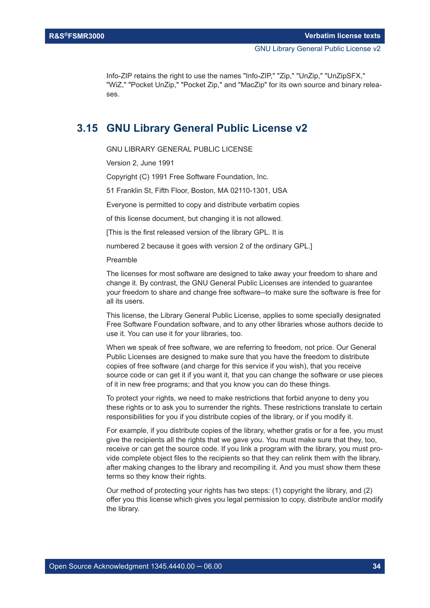<span id="page-33-0"></span>Info-ZIP retains the right to use the names "Info-ZIP," "Zip," "UnZip," "UnZipSFX," "WiZ," "Pocket UnZip," "Pocket Zip," and "MacZip" for its own source and binary releases.

## **3.15 GNU Library General Public License v2**

GNU LIBRARY GENERAL PUBLIC LICENSE

Version 2, June 1991

Copyright (C) 1991 Free Software Foundation, Inc.

51 Franklin St, Fifth Floor, Boston, MA 02110-1301, USA

Everyone is permitted to copy and distribute verbatim copies

of this license document, but changing it is not allowed.

[This is the first released version of the library GPL. It is

numbered 2 because it goes with version 2 of the ordinary GPL.]

#### Preamble

The licenses for most software are designed to take away your freedom to share and change it. By contrast, the GNU General Public Licenses are intended to guarantee your freedom to share and change free software--to make sure the software is free for all its users.

This license, the Library General Public License, applies to some specially designated Free Software Foundation software, and to any other libraries whose authors decide to use it. You can use it for your libraries, too.

When we speak of free software, we are referring to freedom, not price. Our General Public Licenses are designed to make sure that you have the freedom to distribute copies of free software (and charge for this service if you wish), that you receive source code or can get it if you want it, that you can change the software or use pieces of it in new free programs; and that you know you can do these things.

To protect your rights, we need to make restrictions that forbid anyone to deny you these rights or to ask you to surrender the rights. These restrictions translate to certain responsibilities for you if you distribute copies of the library, or if you modify it.

For example, if you distribute copies of the library, whether gratis or for a fee, you must give the recipients all the rights that we gave you. You must make sure that they, too, receive or can get the source code. If you link a program with the library, you must provide complete object files to the recipients so that they can relink them with the library, after making changes to the library and recompiling it. And you must show them these terms so they know their rights.

Our method of protecting your rights has two steps: (1) copyright the library, and (2) offer you this license which gives you legal permission to copy, distribute and/or modify the library.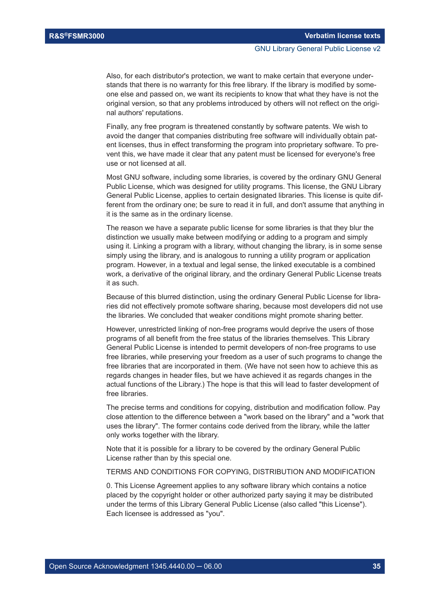Also, for each distributor's protection, we want to make certain that everyone understands that there is no warranty for this free library. If the library is modified by someone else and passed on, we want its recipients to know that what they have is not the original version, so that any problems introduced by others will not reflect on the original authors' reputations.

Finally, any free program is threatened constantly by software patents. We wish to avoid the danger that companies distributing free software will individually obtain patent licenses, thus in effect transforming the program into proprietary software. To prevent this, we have made it clear that any patent must be licensed for everyone's free use or not licensed at all.

Most GNU software, including some libraries, is covered by the ordinary GNU General Public License, which was designed for utility programs. This license, the GNU Library General Public License, applies to certain designated libraries. This license is quite different from the ordinary one; be sure to read it in full, and don't assume that anything in it is the same as in the ordinary license.

The reason we have a separate public license for some libraries is that they blur the distinction we usually make between modifying or adding to a program and simply using it. Linking a program with a library, without changing the library, is in some sense simply using the library, and is analogous to running a utility program or application program. However, in a textual and legal sense, the linked executable is a combined work, a derivative of the original library, and the ordinary General Public License treats it as such.

Because of this blurred distinction, using the ordinary General Public License for libraries did not effectively promote software sharing, because most developers did not use the libraries. We concluded that weaker conditions might promote sharing better.

However, unrestricted linking of non-free programs would deprive the users of those programs of all benefit from the free status of the libraries themselves. This Library General Public License is intended to permit developers of non-free programs to use free libraries, while preserving your freedom as a user of such programs to change the free libraries that are incorporated in them. (We have not seen how to achieve this as regards changes in header files, but we have achieved it as regards changes in the actual functions of the Library.) The hope is that this will lead to faster development of free libraries.

The precise terms and conditions for copying, distribution and modification follow. Pay close attention to the difference between a "work based on the library" and a "work that uses the library". The former contains code derived from the library, while the latter only works together with the library.

Note that it is possible for a library to be covered by the ordinary General Public License rather than by this special one.

#### TERMS AND CONDITIONS FOR COPYING, DISTRIBUTION AND MODIFICATION

0. This License Agreement applies to any software library which contains a notice placed by the copyright holder or other authorized party saying it may be distributed under the terms of this Library General Public License (also called "this License"). Each licensee is addressed as "you".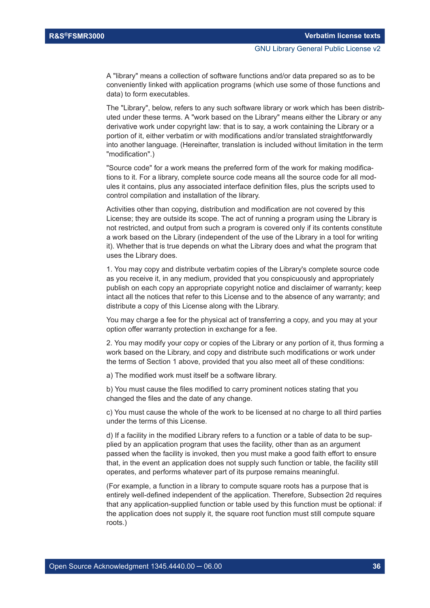A "library" means a collection of software functions and/or data prepared so as to be conveniently linked with application programs (which use some of those functions and data) to form executables.

The "Library", below, refers to any such software library or work which has been distributed under these terms. A "work based on the Library" means either the Library or any derivative work under copyright law: that is to say, a work containing the Library or a portion of it, either verbatim or with modifications and/or translated straightforwardly into another language. (Hereinafter, translation is included without limitation in the term "modification".)

"Source code" for a work means the preferred form of the work for making modifications to it. For a library, complete source code means all the source code for all modules it contains, plus any associated interface definition files, plus the scripts used to control compilation and installation of the library.

Activities other than copying, distribution and modification are not covered by this License; they are outside its scope. The act of running a program using the Library is not restricted, and output from such a program is covered only if its contents constitute a work based on the Library (independent of the use of the Library in a tool for writing it). Whether that is true depends on what the Library does and what the program that uses the Library does.

1. You may copy and distribute verbatim copies of the Library's complete source code as you receive it, in any medium, provided that you conspicuously and appropriately publish on each copy an appropriate copyright notice and disclaimer of warranty; keep intact all the notices that refer to this License and to the absence of any warranty; and distribute a copy of this License along with the Library.

You may charge a fee for the physical act of transferring a copy, and you may at your option offer warranty protection in exchange for a fee.

2. You may modify your copy or copies of the Library or any portion of it, thus forming a work based on the Library, and copy and distribute such modifications or work under the terms of Section 1 above, provided that you also meet all of these conditions:

a) The modified work must itself be a software library.

b) You must cause the files modified to carry prominent notices stating that you changed the files and the date of any change.

c) You must cause the whole of the work to be licensed at no charge to all third parties under the terms of this License.

d) If a facility in the modified Library refers to a function or a table of data to be supplied by an application program that uses the facility, other than as an argument passed when the facility is invoked, then you must make a good faith effort to ensure that, in the event an application does not supply such function or table, the facility still operates, and performs whatever part of its purpose remains meaningful.

(For example, a function in a library to compute square roots has a purpose that is entirely well-defined independent of the application. Therefore, Subsection 2d requires that any application-supplied function or table used by this function must be optional: if the application does not supply it, the square root function must still compute square roots.)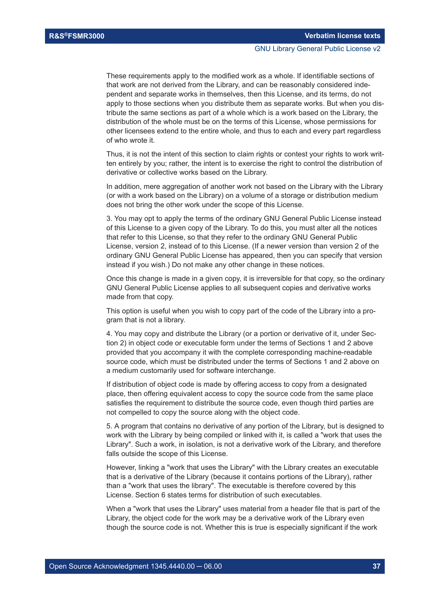These requirements apply to the modified work as a whole. If identifiable sections of that work are not derived from the Library, and can be reasonably considered independent and separate works in themselves, then this License, and its terms, do not apply to those sections when you distribute them as separate works. But when you distribute the same sections as part of a whole which is a work based on the Library, the distribution of the whole must be on the terms of this License, whose permissions for other licensees extend to the entire whole, and thus to each and every part regardless of who wrote it.

Thus, it is not the intent of this section to claim rights or contest your rights to work written entirely by you; rather, the intent is to exercise the right to control the distribution of derivative or collective works based on the Library.

In addition, mere aggregation of another work not based on the Library with the Library (or with a work based on the Library) on a volume of a storage or distribution medium does not bring the other work under the scope of this License.

3. You may opt to apply the terms of the ordinary GNU General Public License instead of this License to a given copy of the Library. To do this, you must alter all the notices that refer to this License, so that they refer to the ordinary GNU General Public License, version 2, instead of to this License. (If a newer version than version 2 of the ordinary GNU General Public License has appeared, then you can specify that version instead if you wish.) Do not make any other change in these notices.

Once this change is made in a given copy, it is irreversible for that copy, so the ordinary GNU General Public License applies to all subsequent copies and derivative works made from that copy.

This option is useful when you wish to copy part of the code of the Library into a program that is not a library.

4. You may copy and distribute the Library (or a portion or derivative of it, under Section 2) in object code or executable form under the terms of Sections 1 and 2 above provided that you accompany it with the complete corresponding machine-readable source code, which must be distributed under the terms of Sections 1 and 2 above on a medium customarily used for software interchange.

If distribution of object code is made by offering access to copy from a designated place, then offering equivalent access to copy the source code from the same place satisfies the requirement to distribute the source code, even though third parties are not compelled to copy the source along with the object code.

5. A program that contains no derivative of any portion of the Library, but is designed to work with the Library by being compiled or linked with it, is called a "work that uses the Library". Such a work, in isolation, is not a derivative work of the Library, and therefore falls outside the scope of this License.

However, linking a "work that uses the Library" with the Library creates an executable that is a derivative of the Library (because it contains portions of the Library), rather than a "work that uses the library". The executable is therefore covered by this License. Section 6 states terms for distribution of such executables.

When a "work that uses the Library" uses material from a header file that is part of the Library, the object code for the work may be a derivative work of the Library even though the source code is not. Whether this is true is especially significant if the work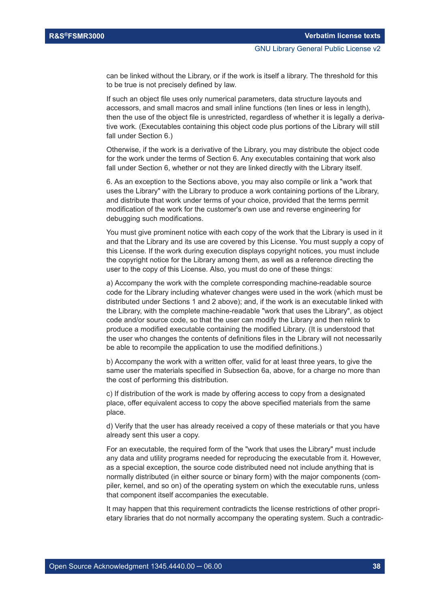can be linked without the Library, or if the work is itself a library. The threshold for this to be true is not precisely defined by law.

If such an object file uses only numerical parameters, data structure layouts and accessors, and small macros and small inline functions (ten lines or less in length), then the use of the object file is unrestricted, regardless of whether it is legally a derivative work. (Executables containing this object code plus portions of the Library will still fall under Section 6.)

Otherwise, if the work is a derivative of the Library, you may distribute the object code for the work under the terms of Section 6. Any executables containing that work also fall under Section 6, whether or not they are linked directly with the Library itself.

6. As an exception to the Sections above, you may also compile or link a "work that uses the Library" with the Library to produce a work containing portions of the Library, and distribute that work under terms of your choice, provided that the terms permit modification of the work for the customer's own use and reverse engineering for debugging such modifications.

You must give prominent notice with each copy of the work that the Library is used in it and that the Library and its use are covered by this License. You must supply a copy of this License. If the work during execution displays copyright notices, you must include the copyright notice for the Library among them, as well as a reference directing the user to the copy of this License. Also, you must do one of these things:

a) Accompany the work with the complete corresponding machine-readable source code for the Library including whatever changes were used in the work (which must be distributed under Sections 1 and 2 above); and, if the work is an executable linked with the Library, with the complete machine-readable "work that uses the Library", as object code and/or source code, so that the user can modify the Library and then relink to produce a modified executable containing the modified Library. (It is understood that the user who changes the contents of definitions files in the Library will not necessarily be able to recompile the application to use the modified definitions.)

b) Accompany the work with a written offer, valid for at least three years, to give the same user the materials specified in Subsection 6a, above, for a charge no more than the cost of performing this distribution.

c) If distribution of the work is made by offering access to copy from a designated place, offer equivalent access to copy the above specified materials from the same place.

d) Verify that the user has already received a copy of these materials or that you have already sent this user a copy.

For an executable, the required form of the "work that uses the Library" must include any data and utility programs needed for reproducing the executable from it. However, as a special exception, the source code distributed need not include anything that is normally distributed (in either source or binary form) with the major components (compiler, kernel, and so on) of the operating system on which the executable runs, unless that component itself accompanies the executable.

It may happen that this requirement contradicts the license restrictions of other proprietary libraries that do not normally accompany the operating system. Such a contradic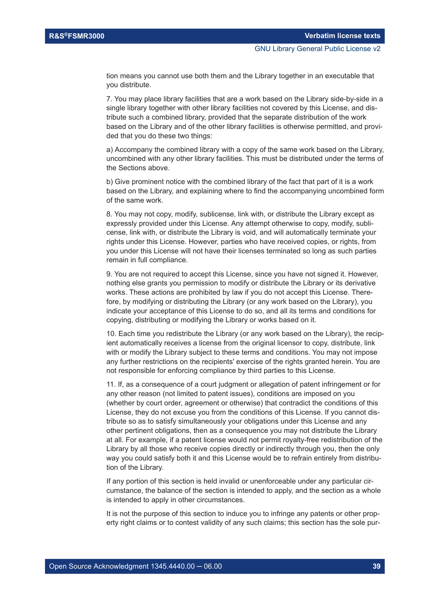tion means you cannot use both them and the Library together in an executable that you distribute.

7. You may place library facilities that are a work based on the Library side-by-side in a single library together with other library facilities not covered by this License, and distribute such a combined library, provided that the separate distribution of the work based on the Library and of the other library facilities is otherwise permitted, and provided that you do these two things:

a) Accompany the combined library with a copy of the same work based on the Library, uncombined with any other library facilities. This must be distributed under the terms of the Sections above.

b) Give prominent notice with the combined library of the fact that part of it is a work based on the Library, and explaining where to find the accompanying uncombined form of the same work.

8. You may not copy, modify, sublicense, link with, or distribute the Library except as expressly provided under this License. Any attempt otherwise to copy, modify, sublicense, link with, or distribute the Library is void, and will automatically terminate your rights under this License. However, parties who have received copies, or rights, from you under this License will not have their licenses terminated so long as such parties remain in full compliance.

9. You are not required to accept this License, since you have not signed it. However, nothing else grants you permission to modify or distribute the Library or its derivative works. These actions are prohibited by law if you do not accept this License. Therefore, by modifying or distributing the Library (or any work based on the Library), you indicate your acceptance of this License to do so, and all its terms and conditions for copying, distributing or modifying the Library or works based on it.

10. Each time you redistribute the Library (or any work based on the Library), the recipient automatically receives a license from the original licensor to copy, distribute, link with or modify the Library subject to these terms and conditions. You may not impose any further restrictions on the recipients' exercise of the rights granted herein. You are not responsible for enforcing compliance by third parties to this License.

11. If, as a consequence of a court judgment or allegation of patent infringement or for any other reason (not limited to patent issues), conditions are imposed on you (whether by court order, agreement or otherwise) that contradict the conditions of this License, they do not excuse you from the conditions of this License. If you cannot distribute so as to satisfy simultaneously your obligations under this License and any other pertinent obligations, then as a consequence you may not distribute the Library at all. For example, if a patent license would not permit royalty-free redistribution of the Library by all those who receive copies directly or indirectly through you, then the only way you could satisfy both it and this License would be to refrain entirely from distribution of the Library.

If any portion of this section is held invalid or unenforceable under any particular circumstance, the balance of the section is intended to apply, and the section as a whole is intended to apply in other circumstances.

It is not the purpose of this section to induce you to infringe any patents or other property right claims or to contest validity of any such claims; this section has the sole pur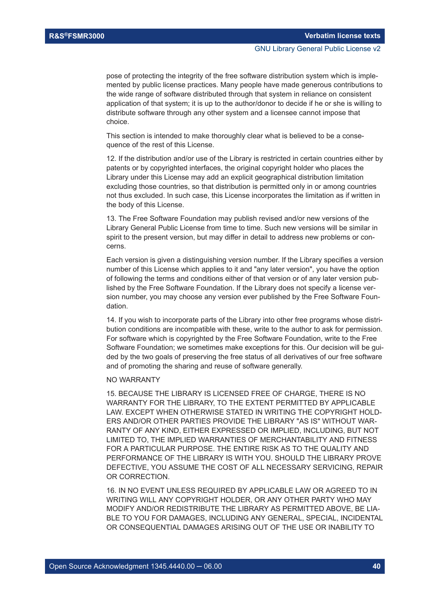pose of protecting the integrity of the free software distribution system which is implemented by public license practices. Many people have made generous contributions to the wide range of software distributed through that system in reliance on consistent application of that system; it is up to the author/donor to decide if he or she is willing to distribute software through any other system and a licensee cannot impose that choice.

This section is intended to make thoroughly clear what is believed to be a consequence of the rest of this License.

12. If the distribution and/or use of the Library is restricted in certain countries either by patents or by copyrighted interfaces, the original copyright holder who places the Library under this License may add an explicit geographical distribution limitation excluding those countries, so that distribution is permitted only in or among countries not thus excluded. In such case, this License incorporates the limitation as if written in the body of this License.

13. The Free Software Foundation may publish revised and/or new versions of the Library General Public License from time to time. Such new versions will be similar in spirit to the present version, but may differ in detail to address new problems or concerns.

Each version is given a distinguishing version number. If the Library specifies a version number of this License which applies to it and "any later version", you have the option of following the terms and conditions either of that version or of any later version published by the Free Software Foundation. If the Library does not specify a license version number, you may choose any version ever published by the Free Software Foundation.

14. If you wish to incorporate parts of the Library into other free programs whose distribution conditions are incompatible with these, write to the author to ask for permission. For software which is copyrighted by the Free Software Foundation, write to the Free Software Foundation; we sometimes make exceptions for this. Our decision will be guided by the two goals of preserving the free status of all derivatives of our free software and of promoting the sharing and reuse of software generally.

## NO WARRANTY

15. BECAUSE THE LIBRARY IS LICENSED FREE OF CHARGE, THERE IS NO WARRANTY FOR THE LIBRARY, TO THE EXTENT PERMITTED BY APPLICABLE LAW. EXCEPT WHEN OTHERWISE STATED IN WRITING THE COPYRIGHT HOLD-ERS AND/OR OTHER PARTIES PROVIDE THE LIBRARY "AS IS" WITHOUT WAR-RANTY OF ANY KIND, EITHER EXPRESSED OR IMPLIED, INCLUDING, BUT NOT LIMITED TO, THE IMPLIED WARRANTIES OF MERCHANTABILITY AND FITNESS FOR A PARTICULAR PURPOSE. THE ENTIRE RISK AS TO THE QUALITY AND PERFORMANCE OF THE LIBRARY IS WITH YOU. SHOULD THE LIBRARY PROVE DEFECTIVE, YOU ASSUME THE COST OF ALL NECESSARY SERVICING, REPAIR OR CORRECTION.

16. IN NO EVENT UNLESS REQUIRED BY APPLICABLE LAW OR AGREED TO IN WRITING WILL ANY COPYRIGHT HOLDER, OR ANY OTHER PARTY WHO MAY MODIFY AND/OR REDISTRIBUTE THE LIBRARY AS PERMITTED ABOVE, BE LIA-BLE TO YOU FOR DAMAGES, INCLUDING ANY GENERAL, SPECIAL, INCIDENTAL OR CONSEQUENTIAL DAMAGES ARISING OUT OF THE USE OR INABILITY TO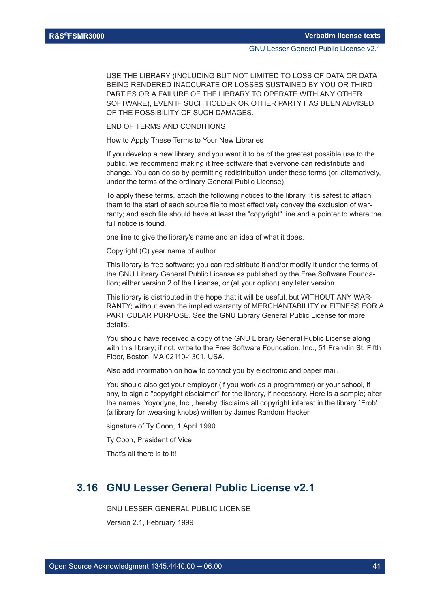USE THE LIBRARY (INCLUDING BUT NOT LIMITED TO LOSS OF DATA OR DATA BEING RENDERED INACCURATE OR LOSSES SUSTAINED BY YOU OR THIRD PARTIES OR A FAILURE OF THE LIBRARY TO OPERATE WITH ANY OTHER SOFTWARE), EVEN IF SUCH HOLDER OR OTHER PARTY HAS BEEN ADVISED OF THE POSSIBILITY OF SUCH DAMAGES.

END OF TERMS AND CONDITIONS

How to Apply These Terms to Your New Libraries

If you develop a new library, and you want it to be of the greatest possible use to the public, we recommend making it free software that everyone can redistribute and change. You can do so by permitting redistribution under these terms (or, alternatively, under the terms of the ordinary General Public License).

To apply these terms, attach the following notices to the library. It is safest to attach them to the start of each source file to most effectively convey the exclusion of warranty; and each file should have at least the "copyright" line and a pointer to where the full notice is found.

one line to give the library's name and an idea of what it does.

Copyright (C) year name of author

This library is free software; you can redistribute it and/or modify it under the terms of the GNU Library General Public License as published by the Free Software Foundation; either version 2 of the License, or (at your option) any later version.

This library is distributed in the hope that it will be useful, but WITHOUT ANY WAR-RANTY; without even the implied warranty of MERCHANTABILITY or FITNESS FOR A PARTICULAR PURPOSE. See the GNU Library General Public License for more details.

You should have received a copy of the GNU Library General Public License along with this library; if not, write to the Free Software Foundation, Inc., 51 Franklin St, Fifth Floor, Boston, MA 02110-1301, USA.

Also add information on how to contact you by electronic and paper mail.

You should also get your employer (if you work as a programmer) or your school, if any, to sign a "copyright disclaimer" for the library, if necessary. Here is a sample; alter the names: Yoyodyne, Inc., hereby disclaims all copyright interest in the library `Frob' (a library for tweaking knobs) written by James Random Hacker.

signature of Ty Coon, 1 April 1990

Ty Coon, President of Vice

That's all there is to it!

# **3.16 GNU Lesser General Public License v2.1**

GNU LESSER GENERAL PUBLIC LICENSE Version 2.1, February 1999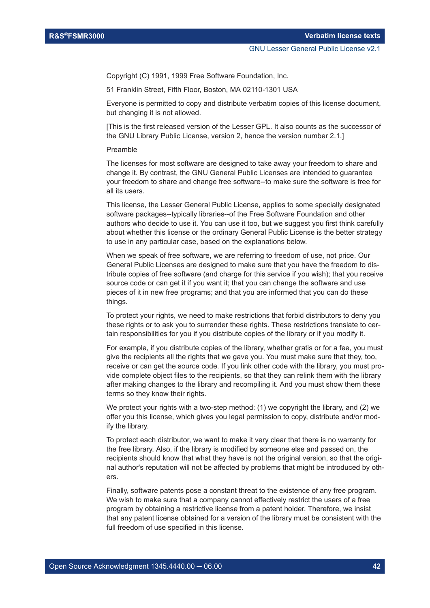Copyright (C) 1991, 1999 Free Software Foundation, Inc.

51 Franklin Street, Fifth Floor, Boston, MA 02110-1301 USA

Everyone is permitted to copy and distribute verbatim copies of this license document, but changing it is not allowed.

[This is the first released version of the Lesser GPL. It also counts as the successor of the GNU Library Public License, version 2, hence the version number 2.1.]

#### Preamble

The licenses for most software are designed to take away your freedom to share and change it. By contrast, the GNU General Public Licenses are intended to guarantee your freedom to share and change free software--to make sure the software is free for all its users.

This license, the Lesser General Public License, applies to some specially designated software packages--typically libraries--of the Free Software Foundation and other authors who decide to use it. You can use it too, but we suggest you first think carefully about whether this license or the ordinary General Public License is the better strategy to use in any particular case, based on the explanations below.

When we speak of free software, we are referring to freedom of use, not price. Our General Public Licenses are designed to make sure that you have the freedom to distribute copies of free software (and charge for this service if you wish); that you receive source code or can get it if you want it; that you can change the software and use pieces of it in new free programs; and that you are informed that you can do these things.

To protect your rights, we need to make restrictions that forbid distributors to deny you these rights or to ask you to surrender these rights. These restrictions translate to certain responsibilities for you if you distribute copies of the library or if you modify it.

For example, if you distribute copies of the library, whether gratis or for a fee, you must give the recipients all the rights that we gave you. You must make sure that they, too, receive or can get the source code. If you link other code with the library, you must provide complete object files to the recipients, so that they can relink them with the library after making changes to the library and recompiling it. And you must show them these terms so they know their rights.

We protect your rights with a two-step method: (1) we copyright the library, and (2) we offer you this license, which gives you legal permission to copy, distribute and/or modify the library.

To protect each distributor, we want to make it very clear that there is no warranty for the free library. Also, if the library is modified by someone else and passed on, the recipients should know that what they have is not the original version, so that the original author's reputation will not be affected by problems that might be introduced by others.

Finally, software patents pose a constant threat to the existence of any free program. We wish to make sure that a company cannot effectively restrict the users of a free program by obtaining a restrictive license from a patent holder. Therefore, we insist that any patent license obtained for a version of the library must be consistent with the full freedom of use specified in this license.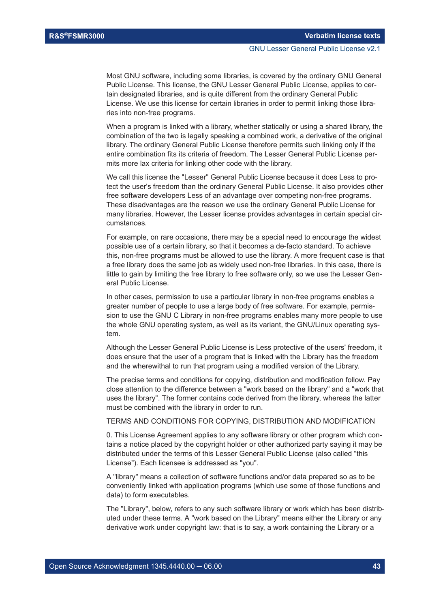Most GNU software, including some libraries, is covered by the ordinary GNU General Public License. This license, the GNU Lesser General Public License, applies to certain designated libraries, and is quite different from the ordinary General Public License. We use this license for certain libraries in order to permit linking those libraries into non-free programs.

When a program is linked with a library, whether statically or using a shared library, the combination of the two is legally speaking a combined work, a derivative of the original library. The ordinary General Public License therefore permits such linking only if the entire combination fits its criteria of freedom. The Lesser General Public License permits more lax criteria for linking other code with the library.

We call this license the "Lesser" General Public License because it does Less to protect the user's freedom than the ordinary General Public License. It also provides other free software developers Less of an advantage over competing non-free programs. These disadvantages are the reason we use the ordinary General Public License for many libraries. However, the Lesser license provides advantages in certain special circumstances.

For example, on rare occasions, there may be a special need to encourage the widest possible use of a certain library, so that it becomes a de-facto standard. To achieve this, non-free programs must be allowed to use the library. A more frequent case is that a free library does the same job as widely used non-free libraries. In this case, there is little to gain by limiting the free library to free software only, so we use the Lesser General Public License.

In other cases, permission to use a particular library in non-free programs enables a greater number of people to use a large body of free software. For example, permission to use the GNU C Library in non-free programs enables many more people to use the whole GNU operating system, as well as its variant, the GNU/Linux operating system.

Although the Lesser General Public License is Less protective of the users' freedom, it does ensure that the user of a program that is linked with the Library has the freedom and the wherewithal to run that program using a modified version of the Library.

The precise terms and conditions for copying, distribution and modification follow. Pay close attention to the difference between a "work based on the library" and a "work that uses the library". The former contains code derived from the library, whereas the latter must be combined with the library in order to run.

### TERMS AND CONDITIONS FOR COPYING, DISTRIBUTION AND MODIFICATION

0. This License Agreement applies to any software library or other program which contains a notice placed by the copyright holder or other authorized party saying it may be distributed under the terms of this Lesser General Public License (also called "this License"). Each licensee is addressed as "you".

A "library" means a collection of software functions and/or data prepared so as to be conveniently linked with application programs (which use some of those functions and data) to form executables.

The "Library", below, refers to any such software library or work which has been distributed under these terms. A "work based on the Library" means either the Library or any derivative work under copyright law: that is to say, a work containing the Library or a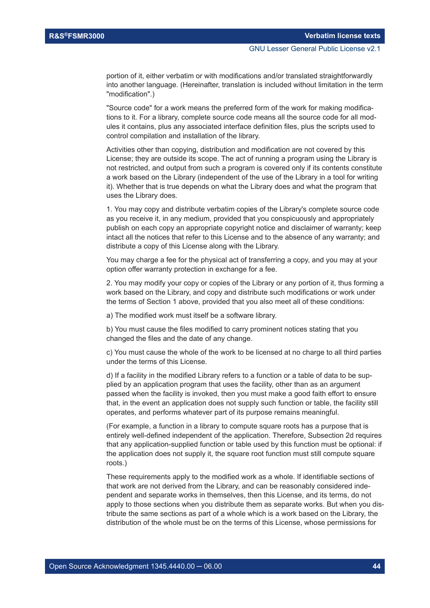portion of it, either verbatim or with modifications and/or translated straightforwardly into another language. (Hereinafter, translation is included without limitation in the term "modification".)

"Source code" for a work means the preferred form of the work for making modifications to it. For a library, complete source code means all the source code for all modules it contains, plus any associated interface definition files, plus the scripts used to control compilation and installation of the library.

Activities other than copying, distribution and modification are not covered by this License; they are outside its scope. The act of running a program using the Library is not restricted, and output from such a program is covered only if its contents constitute a work based on the Library (independent of the use of the Library in a tool for writing it). Whether that is true depends on what the Library does and what the program that uses the Library does.

1. You may copy and distribute verbatim copies of the Library's complete source code as you receive it, in any medium, provided that you conspicuously and appropriately publish on each copy an appropriate copyright notice and disclaimer of warranty; keep intact all the notices that refer to this License and to the absence of any warranty; and distribute a copy of this License along with the Library.

You may charge a fee for the physical act of transferring a copy, and you may at your option offer warranty protection in exchange for a fee.

2. You may modify your copy or copies of the Library or any portion of it, thus forming a work based on the Library, and copy and distribute such modifications or work under the terms of Section 1 above, provided that you also meet all of these conditions:

a) The modified work must itself be a software library.

b) You must cause the files modified to carry prominent notices stating that you changed the files and the date of any change.

c) You must cause the whole of the work to be licensed at no charge to all third parties under the terms of this License.

d) If a facility in the modified Library refers to a function or a table of data to be supplied by an application program that uses the facility, other than as an argument passed when the facility is invoked, then you must make a good faith effort to ensure that, in the event an application does not supply such function or table, the facility still operates, and performs whatever part of its purpose remains meaningful.

(For example, a function in a library to compute square roots has a purpose that is entirely well-defined independent of the application. Therefore, Subsection 2d requires that any application-supplied function or table used by this function must be optional: if the application does not supply it, the square root function must still compute square roots.)

These requirements apply to the modified work as a whole. If identifiable sections of that work are not derived from the Library, and can be reasonably considered independent and separate works in themselves, then this License, and its terms, do not apply to those sections when you distribute them as separate works. But when you distribute the same sections as part of a whole which is a work based on the Library, the distribution of the whole must be on the terms of this License, whose permissions for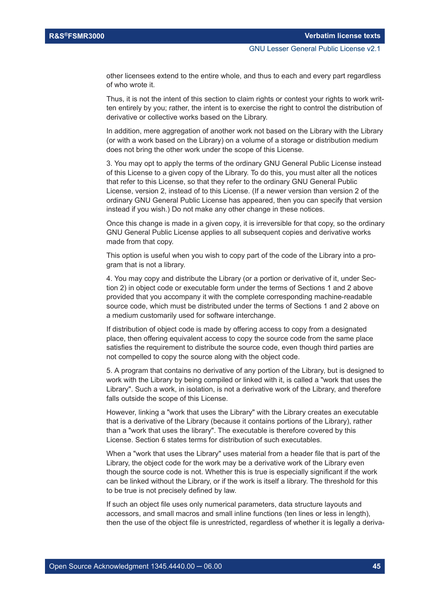other licensees extend to the entire whole, and thus to each and every part regardless of who wrote it.

Thus, it is not the intent of this section to claim rights or contest your rights to work written entirely by you; rather, the intent is to exercise the right to control the distribution of derivative or collective works based on the Library.

In addition, mere aggregation of another work not based on the Library with the Library (or with a work based on the Library) on a volume of a storage or distribution medium does not bring the other work under the scope of this License.

3. You may opt to apply the terms of the ordinary GNU General Public License instead of this License to a given copy of the Library. To do this, you must alter all the notices that refer to this License, so that they refer to the ordinary GNU General Public License, version 2, instead of to this License. (If a newer version than version 2 of the ordinary GNU General Public License has appeared, then you can specify that version instead if you wish.) Do not make any other change in these notices.

Once this change is made in a given copy, it is irreversible for that copy, so the ordinary GNU General Public License applies to all subsequent copies and derivative works made from that copy.

This option is useful when you wish to copy part of the code of the Library into a program that is not a library.

4. You may copy and distribute the Library (or a portion or derivative of it, under Section 2) in object code or executable form under the terms of Sections 1 and 2 above provided that you accompany it with the complete corresponding machine-readable source code, which must be distributed under the terms of Sections 1 and 2 above on a medium customarily used for software interchange.

If distribution of object code is made by offering access to copy from a designated place, then offering equivalent access to copy the source code from the same place satisfies the requirement to distribute the source code, even though third parties are not compelled to copy the source along with the object code.

5. A program that contains no derivative of any portion of the Library, but is designed to work with the Library by being compiled or linked with it, is called a "work that uses the Library". Such a work, in isolation, is not a derivative work of the Library, and therefore falls outside the scope of this License.

However, linking a "work that uses the Library" with the Library creates an executable that is a derivative of the Library (because it contains portions of the Library), rather than a "work that uses the library". The executable is therefore covered by this License. Section 6 states terms for distribution of such executables.

When a "work that uses the Library" uses material from a header file that is part of the Library, the object code for the work may be a derivative work of the Library even though the source code is not. Whether this is true is especially significant if the work can be linked without the Library, or if the work is itself a library. The threshold for this to be true is not precisely defined by law.

If such an object file uses only numerical parameters, data structure layouts and accessors, and small macros and small inline functions (ten lines or less in length), then the use of the object file is unrestricted, regardless of whether it is legally a deriva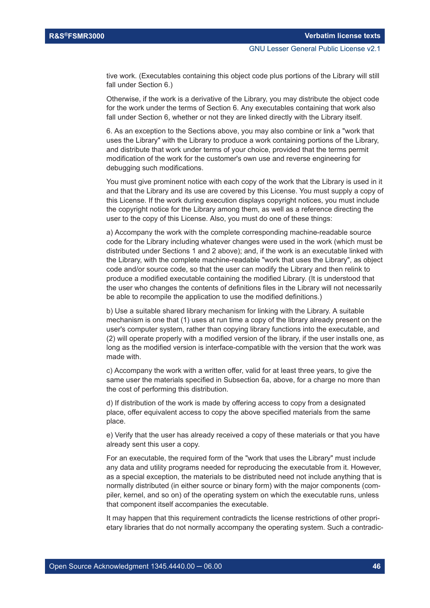tive work. (Executables containing this object code plus portions of the Library will still fall under Section 6.)

Otherwise, if the work is a derivative of the Library, you may distribute the object code for the work under the terms of Section 6. Any executables containing that work also fall under Section 6, whether or not they are linked directly with the Library itself.

6. As an exception to the Sections above, you may also combine or link a "work that uses the Library" with the Library to produce a work containing portions of the Library, and distribute that work under terms of your choice, provided that the terms permit modification of the work for the customer's own use and reverse engineering for debugging such modifications.

You must give prominent notice with each copy of the work that the Library is used in it and that the Library and its use are covered by this License. You must supply a copy of this License. If the work during execution displays copyright notices, you must include the copyright notice for the Library among them, as well as a reference directing the user to the copy of this License. Also, you must do one of these things:

a) Accompany the work with the complete corresponding machine-readable source code for the Library including whatever changes were used in the work (which must be distributed under Sections 1 and 2 above); and, if the work is an executable linked with the Library, with the complete machine-readable "work that uses the Library", as object code and/or source code, so that the user can modify the Library and then relink to produce a modified executable containing the modified Library. (It is understood that the user who changes the contents of definitions files in the Library will not necessarily be able to recompile the application to use the modified definitions.)

b) Use a suitable shared library mechanism for linking with the Library. A suitable mechanism is one that (1) uses at run time a copy of the library already present on the user's computer system, rather than copying library functions into the executable, and (2) will operate properly with a modified version of the library, if the user installs one, as long as the modified version is interface-compatible with the version that the work was made with.

c) Accompany the work with a written offer, valid for at least three years, to give the same user the materials specified in Subsection 6a, above, for a charge no more than the cost of performing this distribution.

d) If distribution of the work is made by offering access to copy from a designated place, offer equivalent access to copy the above specified materials from the same place.

e) Verify that the user has already received a copy of these materials or that you have already sent this user a copy.

For an executable, the required form of the "work that uses the Library" must include any data and utility programs needed for reproducing the executable from it. However, as a special exception, the materials to be distributed need not include anything that is normally distributed (in either source or binary form) with the major components (compiler, kernel, and so on) of the operating system on which the executable runs, unless that component itself accompanies the executable.

It may happen that this requirement contradicts the license restrictions of other proprietary libraries that do not normally accompany the operating system. Such a contradic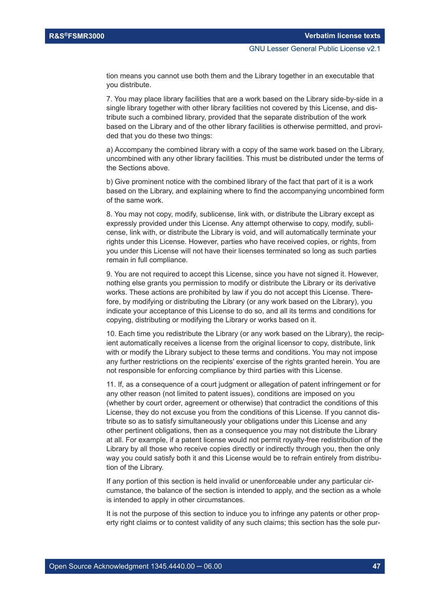tion means you cannot use both them and the Library together in an executable that you distribute.

7. You may place library facilities that are a work based on the Library side-by-side in a single library together with other library facilities not covered by this License, and distribute such a combined library, provided that the separate distribution of the work based on the Library and of the other library facilities is otherwise permitted, and provided that you do these two things:

a) Accompany the combined library with a copy of the same work based on the Library, uncombined with any other library facilities. This must be distributed under the terms of the Sections above.

b) Give prominent notice with the combined library of the fact that part of it is a work based on the Library, and explaining where to find the accompanying uncombined form of the same work.

8. You may not copy, modify, sublicense, link with, or distribute the Library except as expressly provided under this License. Any attempt otherwise to copy, modify, sublicense, link with, or distribute the Library is void, and will automatically terminate your rights under this License. However, parties who have received copies, or rights, from you under this License will not have their licenses terminated so long as such parties remain in full compliance.

9. You are not required to accept this License, since you have not signed it. However, nothing else grants you permission to modify or distribute the Library or its derivative works. These actions are prohibited by law if you do not accept this License. Therefore, by modifying or distributing the Library (or any work based on the Library), you indicate your acceptance of this License to do so, and all its terms and conditions for copying, distributing or modifying the Library or works based on it.

10. Each time you redistribute the Library (or any work based on the Library), the recipient automatically receives a license from the original licensor to copy, distribute, link with or modify the Library subject to these terms and conditions. You may not impose any further restrictions on the recipients' exercise of the rights granted herein. You are not responsible for enforcing compliance by third parties with this License.

11. If, as a consequence of a court judgment or allegation of patent infringement or for any other reason (not limited to patent issues), conditions are imposed on you (whether by court order, agreement or otherwise) that contradict the conditions of this License, they do not excuse you from the conditions of this License. If you cannot distribute so as to satisfy simultaneously your obligations under this License and any other pertinent obligations, then as a consequence you may not distribute the Library at all. For example, if a patent license would not permit royalty-free redistribution of the Library by all those who receive copies directly or indirectly through you, then the only way you could satisfy both it and this License would be to refrain entirely from distribution of the Library.

If any portion of this section is held invalid or unenforceable under any particular circumstance, the balance of the section is intended to apply, and the section as a whole is intended to apply in other circumstances.

It is not the purpose of this section to induce you to infringe any patents or other property right claims or to contest validity of any such claims; this section has the sole pur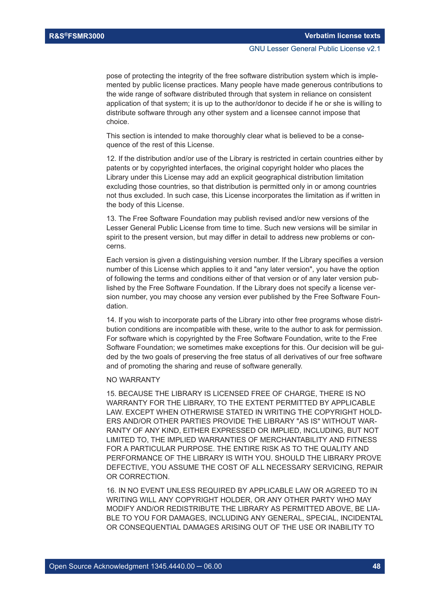pose of protecting the integrity of the free software distribution system which is implemented by public license practices. Many people have made generous contributions to the wide range of software distributed through that system in reliance on consistent application of that system; it is up to the author/donor to decide if he or she is willing to distribute software through any other system and a licensee cannot impose that choice.

This section is intended to make thoroughly clear what is believed to be a consequence of the rest of this License.

12. If the distribution and/or use of the Library is restricted in certain countries either by patents or by copyrighted interfaces, the original copyright holder who places the Library under this License may add an explicit geographical distribution limitation excluding those countries, so that distribution is permitted only in or among countries not thus excluded. In such case, this License incorporates the limitation as if written in the body of this License.

13. The Free Software Foundation may publish revised and/or new versions of the Lesser General Public License from time to time. Such new versions will be similar in spirit to the present version, but may differ in detail to address new problems or concerns.

Each version is given a distinguishing version number. If the Library specifies a version number of this License which applies to it and "any later version", you have the option of following the terms and conditions either of that version or of any later version published by the Free Software Foundation. If the Library does not specify a license version number, you may choose any version ever published by the Free Software Foundation.

14. If you wish to incorporate parts of the Library into other free programs whose distribution conditions are incompatible with these, write to the author to ask for permission. For software which is copyrighted by the Free Software Foundation, write to the Free Software Foundation; we sometimes make exceptions for this. Our decision will be guided by the two goals of preserving the free status of all derivatives of our free software and of promoting the sharing and reuse of software generally.

## NO WARRANTY

15. BECAUSE THE LIBRARY IS LICENSED FREE OF CHARGE, THERE IS NO WARRANTY FOR THE LIBRARY, TO THE EXTENT PERMITTED BY APPLICABLE LAW. EXCEPT WHEN OTHERWISE STATED IN WRITING THE COPYRIGHT HOLD-ERS AND/OR OTHER PARTIES PROVIDE THE LIBRARY "AS IS" WITHOUT WAR-RANTY OF ANY KIND, EITHER EXPRESSED OR IMPLIED, INCLUDING, BUT NOT LIMITED TO, THE IMPLIED WARRANTIES OF MERCHANTABILITY AND FITNESS FOR A PARTICULAR PURPOSE. THE ENTIRE RISK AS TO THE QUALITY AND PERFORMANCE OF THE LIBRARY IS WITH YOU. SHOULD THE LIBRARY PROVE DEFECTIVE, YOU ASSUME THE COST OF ALL NECESSARY SERVICING, REPAIR OR CORRECTION.

16. IN NO EVENT UNLESS REQUIRED BY APPLICABLE LAW OR AGREED TO IN WRITING WILL ANY COPYRIGHT HOLDER, OR ANY OTHER PARTY WHO MAY MODIFY AND/OR REDISTRIBUTE THE LIBRARY AS PERMITTED ABOVE, BE LIA-BLE TO YOU FOR DAMAGES, INCLUDING ANY GENERAL, SPECIAL, INCIDENTAL OR CONSEQUENTIAL DAMAGES ARISING OUT OF THE USE OR INABILITY TO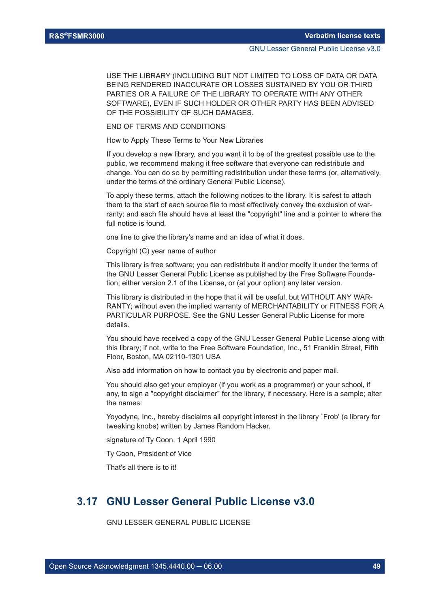USE THE LIBRARY (INCLUDING BUT NOT LIMITED TO LOSS OF DATA OR DATA BEING RENDERED INACCURATE OR LOSSES SUSTAINED BY YOU OR THIRD PARTIES OR A FAILURE OF THE LIBRARY TO OPERATE WITH ANY OTHER SOFTWARE), EVEN IF SUCH HOLDER OR OTHER PARTY HAS BEEN ADVISED OF THE POSSIBILITY OF SUCH DAMAGES.

END OF TERMS AND CONDITIONS

How to Apply These Terms to Your New Libraries

If you develop a new library, and you want it to be of the greatest possible use to the public, we recommend making it free software that everyone can redistribute and change. You can do so by permitting redistribution under these terms (or, alternatively, under the terms of the ordinary General Public License).

To apply these terms, attach the following notices to the library. It is safest to attach them to the start of each source file to most effectively convey the exclusion of warranty; and each file should have at least the "copyright" line and a pointer to where the full notice is found.

one line to give the library's name and an idea of what it does.

Copyright (C) year name of author

This library is free software; you can redistribute it and/or modify it under the terms of the GNU Lesser General Public License as published by the Free Software Foundation; either version 2.1 of the License, or (at your option) any later version.

This library is distributed in the hope that it will be useful, but WITHOUT ANY WAR-RANTY; without even the implied warranty of MERCHANTABILITY or FITNESS FOR A PARTICULAR PURPOSE. See the GNU Lesser General Public License for more details.

You should have received a copy of the GNU Lesser General Public License along with this library; if not, write to the Free Software Foundation, Inc., 51 Franklin Street, Fifth Floor, Boston, MA 02110-1301 USA

Also add information on how to contact you by electronic and paper mail.

You should also get your employer (if you work as a programmer) or your school, if any, to sign a "copyright disclaimer" for the library, if necessary. Here is a sample; alter the names:

Yoyodyne, Inc., hereby disclaims all copyright interest in the library `Frob' (a library for tweaking knobs) written by James Random Hacker.

signature of Ty Coon, 1 April 1990

Ty Coon, President of Vice

That's all there is to it!

## **3.17 GNU Lesser General Public License v3.0**

GNU LESSER GENERAL PUBLIC LICENSE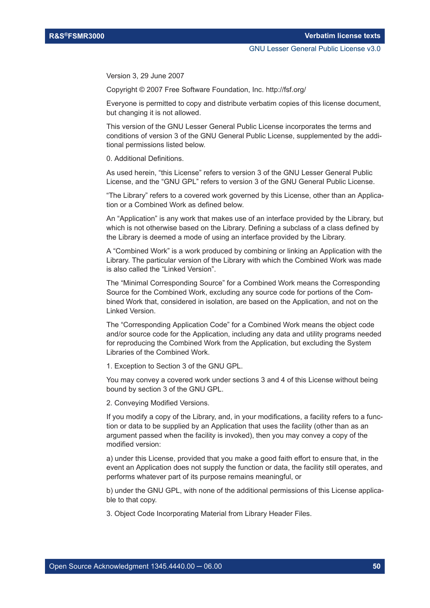Version 3, 29 June 2007

Copyright © 2007 Free Software Foundation, Inc. http://fsf.org/

Everyone is permitted to copy and distribute verbatim copies of this license document, but changing it is not allowed.

This version of the GNU Lesser General Public License incorporates the terms and conditions of version 3 of the GNU General Public License, supplemented by the additional permissions listed below.

0. Additional Definitions.

As used herein, "this License" refers to version 3 of the GNU Lesser General Public License, and the "GNU GPL" refers to version 3 of the GNU General Public License.

"The Library" refers to a covered work governed by this License, other than an Application or a Combined Work as defined below.

An "Application" is any work that makes use of an interface provided by the Library, but which is not otherwise based on the Library. Defining a subclass of a class defined by the Library is deemed a mode of using an interface provided by the Library.

A "Combined Work" is a work produced by combining or linking an Application with the Library. The particular version of the Library with which the Combined Work was made is also called the "Linked Version".

The "Minimal Corresponding Source" for a Combined Work means the Corresponding Source for the Combined Work, excluding any source code for portions of the Combined Work that, considered in isolation, are based on the Application, and not on the Linked Version.

The "Corresponding Application Code" for a Combined Work means the object code and/or source code for the Application, including any data and utility programs needed for reproducing the Combined Work from the Application, but excluding the System Libraries of the Combined Work.

1. Exception to Section 3 of the GNU GPL.

You may convey a covered work under sections 3 and 4 of this License without being bound by section 3 of the GNU GPL.

2. Conveying Modified Versions.

If you modify a copy of the Library, and, in your modifications, a facility refers to a function or data to be supplied by an Application that uses the facility (other than as an argument passed when the facility is invoked), then you may convey a copy of the modified version:

a) under this License, provided that you make a good faith effort to ensure that, in the event an Application does not supply the function or data, the facility still operates, and performs whatever part of its purpose remains meaningful, or

b) under the GNU GPL, with none of the additional permissions of this License applicable to that copy.

3. Object Code Incorporating Material from Library Header Files.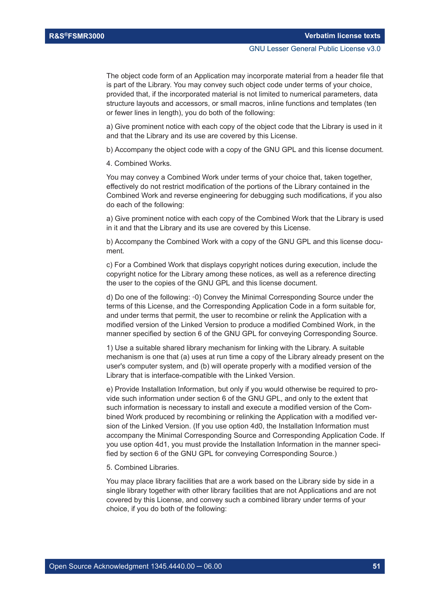The object code form of an Application may incorporate material from a header file that is part of the Library. You may convey such object code under terms of your choice, provided that, if the incorporated material is not limited to numerical parameters, data structure layouts and accessors, or small macros, inline functions and templates (ten or fewer lines in length), you do both of the following:

a) Give prominent notice with each copy of the object code that the Library is used in it and that the Library and its use are covered by this License.

b) Accompany the object code with a copy of the GNU GPL and this license document.

4. Combined Works.

You may convey a Combined Work under terms of your choice that, taken together, effectively do not restrict modification of the portions of the Library contained in the Combined Work and reverse engineering for debugging such modifications, if you also do each of the following:

a) Give prominent notice with each copy of the Combined Work that the Library is used in it and that the Library and its use are covered by this License.

b) Accompany the Combined Work with a copy of the GNU GPL and this license document.

c) For a Combined Work that displays copyright notices during execution, include the copyright notice for the Library among these notices, as well as a reference directing the user to the copies of the GNU GPL and this license document.

d) Do one of the following: ◦0) Convey the Minimal Corresponding Source under the terms of this License, and the Corresponding Application Code in a form suitable for, and under terms that permit, the user to recombine or relink the Application with a modified version of the Linked Version to produce a modified Combined Work, in the manner specified by section 6 of the GNU GPL for conveying Corresponding Source.

1) Use a suitable shared library mechanism for linking with the Library. A suitable mechanism is one that (a) uses at run time a copy of the Library already present on the user's computer system, and (b) will operate properly with a modified version of the Library that is interface-compatible with the Linked Version.

e) Provide Installation Information, but only if you would otherwise be required to provide such information under section 6 of the GNU GPL, and only to the extent that such information is necessary to install and execute a modified version of the Combined Work produced by recombining or relinking the Application with a modified version of the Linked Version. (If you use option 4d0, the Installation Information must accompany the Minimal Corresponding Source and Corresponding Application Code. If you use option 4d1, you must provide the Installation Information in the manner specified by section 6 of the GNU GPL for conveying Corresponding Source.)

5. Combined Libraries.

You may place library facilities that are a work based on the Library side by side in a single library together with other library facilities that are not Applications and are not covered by this License, and convey such a combined library under terms of your choice, if you do both of the following: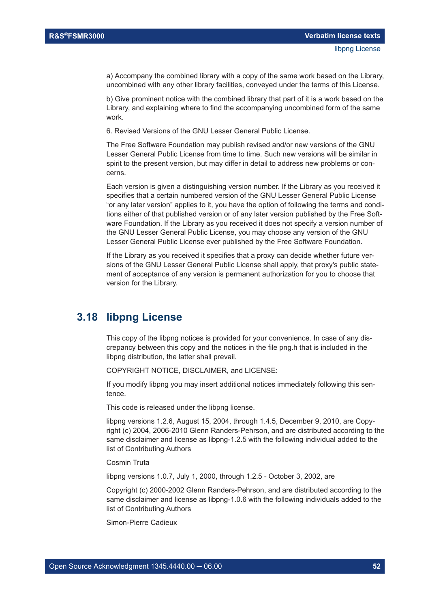a) Accompany the combined library with a copy of the same work based on the Library, uncombined with any other library facilities, conveyed under the terms of this License.

b) Give prominent notice with the combined library that part of it is a work based on the Library, and explaining where to find the accompanying uncombined form of the same work.

6. Revised Versions of the GNU Lesser General Public License.

The Free Software Foundation may publish revised and/or new versions of the GNU Lesser General Public License from time to time. Such new versions will be similar in spirit to the present version, but may differ in detail to address new problems or concerns.

Each version is given a distinguishing version number. If the Library as you received it specifies that a certain numbered version of the GNU Lesser General Public License "or any later version" applies to it, you have the option of following the terms and conditions either of that published version or of any later version published by the Free Software Foundation. If the Library as you received it does not specify a version number of the GNU Lesser General Public License, you may choose any version of the GNU Lesser General Public License ever published by the Free Software Foundation.

If the Library as you received it specifies that a proxy can decide whether future versions of the GNU Lesser General Public License shall apply, that proxy's public statement of acceptance of any version is permanent authorization for you to choose that version for the Library.

## **3.18 libpng License**

This copy of the libpng notices is provided for your convenience. In case of any discrepancy between this copy and the notices in the file png.h that is included in the libpng distribution, the latter shall prevail.

COPYRIGHT NOTICE, DISCLAIMER, and LICENSE:

If you modify libpng you may insert additional notices immediately following this sentence.

This code is released under the libpng license.

libpng versions 1.2.6, August 15, 2004, through 1.4.5, December 9, 2010, are Copyright (c) 2004, 2006-2010 Glenn Randers-Pehrson, and are distributed according to the same disclaimer and license as libpng-1.2.5 with the following individual added to the list of Contributing Authors

Cosmin Truta

libpng versions 1.0.7, July 1, 2000, through 1.2.5 - October 3, 2002, are

Copyright (c) 2000-2002 Glenn Randers-Pehrson, and are distributed according to the same disclaimer and license as libpng-1.0.6 with the following individuals added to the list of Contributing Authors

Simon-Pierre Cadieux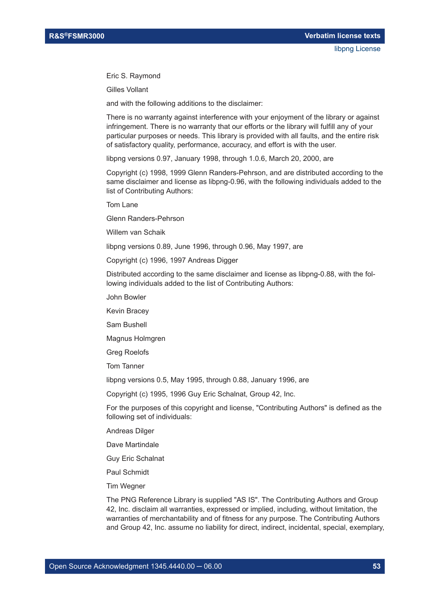Eric S. Raymond

Gilles Vollant

and with the following additions to the disclaimer:

There is no warranty against interference with your enjoyment of the library or against infringement. There is no warranty that our efforts or the library will fulfill any of your particular purposes or needs. This library is provided with all faults, and the entire risk of satisfactory quality, performance, accuracy, and effort is with the user.

libpng versions 0.97, January 1998, through 1.0.6, March 20, 2000, are

Copyright (c) 1998, 1999 Glenn Randers-Pehrson, and are distributed according to the same disclaimer and license as libpng-0.96, with the following individuals added to the list of Contributing Authors:

Tom Lane

Glenn Randers-Pehrson

Willem van Schaik

libpng versions 0.89, June 1996, through 0.96, May 1997, are

Copyright (c) 1996, 1997 Andreas Digger

Distributed according to the same disclaimer and license as libpng-0.88, with the following individuals added to the list of Contributing Authors:

John Bowler

Kevin Bracey

Sam Bushell

Magnus Holmgren

Greg Roelofs

Tom Tanner

libpng versions 0.5, May 1995, through 0.88, January 1996, are

Copyright (c) 1995, 1996 Guy Eric Schalnat, Group 42, Inc.

For the purposes of this copyright and license, "Contributing Authors" is defined as the following set of individuals:

Andreas Dilger

Dave Martindale

Guy Eric Schalnat

Paul Schmidt

Tim Wegner

The PNG Reference Library is supplied "AS IS". The Contributing Authors and Group 42, Inc. disclaim all warranties, expressed or implied, including, without limitation, the warranties of merchantability and of fitness for any purpose. The Contributing Authors and Group 42, Inc. assume no liability for direct, indirect, incidental, special, exemplary,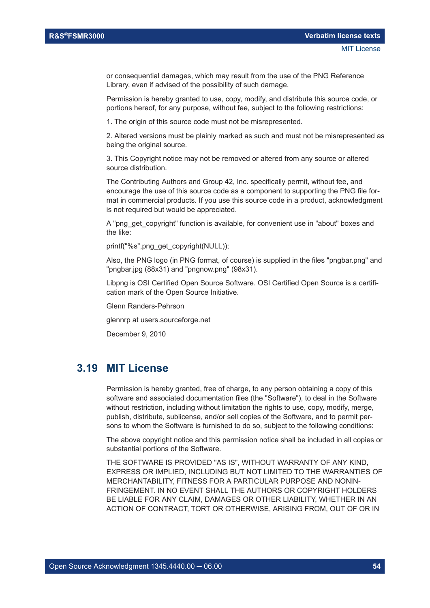or consequential damages, which may result from the use of the PNG Reference Library, even if advised of the possibility of such damage.

Permission is hereby granted to use, copy, modify, and distribute this source code, or portions hereof, for any purpose, without fee, subject to the following restrictions:

1. The origin of this source code must not be misrepresented.

2. Altered versions must be plainly marked as such and must not be misrepresented as being the original source.

3. This Copyright notice may not be removed or altered from any source or altered source distribution.

The Contributing Authors and Group 42, Inc. specifically permit, without fee, and encourage the use of this source code as a component to supporting the PNG file format in commercial products. If you use this source code in a product, acknowledgment is not required but would be appreciated.

A "png\_get\_copyright" function is available, for convenient use in "about" boxes and the like:

printf("%s",png\_get\_copyright(NULL));

Also, the PNG logo (in PNG format, of course) is supplied in the files "pngbar.png" and "pngbar.jpg (88x31) and "pngnow.png" (98x31).

Libpng is OSI Certified Open Source Software. OSI Certified Open Source is a certification mark of the Open Source Initiative.

Glenn Randers-Pehrson

glennrp at users.sourceforge.net

December 9, 2010

# **3.19 MIT License**

Permission is hereby granted, free of charge, to any person obtaining a copy of this software and associated documentation files (the "Software"), to deal in the Software without restriction, including without limitation the rights to use, copy, modify, merge, publish, distribute, sublicense, and/or sell copies of the Software, and to permit persons to whom the Software is furnished to do so, subject to the following conditions:

The above copyright notice and this permission notice shall be included in all copies or substantial portions of the Software.

THE SOFTWARE IS PROVIDED "AS IS", WITHOUT WARRANTY OF ANY KIND, EXPRESS OR IMPLIED, INCLUDING BUT NOT LIMITED TO THE WARRANTIES OF MERCHANTABILITY, FITNESS FOR A PARTICULAR PURPOSE AND NONIN-FRINGEMENT. IN NO EVENT SHALL THE AUTHORS OR COPYRIGHT HOLDERS BE LIABLE FOR ANY CLAIM, DAMAGES OR OTHER LIABILITY, WHETHER IN AN ACTION OF CONTRACT, TORT OR OTHERWISE, ARISING FROM, OUT OF OR IN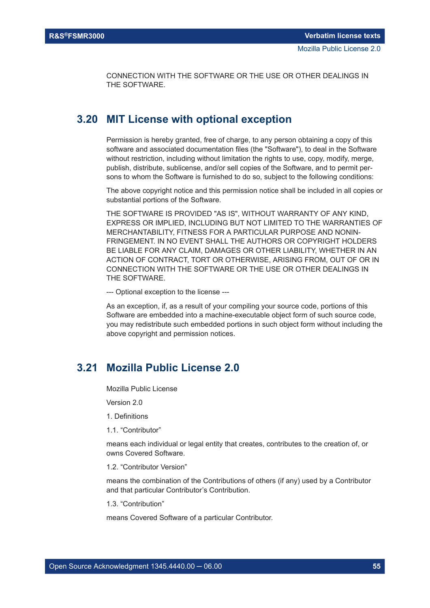CONNECTION WITH THE SOFTWARE OR THE USE OR OTHER DEALINGS IN THE SOFTWARE.

## **3.20 MIT License with optional exception**

Permission is hereby granted, free of charge, to any person obtaining a copy of this software and associated documentation files (the "Software"), to deal in the Software without restriction, including without limitation the rights to use, copy, modify, merge, publish, distribute, sublicense, and/or sell copies of the Software, and to permit persons to whom the Software is furnished to do so, subject to the following conditions:

The above copyright notice and this permission notice shall be included in all copies or substantial portions of the Software.

THE SOFTWARE IS PROVIDED "AS IS", WITHOUT WARRANTY OF ANY KIND, EXPRESS OR IMPLIED, INCLUDING BUT NOT LIMITED TO THE WARRANTIES OF MERCHANTABILITY, FITNESS FOR A PARTICULAR PURPOSE AND NONIN-FRINGEMENT. IN NO EVENT SHALL THE AUTHORS OR COPYRIGHT HOLDERS BE LIABLE FOR ANY CLAIM, DAMAGES OR OTHER LIABILITY, WHETHER IN AN ACTION OF CONTRACT, TORT OR OTHERWISE, ARISING FROM, OUT OF OR IN CONNECTION WITH THE SOFTWARE OR THE USE OR OTHER DEALINGS IN THE SOFTWARE.

--- Optional exception to the license ---

As an exception, if, as a result of your compiling your source code, portions of this Software are embedded into a machine-executable object form of such source code, you may redistribute such embedded portions in such object form without including the above copyright and permission notices.

## **3.21 Mozilla Public License 2.0**

Mozilla Public License

Version 2.0

1. Definitions

1.1. "Contributor"

means each individual or legal entity that creates, contributes to the creation of, or owns Covered Software.

### 1.2. "Contributor Version"

means the combination of the Contributions of others (if any) used by a Contributor and that particular Contributor's Contribution.

1.3. "Contribution"

means Covered Software of a particular Contributor.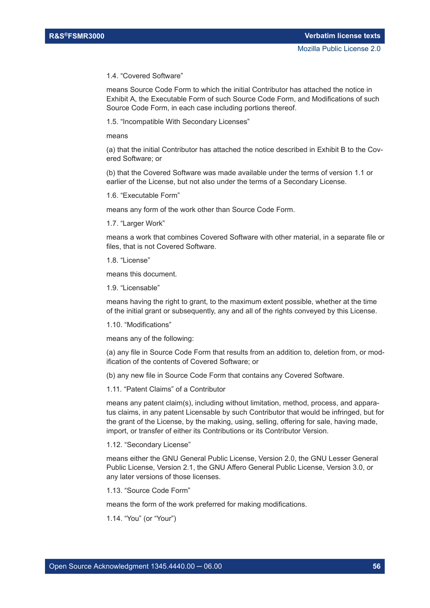### 1.4. "Covered Software"

means Source Code Form to which the initial Contributor has attached the notice in Exhibit A, the Executable Form of such Source Code Form, and Modifications of such Source Code Form, in each case including portions thereof.

1.5. "Incompatible With Secondary Licenses"

means

(a) that the initial Contributor has attached the notice described in Exhibit B to the Covered Software; or

(b) that the Covered Software was made available under the terms of version 1.1 or earlier of the License, but not also under the terms of a Secondary License.

1.6. "Executable Form"

means any form of the work other than Source Code Form.

1.7. "Larger Work"

means a work that combines Covered Software with other material, in a separate file or files, that is not Covered Software.

1.8. "License"

means this document.

1.9. "Licensable"

means having the right to grant, to the maximum extent possible, whether at the time of the initial grant or subsequently, any and all of the rights conveyed by this License.

1.10. "Modifications"

means any of the following:

(a) any file in Source Code Form that results from an addition to, deletion from, or modification of the contents of Covered Software; or

(b) any new file in Source Code Form that contains any Covered Software.

1.11. "Patent Claims" of a Contributor

means any patent claim(s), including without limitation, method, process, and apparatus claims, in any patent Licensable by such Contributor that would be infringed, but for the grant of the License, by the making, using, selling, offering for sale, having made, import, or transfer of either its Contributions or its Contributor Version.

1.12. "Secondary License"

means either the GNU General Public License, Version 2.0, the GNU Lesser General Public License, Version 2.1, the GNU Affero General Public License, Version 3.0, or any later versions of those licenses.

1.13. "Source Code Form"

means the form of the work preferred for making modifications.

1.14. "You" (or "Your")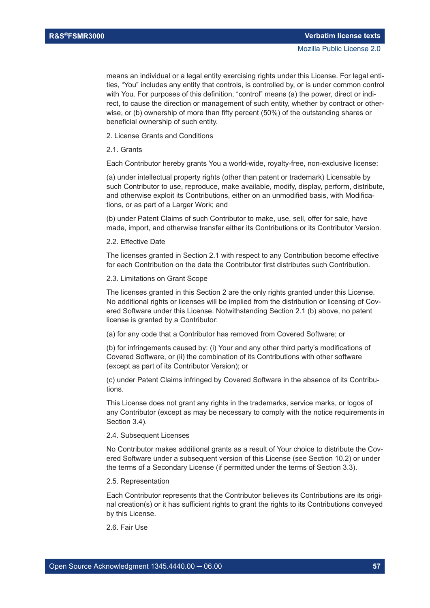means an individual or a legal entity exercising rights under this License. For legal entities, "You" includes any entity that controls, is controlled by, or is under common control with You. For purposes of this definition, "control" means (a) the power, direct or indirect, to cause the direction or management of such entity, whether by contract or otherwise, or (b) ownership of more than fifty percent (50%) of the outstanding shares or beneficial ownership of such entity.

2. License Grants and Conditions

2.1. Grants

Each Contributor hereby grants You a world-wide, royalty-free, non-exclusive license:

(a) under intellectual property rights (other than patent or trademark) Licensable by such Contributor to use, reproduce, make available, modify, display, perform, distribute, and otherwise exploit its Contributions, either on an unmodified basis, with Modifications, or as part of a Larger Work; and

(b) under Patent Claims of such Contributor to make, use, sell, offer for sale, have made, import, and otherwise transfer either its Contributions or its Contributor Version.

### 2.2. Effective Date

The licenses granted in Section 2.1 with respect to any Contribution become effective for each Contribution on the date the Contributor first distributes such Contribution.

2.3. Limitations on Grant Scope

The licenses granted in this Section 2 are the only rights granted under this License. No additional rights or licenses will be implied from the distribution or licensing of Covered Software under this License. Notwithstanding Section 2.1 (b) above, no patent license is granted by a Contributor:

(a) for any code that a Contributor has removed from Covered Software; or

(b) for infringements caused by: (i) Your and any other third party's modifications of Covered Software, or (ii) the combination of its Contributions with other software (except as part of its Contributor Version); or

(c) under Patent Claims infringed by Covered Software in the absence of its Contributions.

This License does not grant any rights in the trademarks, service marks, or logos of any Contributor (except as may be necessary to comply with the notice requirements in Section 3.4).

#### 2.4. Subsequent Licenses

No Contributor makes additional grants as a result of Your choice to distribute the Covered Software under a subsequent version of this License (see Section 10.2) or under the terms of a Secondary License (if permitted under the terms of Section 3.3).

#### 2.5. Representation

Each Contributor represents that the Contributor believes its Contributions are its original creation(s) or it has sufficient rights to grant the rights to its Contributions conveyed by this License.

2.6. Fair Use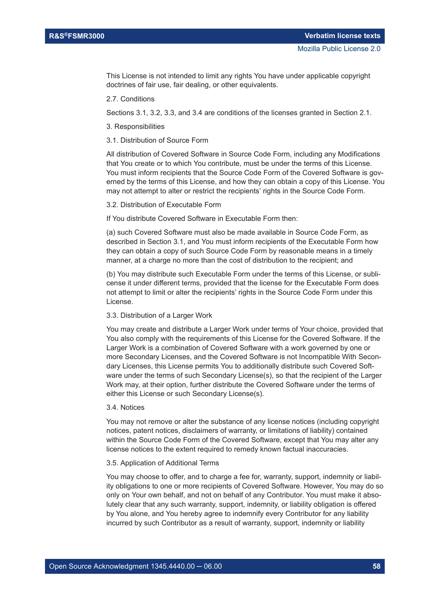This License is not intended to limit any rights You have under applicable copyright doctrines of fair use, fair dealing, or other equivalents.

2.7. Conditions

Sections 3.1, 3.2, 3.3, and 3.4 are conditions of the licenses granted in Section 2.1.

- 3. Responsibilities
- 3.1. Distribution of Source Form

All distribution of Covered Software in Source Code Form, including any Modifications that You create or to which You contribute, must be under the terms of this License. You must inform recipients that the Source Code Form of the Covered Software is governed by the terms of this License, and how they can obtain a copy of this License. You may not attempt to alter or restrict the recipients' rights in the Source Code Form.

### 3.2. Distribution of Executable Form

If You distribute Covered Software in Executable Form then:

(a) such Covered Software must also be made available in Source Code Form, as described in Section 3.1, and You must inform recipients of the Executable Form how they can obtain a copy of such Source Code Form by reasonable means in a timely manner, at a charge no more than the cost of distribution to the recipient; and

(b) You may distribute such Executable Form under the terms of this License, or sublicense it under different terms, provided that the license for the Executable Form does not attempt to limit or alter the recipients' rights in the Source Code Form under this License.

3.3. Distribution of a Larger Work

You may create and distribute a Larger Work under terms of Your choice, provided that You also comply with the requirements of this License for the Covered Software. If the Larger Work is a combination of Covered Software with a work governed by one or more Secondary Licenses, and the Covered Software is not Incompatible With Secondary Licenses, this License permits You to additionally distribute such Covered Software under the terms of such Secondary License(s), so that the recipient of the Larger Work may, at their option, further distribute the Covered Software under the terms of either this License or such Secondary License(s).

### 3.4. Notices

You may not remove or alter the substance of any license notices (including copyright notices, patent notices, disclaimers of warranty, or limitations of liability) contained within the Source Code Form of the Covered Software, except that You may alter any license notices to the extent required to remedy known factual inaccuracies.

#### 3.5. Application of Additional Terms

You may choose to offer, and to charge a fee for, warranty, support, indemnity or liability obligations to one or more recipients of Covered Software. However, You may do so only on Your own behalf, and not on behalf of any Contributor. You must make it absolutely clear that any such warranty, support, indemnity, or liability obligation is offered by You alone, and You hereby agree to indemnify every Contributor for any liability incurred by such Contributor as a result of warranty, support, indemnity or liability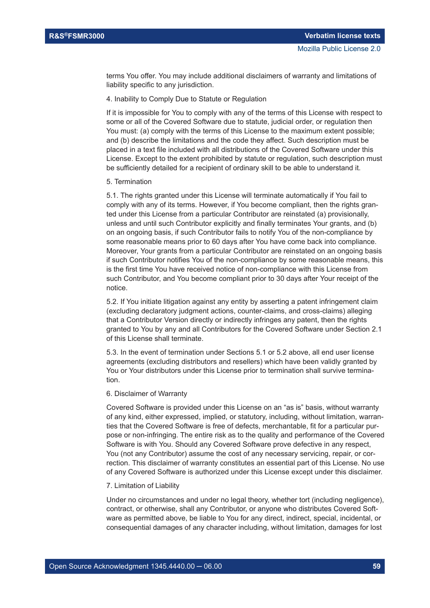terms You offer. You may include additional disclaimers of warranty and limitations of liability specific to any jurisdiction.

4. Inability to Comply Due to Statute or Regulation

If it is impossible for You to comply with any of the terms of this License with respect to some or all of the Covered Software due to statute, judicial order, or regulation then You must: (a) comply with the terms of this License to the maximum extent possible; and (b) describe the limitations and the code they affect. Such description must be placed in a text file included with all distributions of the Covered Software under this License. Except to the extent prohibited by statute or regulation, such description must be sufficiently detailed for a recipient of ordinary skill to be able to understand it.

#### 5. Termination

5.1. The rights granted under this License will terminate automatically if You fail to comply with any of its terms. However, if You become compliant, then the rights granted under this License from a particular Contributor are reinstated (a) provisionally, unless and until such Contributor explicitly and finally terminates Your grants, and (b) on an ongoing basis, if such Contributor fails to notify You of the non-compliance by some reasonable means prior to 60 days after You have come back into compliance. Moreover, Your grants from a particular Contributor are reinstated on an ongoing basis if such Contributor notifies You of the non-compliance by some reasonable means, this is the first time You have received notice of non-compliance with this License from such Contributor, and You become compliant prior to 30 days after Your receipt of the notice.

5.2. If You initiate litigation against any entity by asserting a patent infringement claim (excluding declaratory judgment actions, counter-claims, and cross-claims) alleging that a Contributor Version directly or indirectly infringes any patent, then the rights granted to You by any and all Contributors for the Covered Software under Section 2.1 of this License shall terminate.

5.3. In the event of termination under Sections 5.1 or 5.2 above, all end user license agreements (excluding distributors and resellers) which have been validly granted by You or Your distributors under this License prior to termination shall survive termination.

#### 6. Disclaimer of Warranty

Covered Software is provided under this License on an "as is" basis, without warranty of any kind, either expressed, implied, or statutory, including, without limitation, warranties that the Covered Software is free of defects, merchantable, fit for a particular purpose or non-infringing. The entire risk as to the quality and performance of the Covered Software is with You. Should any Covered Software prove defective in any respect, You (not any Contributor) assume the cost of any necessary servicing, repair, or correction. This disclaimer of warranty constitutes an essential part of this License. No use of any Covered Software is authorized under this License except under this disclaimer.

#### 7. Limitation of Liability

Under no circumstances and under no legal theory, whether tort (including negligence), contract, or otherwise, shall any Contributor, or anyone who distributes Covered Software as permitted above, be liable to You for any direct, indirect, special, incidental, or consequential damages of any character including, without limitation, damages for lost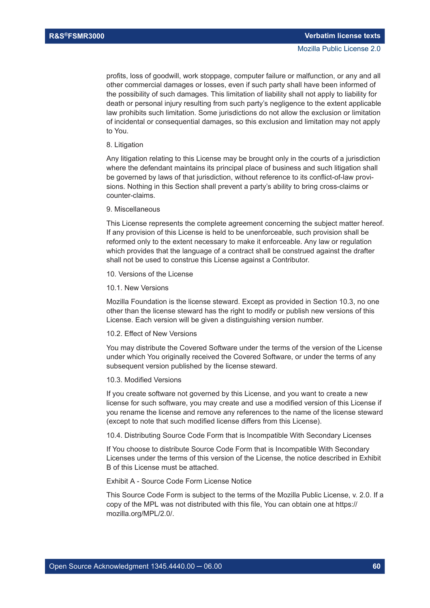profits, loss of goodwill, work stoppage, computer failure or malfunction, or any and all other commercial damages or losses, even if such party shall have been informed of the possibility of such damages. This limitation of liability shall not apply to liability for death or personal injury resulting from such party's negligence to the extent applicable law prohibits such limitation. Some jurisdictions do not allow the exclusion or limitation of incidental or consequential damages, so this exclusion and limitation may not apply to You.

8. Litigation

Any litigation relating to this License may be brought only in the courts of a jurisdiction where the defendant maintains its principal place of business and such litigation shall be governed by laws of that jurisdiction, without reference to its conflict-of-law provisions. Nothing in this Section shall prevent a party's ability to bring cross-claims or counter-claims.

9. Miscellaneous

This License represents the complete agreement concerning the subject matter hereof. If any provision of this License is held to be unenforceable, such provision shall be reformed only to the extent necessary to make it enforceable. Any law or regulation which provides that the language of a contract shall be construed against the drafter shall not be used to construe this License against a Contributor.

- 10. Versions of the License
- 10.1. New Versions

Mozilla Foundation is the license steward. Except as provided in Section 10.3, no one other than the license steward has the right to modify or publish new versions of this License. Each version will be given a distinguishing version number.

10.2. Effect of New Versions

You may distribute the Covered Software under the terms of the version of the License under which You originally received the Covered Software, or under the terms of any subsequent version published by the license steward.

### 10.3. Modified Versions

If you create software not governed by this License, and you want to create a new license for such software, you may create and use a modified version of this License if you rename the license and remove any references to the name of the license steward (except to note that such modified license differs from this License).

10.4. Distributing Source Code Form that is Incompatible With Secondary Licenses

If You choose to distribute Source Code Form that is Incompatible With Secondary Licenses under the terms of this version of the License, the notice described in Exhibit B of this License must be attached.

Exhibit A - Source Code Form License Notice

This Source Code Form is subject to the terms of the Mozilla Public License, v. 2.0. If a copy of the MPL was not distributed with this file, You can obtain one at https:// mozilla.org/MPL/2.0/.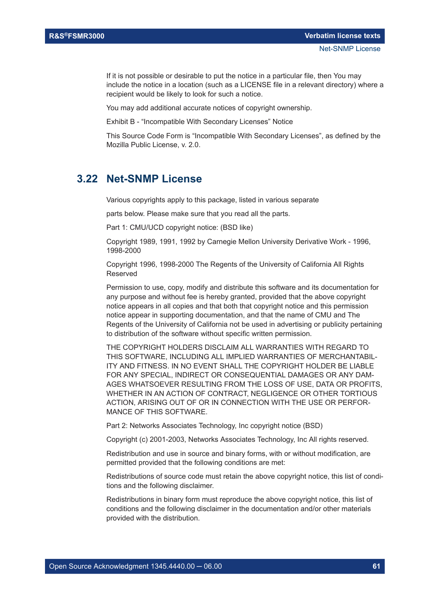If it is not possible or desirable to put the notice in a particular file, then You may include the notice in a location (such as a LICENSE file in a relevant directory) where a recipient would be likely to look for such a notice.

You may add additional accurate notices of copyright ownership.

Exhibit B - "Incompatible With Secondary Licenses" Notice

This Source Code Form is "Incompatible With Secondary Licenses", as defined by the Mozilla Public License, v. 2.0.

## **3.22 Net-SNMP License**

Various copyrights apply to this package, listed in various separate

parts below. Please make sure that you read all the parts.

Part 1: CMU/UCD copyright notice: (BSD like)

Copyright 1989, 1991, 1992 by Carnegie Mellon University Derivative Work - 1996, 1998-2000

Copyright 1996, 1998-2000 The Regents of the University of California All Rights Reserved

Permission to use, copy, modify and distribute this software and its documentation for any purpose and without fee is hereby granted, provided that the above copyright notice appears in all copies and that both that copyright notice and this permission notice appear in supporting documentation, and that the name of CMU and The Regents of the University of California not be used in advertising or publicity pertaining to distribution of the software without specific written permission.

THE COPYRIGHT HOLDERS DISCLAIM ALL WARRANTIES WITH REGARD TO THIS SOFTWARE, INCLUDING ALL IMPLIED WARRANTIES OF MERCHANTABIL-ITY AND FITNESS. IN NO EVENT SHALL THE COPYRIGHT HOLDER BE LIABLE FOR ANY SPECIAL, INDIRECT OR CONSEQUENTIAL DAMAGES OR ANY DAM-AGES WHATSOEVER RESULTING FROM THE LOSS OF USE, DATA OR PROFITS, WHETHER IN AN ACTION OF CONTRACT, NEGLIGENCE OR OTHER TORTIOUS ACTION, ARISING OUT OF OR IN CONNECTION WITH THE USE OR PERFOR-MANCE OF THIS SOFTWARE.

Part 2: Networks Associates Technology, Inc copyright notice (BSD)

Copyright (c) 2001-2003, Networks Associates Technology, Inc All rights reserved.

Redistribution and use in source and binary forms, with or without modification, are permitted provided that the following conditions are met:

Redistributions of source code must retain the above copyright notice, this list of conditions and the following disclaimer.

Redistributions in binary form must reproduce the above copyright notice, this list of conditions and the following disclaimer in the documentation and/or other materials provided with the distribution.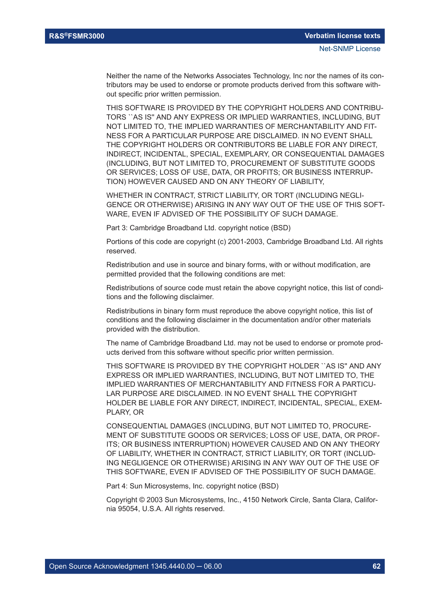Neither the name of the Networks Associates Technology, Inc nor the names of its contributors may be used to endorse or promote products derived from this software without specific prior written permission.

THIS SOFTWARE IS PROVIDED BY THE COPYRIGHT HOLDERS AND CONTRIBU-TORS ``AS IS'' AND ANY EXPRESS OR IMPLIED WARRANTIES, INCLUDING, BUT NOT LIMITED TO, THE IMPLIED WARRANTIES OF MERCHANTABILITY AND FIT-NESS FOR A PARTICULAR PURPOSE ARE DISCLAIMED. IN NO EVENT SHALL THE COPYRIGHT HOLDERS OR CONTRIBUTORS BE LIABLE FOR ANY DIRECT, INDIRECT, INCIDENTAL, SPECIAL, EXEMPLARY, OR CONSEQUENTIAL DAMAGES (INCLUDING, BUT NOT LIMITED TO, PROCUREMENT OF SUBSTITUTE GOODS OR SERVICES; LOSS OF USE, DATA, OR PROFITS; OR BUSINESS INTERRUP-TION) HOWEVER CAUSED AND ON ANY THEORY OF LIABILITY,

WHETHER IN CONTRACT, STRICT LIABILITY, OR TORT (INCLUDING NEGLI-GENCE OR OTHERWISE) ARISING IN ANY WAY OUT OF THE USE OF THIS SOFT-WARE, EVEN IF ADVISED OF THE POSSIBILITY OF SUCH DAMAGE.

Part 3: Cambridge Broadband Ltd. copyright notice (BSD)

Portions of this code are copyright (c) 2001-2003, Cambridge Broadband Ltd. All rights reserved.

Redistribution and use in source and binary forms, with or without modification, are permitted provided that the following conditions are met:

Redistributions of source code must retain the above copyright notice, this list of conditions and the following disclaimer.

Redistributions in binary form must reproduce the above copyright notice, this list of conditions and the following disclaimer in the documentation and/or other materials provided with the distribution.

The name of Cambridge Broadband Ltd. may not be used to endorse or promote products derived from this software without specific prior written permission.

THIS SOFTWARE IS PROVIDED BY THE COPYRIGHT HOLDER ``AS IS'' AND ANY EXPRESS OR IMPLIED WARRANTIES, INCLUDING, BUT NOT LIMITED TO, THE IMPLIED WARRANTIES OF MERCHANTABILITY AND FITNESS FOR A PARTICU-LAR PURPOSE ARE DISCLAIMED. IN NO EVENT SHALL THE COPYRIGHT HOLDER BE LIABLE FOR ANY DIRECT, INDIRECT, INCIDENTAL, SPECIAL, EXEM-PLARY, OR

CONSEQUENTIAL DAMAGES (INCLUDING, BUT NOT LIMITED TO, PROCURE-MENT OF SUBSTITUTE GOODS OR SERVICES; LOSS OF USE, DATA, OR PROF-ITS; OR BUSINESS INTERRUPTION) HOWEVER CAUSED AND ON ANY THEORY OF LIABILITY, WHETHER IN CONTRACT, STRICT LIABILITY, OR TORT (INCLUD-ING NEGLIGENCE OR OTHERWISE) ARISING IN ANY WAY OUT OF THE USE OF THIS SOFTWARE, EVEN IF ADVISED OF THE POSSIBILITY OF SUCH DAMAGE.

Part 4: Sun Microsystems, Inc. copyright notice (BSD)

Copyright © 2003 Sun Microsystems, Inc., 4150 Network Circle, Santa Clara, California 95054, U.S.A. All rights reserved.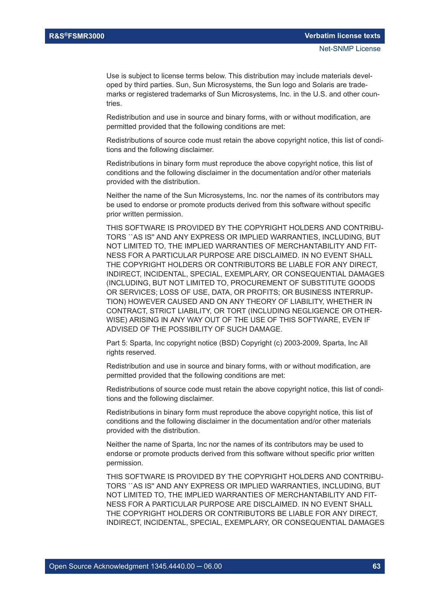Use is subject to license terms below. This distribution may include materials developed by third parties. Sun, Sun Microsystems, the Sun logo and Solaris are trademarks or registered trademarks of Sun Microsystems, Inc. in the U.S. and other countries.

Redistribution and use in source and binary forms, with or without modification, are permitted provided that the following conditions are met:

Redistributions of source code must retain the above copyright notice, this list of conditions and the following disclaimer.

Redistributions in binary form must reproduce the above copyright notice, this list of conditions and the following disclaimer in the documentation and/or other materials provided with the distribution.

Neither the name of the Sun Microsystems, Inc. nor the names of its contributors may be used to endorse or promote products derived from this software without specific prior written permission.

THIS SOFTWARE IS PROVIDED BY THE COPYRIGHT HOLDERS AND CONTRIBU-TORS ``AS IS'' AND ANY EXPRESS OR IMPLIED WARRANTIES, INCLUDING, BUT NOT LIMITED TO, THE IMPLIED WARRANTIES OF MERCHANTABILITY AND FIT-NESS FOR A PARTICULAR PURPOSE ARE DISCLAIMED. IN NO EVENT SHALL THE COPYRIGHT HOLDERS OR CONTRIBUTORS BE LIABLE FOR ANY DIRECT, INDIRECT, INCIDENTAL, SPECIAL, EXEMPLARY, OR CONSEQUENTIAL DAMAGES (INCLUDING, BUT NOT LIMITED TO, PROCUREMENT OF SUBSTITUTE GOODS OR SERVICES; LOSS OF USE, DATA, OR PROFITS; OR BUSINESS INTERRUP-TION) HOWEVER CAUSED AND ON ANY THEORY OF LIABILITY, WHETHER IN CONTRACT, STRICT LIABILITY, OR TORT (INCLUDING NEGLIGENCE OR OTHER-WISE) ARISING IN ANY WAY OUT OF THE USE OF THIS SOFTWARE, EVEN IF ADVISED OF THE POSSIBILITY OF SUCH DAMAGE.

Part 5: Sparta, Inc copyright notice (BSD) Copyright (c) 2003-2009, Sparta, Inc All rights reserved.

Redistribution and use in source and binary forms, with or without modification, are permitted provided that the following conditions are met:

Redistributions of source code must retain the above copyright notice, this list of conditions and the following disclaimer.

Redistributions in binary form must reproduce the above copyright notice, this list of conditions and the following disclaimer in the documentation and/or other materials provided with the distribution.

Neither the name of Sparta, Inc nor the names of its contributors may be used to endorse or promote products derived from this software without specific prior written permission.

THIS SOFTWARE IS PROVIDED BY THE COPYRIGHT HOLDERS AND CONTRIBU-TORS ``AS IS'' AND ANY EXPRESS OR IMPLIED WARRANTIES, INCLUDING, BUT NOT LIMITED TO, THE IMPLIED WARRANTIES OF MERCHANTABILITY AND FIT-NESS FOR A PARTICULAR PURPOSE ARE DISCLAIMED. IN NO EVENT SHALL THE COPYRIGHT HOLDERS OR CONTRIBUTORS BE LIABLE FOR ANY DIRECT, INDIRECT, INCIDENTAL, SPECIAL, EXEMPLARY, OR CONSEQUENTIAL DAMAGES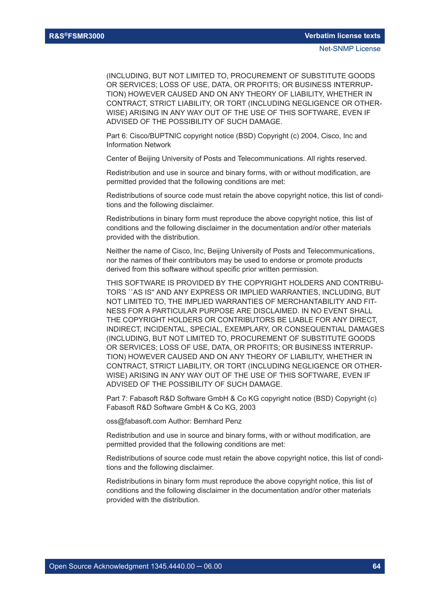(INCLUDING, BUT NOT LIMITED TO, PROCUREMENT OF SUBSTITUTE GOODS OR SERVICES; LOSS OF USE, DATA, OR PROFITS; OR BUSINESS INTERRUP-TION) HOWEVER CAUSED AND ON ANY THEORY OF LIABILITY, WHETHER IN CONTRACT, STRICT LIABILITY, OR TORT (INCLUDING NEGLIGENCE OR OTHER-WISE) ARISING IN ANY WAY OUT OF THE USE OF THIS SOFTWARE, EVEN IF ADVISED OF THE POSSIBILITY OF SUCH DAMAGE.

Part 6: Cisco/BUPTNIC copyright notice (BSD) Copyright (c) 2004, Cisco, Inc and Information Network

Center of Beijing University of Posts and Telecommunications. All rights reserved.

Redistribution and use in source and binary forms, with or without modification, are permitted provided that the following conditions are met:

Redistributions of source code must retain the above copyright notice, this list of conditions and the following disclaimer.

Redistributions in binary form must reproduce the above copyright notice, this list of conditions and the following disclaimer in the documentation and/or other materials provided with the distribution.

Neither the name of Cisco, Inc, Beijing University of Posts and Telecommunications, nor the names of their contributors may be used to endorse or promote products derived from this software without specific prior written permission.

THIS SOFTWARE IS PROVIDED BY THE COPYRIGHT HOLDERS AND CONTRIBU-TORS ``AS IS'' AND ANY EXPRESS OR IMPLIED WARRANTIES, INCLUDING, BUT NOT LIMITED TO, THE IMPLIED WARRANTIES OF MERCHANTABILITY AND FIT-NESS FOR A PARTICULAR PURPOSE ARE DISCLAIMED. IN NO EVENT SHALL THE COPYRIGHT HOLDERS OR CONTRIBUTORS BE LIABLE FOR ANY DIRECT, INDIRECT, INCIDENTAL, SPECIAL, EXEMPLARY, OR CONSEQUENTIAL DAMAGES (INCLUDING, BUT NOT LIMITED TO, PROCUREMENT OF SUBSTITUTE GOODS OR SERVICES; LOSS OF USE, DATA, OR PROFITS; OR BUSINESS INTERRUP-TION) HOWEVER CAUSED AND ON ANY THEORY OF LIABILITY, WHETHER IN CONTRACT, STRICT LIABILITY, OR TORT (INCLUDING NEGLIGENCE OR OTHER-WISE) ARISING IN ANY WAY OUT OF THE USE OF THIS SOFTWARE, EVEN IF ADVISED OF THE POSSIBILITY OF SUCH DAMAGE.

Part 7: Fabasoft R&D Software GmbH & Co KG copyright notice (BSD) Copyright (c) Fabasoft R&D Software GmbH & Co KG, 2003

oss@fabasoft.com Author: Bernhard Penz

Redistribution and use in source and binary forms, with or without modification, are permitted provided that the following conditions are met:

Redistributions of source code must retain the above copyright notice, this list of conditions and the following disclaimer.

Redistributions in binary form must reproduce the above copyright notice, this list of conditions and the following disclaimer in the documentation and/or other materials provided with the distribution.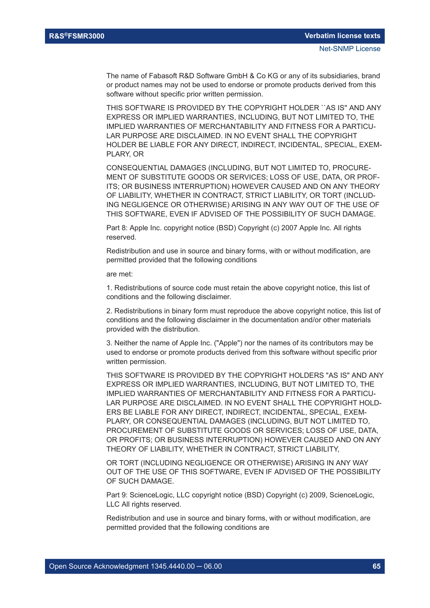The name of Fabasoft R&D Software GmbH & Co KG or any of its subsidiaries, brand or product names may not be used to endorse or promote products derived from this software without specific prior written permission.

THIS SOFTWARE IS PROVIDED BY THE COPYRIGHT HOLDER ``AS IS'' AND ANY EXPRESS OR IMPLIED WARRANTIES, INCLUDING, BUT NOT LIMITED TO, THE IMPLIED WARRANTIES OF MERCHANTABILITY AND FITNESS FOR A PARTICU-LAR PURPOSE ARE DISCLAIMED. IN NO EVENT SHALL THE COPYRIGHT HOLDER BE LIABLE FOR ANY DIRECT, INDIRECT, INCIDENTAL, SPECIAL, EXEM-PLARY, OR

CONSEQUENTIAL DAMAGES (INCLUDING, BUT NOT LIMITED TO, PROCURE-MENT OF SUBSTITUTE GOODS OR SERVICES; LOSS OF USE, DATA, OR PROF-ITS; OR BUSINESS INTERRUPTION) HOWEVER CAUSED AND ON ANY THEORY OF LIABILITY, WHETHER IN CONTRACT, STRICT LIABILITY, OR TORT (INCLUD-ING NEGLIGENCE OR OTHERWISE) ARISING IN ANY WAY OUT OF THE USE OF THIS SOFTWARE, EVEN IF ADVISED OF THE POSSIBILITY OF SUCH DAMAGE.

Part 8: Apple Inc. copyright notice (BSD) Copyright (c) 2007 Apple Inc. All rights reserved.

Redistribution and use in source and binary forms, with or without modification, are permitted provided that the following conditions

are met:

1. Redistributions of source code must retain the above copyright notice, this list of conditions and the following disclaimer.

2. Redistributions in binary form must reproduce the above copyright notice, this list of conditions and the following disclaimer in the documentation and/or other materials provided with the distribution.

3. Neither the name of Apple Inc. ("Apple") nor the names of its contributors may be used to endorse or promote products derived from this software without specific prior written permission.

THIS SOFTWARE IS PROVIDED BY THE COPYRIGHT HOLDERS "AS IS" AND ANY EXPRESS OR IMPLIED WARRANTIES, INCLUDING, BUT NOT LIMITED TO, THE IMPLIED WARRANTIES OF MERCHANTABILITY AND FITNESS FOR A PARTICU-LAR PURPOSE ARE DISCLAIMED. IN NO EVENT SHALL THE COPYRIGHT HOLD-ERS BE LIABLE FOR ANY DIRECT, INDIRECT, INCIDENTAL, SPECIAL, EXEM-PLARY, OR CONSEQUENTIAL DAMAGES (INCLUDING, BUT NOT LIMITED TO, PROCUREMENT OF SUBSTITUTE GOODS OR SERVICES; LOSS OF USE, DATA, OR PROFITS; OR BUSINESS INTERRUPTION) HOWEVER CAUSED AND ON ANY THEORY OF LIABILITY, WHETHER IN CONTRACT, STRICT LIABILITY,

OR TORT (INCLUDING NEGLIGENCE OR OTHERWISE) ARISING IN ANY WAY OUT OF THE USE OF THIS SOFTWARE, EVEN IF ADVISED OF THE POSSIBILITY OF SUCH DAMAGE.

Part 9: ScienceLogic, LLC copyright notice (BSD) Copyright (c) 2009, ScienceLogic, LLC All rights reserved.

Redistribution and use in source and binary forms, with or without modification, are permitted provided that the following conditions are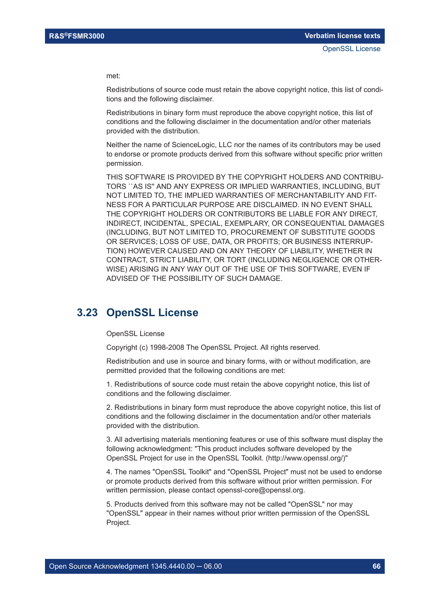met:

Redistributions of source code must retain the above copyright notice, this list of conditions and the following disclaimer.

Redistributions in binary form must reproduce the above copyright notice, this list of conditions and the following disclaimer in the documentation and/or other materials provided with the distribution.

Neither the name of ScienceLogic, LLC nor the names of its contributors may be used to endorse or promote products derived from this software without specific prior written permission.

THIS SOFTWARE IS PROVIDED BY THE COPYRIGHT HOLDERS AND CONTRIBU-TORS ``AS IS'' AND ANY EXPRESS OR IMPLIED WARRANTIES, INCLUDING, BUT NOT LIMITED TO, THE IMPLIED WARRANTIES OF MERCHANTABILITY AND FIT-NESS FOR A PARTICULAR PURPOSE ARE DISCLAIMED. IN NO EVENT SHALL THE COPYRIGHT HOLDERS OR CONTRIBUTORS BE LIABLE FOR ANY DIRECT, INDIRECT, INCIDENTAL, SPECIAL, EXEMPLARY, OR CONSEQUENTIAL DAMAGES (INCLUDING, BUT NOT LIMITED TO, PROCUREMENT OF SUBSTITUTE GOODS OR SERVICES; LOSS OF USE, DATA, OR PROFITS; OR BUSINESS INTERRUP-TION) HOWEVER CAUSED AND ON ANY THEORY OF LIABILITY, WHETHER IN CONTRACT, STRICT LIABILITY, OR TORT (INCLUDING NEGLIGENCE OR OTHER-WISE) ARISING IN ANY WAY OUT OF THE USE OF THIS SOFTWARE, EVEN IF ADVISED OF THE POSSIBILITY OF SUCH DAMAGE.

# **3.23 OpenSSL License**

OpenSSL License

Copyright (c) 1998-2008 The OpenSSL Project. All rights reserved.

Redistribution and use in source and binary forms, with or without modification, are permitted provided that the following conditions are met:

1. Redistributions of source code must retain the above copyright notice, this list of conditions and the following disclaimer.

2. Redistributions in binary form must reproduce the above copyright notice, this list of conditions and the following disclaimer in the documentation and/or other materials provided with the distribution.

3. All advertising materials mentioning features or use of this software must display the following acknowledgment: "This product includes software developed by the OpenSSL Project for use in the OpenSSL Toolkit. (http://www.openssl.org/)"

4. The names "OpenSSL Toolkit" and "OpenSSL Project" must not be used to endorse or promote products derived from this software without prior written permission. For written permission, please contact openssl-core@openssl.org.

5. Products derived from this software may not be called "OpenSSL" nor may "OpenSSL" appear in their names without prior written permission of the OpenSSL Project.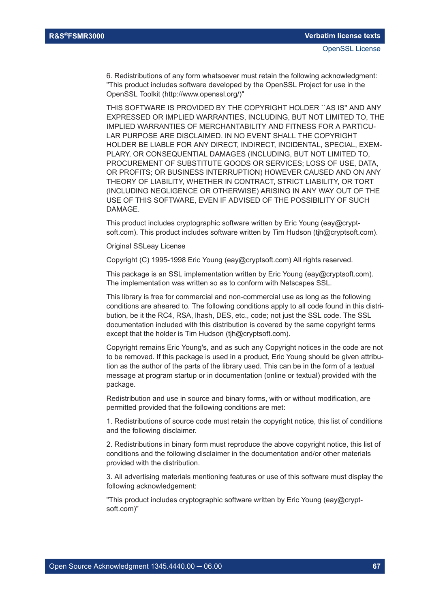6. Redistributions of any form whatsoever must retain the following acknowledgment: "This product includes software developed by the OpenSSL Project for use in the OpenSSL Toolkit (http://www.openssl.org/)"

THIS SOFTWARE IS PROVIDED BY THE COPYRIGHT HOLDER ``AS IS'' AND ANY EXPRESSED OR IMPLIED WARRANTIES, INCLUDING, BUT NOT LIMITED TO, THE IMPLIED WARRANTIES OF MERCHANTABILITY AND FITNESS FOR A PARTICU-LAR PURPOSE ARE DISCLAIMED. IN NO EVENT SHALL THE COPYRIGHT HOLDER BE LIABLE FOR ANY DIRECT, INDIRECT, INCIDENTAL, SPECIAL, EXEM-PLARY, OR CONSEQUENTIAL DAMAGES (INCLUDING, BUT NOT LIMITED TO, PROCUREMENT OF SUBSTITUTE GOODS OR SERVICES; LOSS OF USE, DATA, OR PROFITS; OR BUSINESS INTERRUPTION) HOWEVER CAUSED AND ON ANY THEORY OF LIABILITY, WHETHER IN CONTRACT, STRICT LIABILITY, OR TORT (INCLUDING NEGLIGENCE OR OTHERWISE) ARISING IN ANY WAY OUT OF THE USE OF THIS SOFTWARE, EVEN IF ADVISED OF THE POSSIBILITY OF SUCH DAMAGE.

This product includes cryptographic software written by Eric Young (eay@cryptsoft.com). This product includes software written by Tim Hudson (tjh@cryptsoft.com).

Original SSLeay License

Copyright (C) 1995-1998 Eric Young (eay@cryptsoft.com) All rights reserved.

This package is an SSL implementation written by Eric Young (eay@cryptsoft.com). The implementation was written so as to conform with Netscapes SSL.

This library is free for commercial and non-commercial use as long as the following conditions are aheared to. The following conditions apply to all code found in this distribution, be it the RC4, RSA, lhash, DES, etc., code; not just the SSL code. The SSL documentation included with this distribution is covered by the same copyright terms except that the holder is Tim Hudson (tjh@cryptsoft.com).

Copyright remains Eric Young's, and as such any Copyright notices in the code are not to be removed. If this package is used in a product, Eric Young should be given attribution as the author of the parts of the library used. This can be in the form of a textual message at program startup or in documentation (online or textual) provided with the package.

Redistribution and use in source and binary forms, with or without modification, are permitted provided that the following conditions are met:

1. Redistributions of source code must retain the copyright notice, this list of conditions and the following disclaimer.

2. Redistributions in binary form must reproduce the above copyright notice, this list of conditions and the following disclaimer in the documentation and/or other materials provided with the distribution.

3. All advertising materials mentioning features or use of this software must display the following acknowledgement:

"This product includes cryptographic software written by Eric Young (eay@cryptsoft.com)"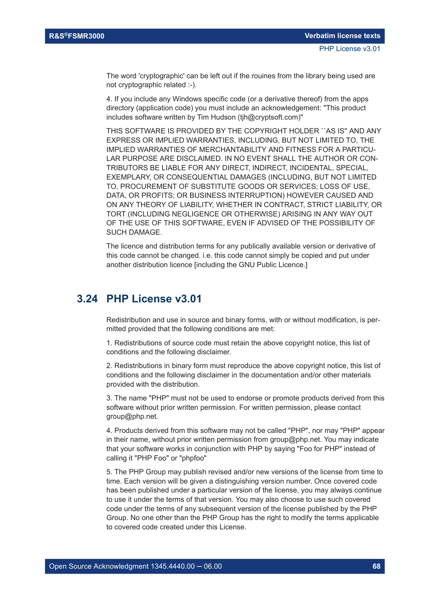The word 'cryptographic' can be left out if the rouines from the library being used are not cryptographic related :-).

4. If you include any Windows specific code (or a derivative thereof) from the apps directory (application code) you must include an acknowledgement: "This product includes software written by Tim Hudson (tjh@cryptsoft.com)"

THIS SOFTWARE IS PROVIDED BY THE COPYRIGHT HOLDER ``AS IS'' AND ANY EXPRESS OR IMPLIED WARRANTIES, INCLUDING, BUT NOT LIMITED TO, THE IMPLIED WARRANTIES OF MERCHANTABILITY AND FITNESS FOR A PARTICU-LAR PURPOSE ARE DISCLAIMED. IN NO EVENT SHALL THE AUTHOR OR CON-TRIBUTORS BE LIABLE FOR ANY DIRECT, INDIRECT, INCIDENTAL, SPECIAL, EXEMPLARY, OR CONSEQUENTIAL DAMAGES (INCLUDING, BUT NOT LIMITED TO, PROCUREMENT OF SUBSTITUTE GOODS OR SERVICES; LOSS OF USE, DATA, OR PROFITS; OR BUSINESS INTERRUPTION) HOWEVER CAUSED AND ON ANY THEORY OF LIABILITY, WHETHER IN CONTRACT, STRICT LIABILITY, OR TORT (INCLUDING NEGLIGENCE OR OTHERWISE) ARISING IN ANY WAY OUT OF THE USE OF THIS SOFTWARE, EVEN IF ADVISED OF THE POSSIBILITY OF SUCH DAMAGE.

The licence and distribution terms for any publically available version or derivative of this code cannot be changed. i.e. this code cannot simply be copied and put under another distribution licence [including the GNU Public Licence.]

## **3.24 PHP License v3.01**

Redistribution and use in source and binary forms, with or without modification, is permitted provided that the following conditions are met:

1. Redistributions of source code must retain the above copyright notice, this list of conditions and the following disclaimer.

2. Redistributions in binary form must reproduce the above copyright notice, this list of conditions and the following disclaimer in the documentation and/or other materials provided with the distribution.

3. The name "PHP" must not be used to endorse or promote products derived from this software without prior written permission. For written permission, please contact group@php.net.

4. Products derived from this software may not be called "PHP", nor may "PHP" appear in their name, without prior written permission from group@php.net. You may indicate that your software works in conjunction with PHP by saying "Foo for PHP" instead of calling it "PHP Foo" or "phpfoo"

5. The PHP Group may publish revised and/or new versions of the license from time to time. Each version will be given a distinguishing version number. Once covered code has been published under a particular version of the license, you may always continue to use it under the terms of that version. You may also choose to use such covered code under the terms of any subsequent version of the license published by the PHP Group. No one other than the PHP Group has the right to modify the terms applicable to covered code created under this License.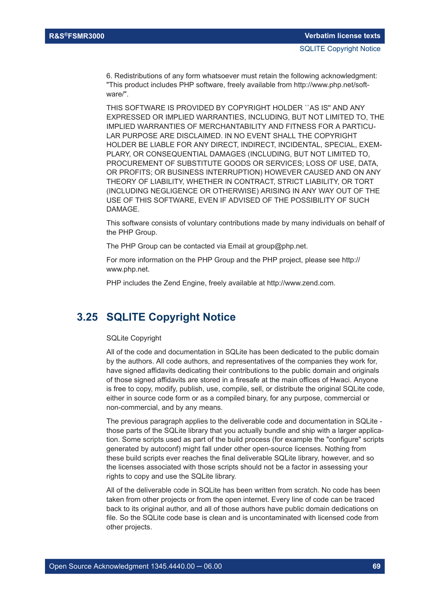6. Redistributions of any form whatsoever must retain the following acknowledgment: "This product includes PHP software, freely available from http://www.php.net/software/".

THIS SOFTWARE IS PROVIDED BY COPYRIGHT HOLDER ``AS IS'' AND ANY EXPRESSED OR IMPLIED WARRANTIES, INCLUDING, BUT NOT LIMITED TO, THE IMPLIED WARRANTIES OF MERCHANTABILITY AND FITNESS FOR A PARTICU-LAR PURPOSE ARE DISCLAIMED. IN NO EVENT SHALL THE COPYRIGHT HOLDER BE LIABLE FOR ANY DIRECT, INDIRECT, INCIDENTAL, SPECIAL, EXEM-PLARY, OR CONSEQUENTIAL DAMAGES (INCLUDING, BUT NOT LIMITED TO, PROCUREMENT OF SUBSTITUTE GOODS OR SERVICES; LOSS OF USE, DATA, OR PROFITS; OR BUSINESS INTERRUPTION) HOWEVER CAUSED AND ON ANY THEORY OF LIABILITY, WHETHER IN CONTRACT, STRICT LIABILITY, OR TORT (INCLUDING NEGLIGENCE OR OTHERWISE) ARISING IN ANY WAY OUT OF THE USE OF THIS SOFTWARE, EVEN IF ADVISED OF THE POSSIBILITY OF SUCH DAMAGE.

This software consists of voluntary contributions made by many individuals on behalf of the PHP Group.

The PHP Group can be contacted via Email at group@php.net.

For more information on the PHP Group and the PHP project, please see http:// www.php.net.

PHP includes the Zend Engine, freely available at http://www.zend.com.

## **3.25 SQLITE Copyright Notice**

### SQLite Copyright

All of the code and documentation in SQLite has been dedicated to the public domain by the authors. All code authors, and representatives of the companies they work for, have signed affidavits dedicating their contributions to the public domain and originals of those signed affidavits are stored in a firesafe at the main offices of Hwaci. Anyone is free to copy, modify, publish, use, compile, sell, or distribute the original SQLite code, either in source code form or as a compiled binary, for any purpose, commercial or non-commercial, and by any means.

The previous paragraph applies to the deliverable code and documentation in SQLite those parts of the SQLite library that you actually bundle and ship with a larger application. Some scripts used as part of the build process (for example the "configure" scripts generated by autoconf) might fall under other open-source licenses. Nothing from these build scripts ever reaches the final deliverable SQLite library, however, and so the licenses associated with those scripts should not be a factor in assessing your rights to copy and use the SQLite library.

All of the deliverable code in SQLite has been written from scratch. No code has been taken from other projects or from the open internet. Every line of code can be traced back to its original author, and all of those authors have public domain dedications on file. So the SQLite code base is clean and is uncontaminated with licensed code from other projects.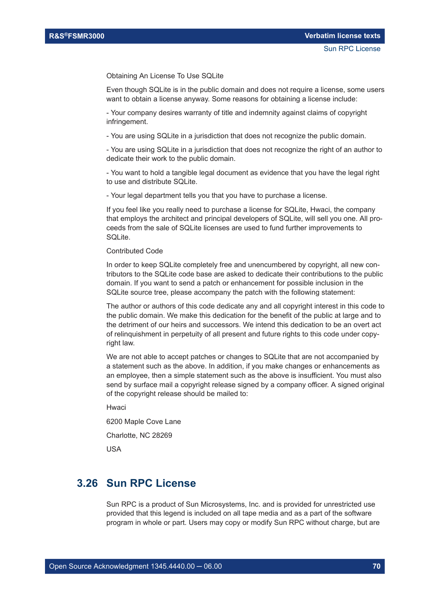Obtaining An License To Use SQLite

Even though SQLite is in the public domain and does not require a license, some users want to obtain a license anyway. Some reasons for obtaining a license include:

- Your company desires warranty of title and indemnity against claims of copyright infringement.

- You are using SQLite in a jurisdiction that does not recognize the public domain.

- You are using SQLite in a jurisdiction that does not recognize the right of an author to dedicate their work to the public domain.

- You want to hold a tangible legal document as evidence that you have the legal right to use and distribute SQLite.

- Your legal department tells you that you have to purchase a license.

If you feel like you really need to purchase a license for SQLite, Hwaci, the company that employs the architect and principal developers of SQLite, will sell you one. All proceeds from the sale of SQLite licenses are used to fund further improvements to SQLite.

## Contributed Code

In order to keep SQLite completely free and unencumbered by copyright, all new contributors to the SQLite code base are asked to dedicate their contributions to the public domain. If you want to send a patch or enhancement for possible inclusion in the SQLite source tree, please accompany the patch with the following statement:

The author or authors of this code dedicate any and all copyright interest in this code to the public domain. We make this dedication for the benefit of the public at large and to the detriment of our heirs and successors. We intend this dedication to be an overt act of relinquishment in perpetuity of all present and future rights to this code under copyright law.

We are not able to accept patches or changes to SQLite that are not accompanied by a statement such as the above. In addition, if you make changes or enhancements as an employee, then a simple statement such as the above is insufficient. You must also send by surface mail a copyright release signed by a company officer. A signed original of the copyright release should be mailed to:

Hwaci 6200 Maple Cove Lane Charlotte, NC 28269

USA

# **3.26 Sun RPC License**

Sun RPC is a product of Sun Microsystems, Inc. and is provided for unrestricted use provided that this legend is included on all tape media and as a part of the software program in whole or part. Users may copy or modify Sun RPC without charge, but are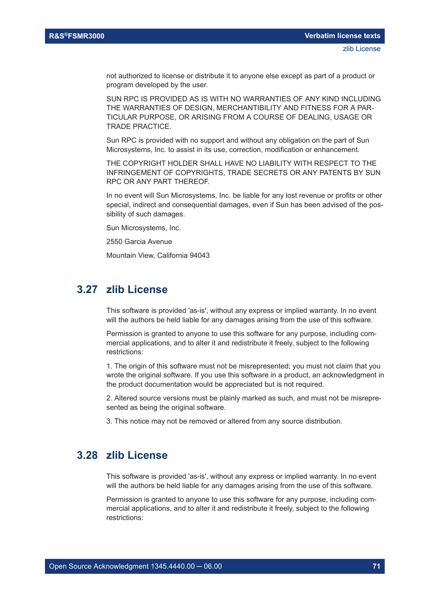not authorized to license or distribute it to anyone else except as part of a product or program developed by the user.

SUN RPC IS PROVIDED AS IS WITH NO WARRANTIES OF ANY KIND INCLUDING THE WARRANTIES OF DESIGN, MERCHANTIBILITY AND FITNESS FOR A PAR-TICULAR PURPOSE, OR ARISING FROM A COURSE OF DEALING, USAGE OR TRADE PRACTICE.

Sun RPC is provided with no support and without any obligation on the part of Sun Microsystems, Inc. to assist in its use, correction, modification or enhancement.

THE COPYRIGHT HOLDER SHALL HAVE NO LIABILITY WITH RESPECT TO THE INFRINGEMENT OF COPYRIGHTS, TRADE SECRETS OR ANY PATENTS BY SUN RPC OR ANY PART THEREOF.

In no event will Sun Microsystems, Inc. be liable for any lost revenue or profits or other special, indirect and consequential damages, even if Sun has been advised of the possibility of such damages.

Sun Microsystems, Inc.

2550 Garcia Avenue

Mountain View, California 94043

# **3.27 zlib License**

This software is provided 'as-is', without any express or implied warranty. In no event will the authors be held liable for any damages arising from the use of this software.

Permission is granted to anyone to use this software for any purpose, including commercial applications, and to alter it and redistribute it freely, subject to the following restrictions:

1. The origin of this software must not be misrepresented; you must not claim that you wrote the original software. If you use this software in a product, an acknowledgment in the product documentation would be appreciated but is not required.

2. Altered source versions must be plainly marked as such, and must not be misrepresented as being the original software.

3. This notice may not be removed or altered from any source distribution.

# **3.28 zlib License**

This software is provided 'as-is', without any express or implied warranty. In no event will the authors be held liable for any damages arising from the use of this software.

Permission is granted to anyone to use this software for any purpose, including commercial applications, and to alter it and redistribute it freely, subject to the following restrictions: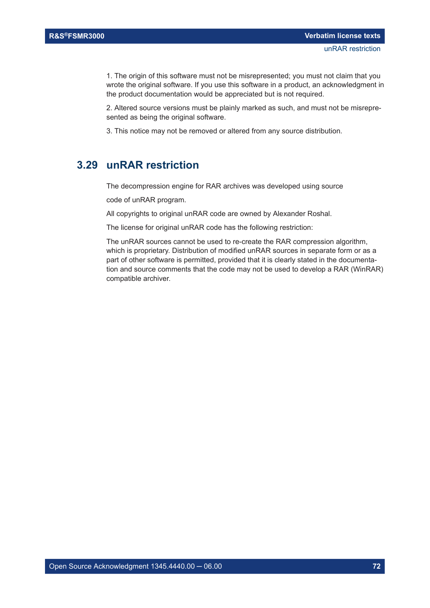1. The origin of this software must not be misrepresented; you must not claim that you wrote the original software. If you use this software in a product, an acknowledgment in the product documentation would be appreciated but is not required.

2. Altered source versions must be plainly marked as such, and must not be misrepresented as being the original software.

3. This notice may not be removed or altered from any source distribution.

## **3.29 unRAR restriction**

The decompression engine for RAR archives was developed using source

code of unRAR program.

All copyrights to original unRAR code are owned by Alexander Roshal.

The license for original unRAR code has the following restriction:

The unRAR sources cannot be used to re-create the RAR compression algorithm, which is proprietary. Distribution of modified unRAR sources in separate form or as a part of other software is permitted, provided that it is clearly stated in the documentation and source comments that the code may not be used to develop a RAR (WinRAR) compatible archiver.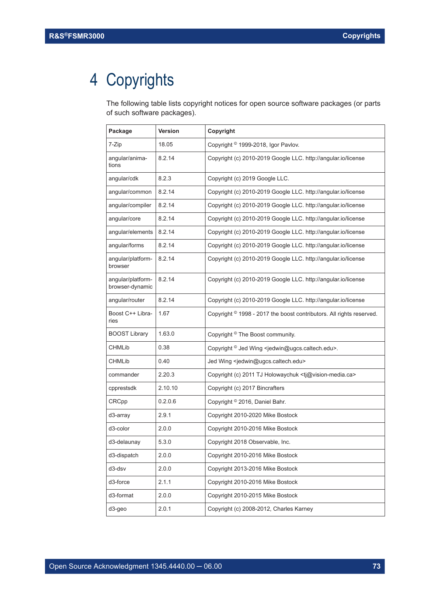## 4 Copyrights

The following table lists copyright notices for open source software packages (or parts of such software packages).

| Package                              | <b>Version</b> | Copyright                                                                       |
|--------------------------------------|----------------|---------------------------------------------------------------------------------|
| 7-Zip                                | 18.05          | Copyright <sup>©</sup> 1999-2018, Igor Pavlov.                                  |
| angular/anima-<br>tions              | 8.2.14         | Copyright (c) 2010-2019 Google LLC. http://angular.io/license                   |
| angular/cdk                          | 8.2.3          | Copyright (c) 2019 Google LLC.                                                  |
| angular/common                       | 8.2.14         | Copyright (c) 2010-2019 Google LLC. http://angular.io/license                   |
| angular/compiler                     | 8.2.14         | Copyright (c) 2010-2019 Google LLC. http://angular.io/license                   |
| angular/core                         | 8.2.14         | Copyright (c) 2010-2019 Google LLC. http://angular.io/license                   |
| angular/elements                     | 8.2.14         | Copyright (c) 2010-2019 Google LLC. http://angular.io/license                   |
| angular/forms                        | 8.2.14         | Copyright (c) 2010-2019 Google LLC. http://angular.io/license                   |
| angular/platform-<br>browser         | 8.2.14         | Copyright (c) 2010-2019 Google LLC. http://angular.io/license                   |
| angular/platform-<br>browser-dynamic | 8.2.14         | Copyright (c) 2010-2019 Google LLC. http://angular.io/license                   |
| angular/router                       | 8.2.14         | Copyright (c) 2010-2019 Google LLC. http://angular.io/license                   |
| Boost C++ Libra-<br>ries             | 1.67           | Copyright <sup>©</sup> 1998 - 2017 the boost contributors. All rights reserved. |
| <b>BOOST Library</b>                 | 1.63.0         | Copyright <sup>©</sup> The Boost community.                                     |
| CHMLib                               | 0.38           | Copyright © Jed Wing <jedwin@ugcs.caltech.edu>.</jedwin@ugcs.caltech.edu>       |
| <b>CHMLib</b>                        | 0.40           | Jed Wing <jedwin@ugcs.caltech.edu></jedwin@ugcs.caltech.edu>                    |
| commander                            | 2.20.3         | Copyright (c) 2011 TJ Holowaychuk <tj@vision-media.ca></tj@vision-media.ca>     |
| cpprestsdk                           | 2.10.10        | Copyright (c) 2017 Bincrafters                                                  |
| <b>CRCpp</b>                         | 0.2.0.6        | Copyright <sup>©</sup> 2016, Daniel Bahr.                                       |
| d3-array                             | 2.9.1          | Copyright 2010-2020 Mike Bostock                                                |
| d3-color                             | 2.0.0          | Copyright 2010-2016 Mike Bostock                                                |
| d3-delaunay                          | 5.3.0          | Copyright 2018 Observable, Inc.                                                 |
| d3-dispatch                          | 2.0.0          | Copyright 2010-2016 Mike Bostock                                                |
| d3-dsv                               | 2.0.0          | Copyright 2013-2016 Mike Bostock                                                |
| d3-force                             | 2.1.1          | Copyright 2010-2016 Mike Bostock                                                |
| d3-format                            | 2.0.0          | Copyright 2010-2015 Mike Bostock                                                |
| d3-geo                               | 2.0.1          | Copyright (c) 2008-2012, Charles Karney                                         |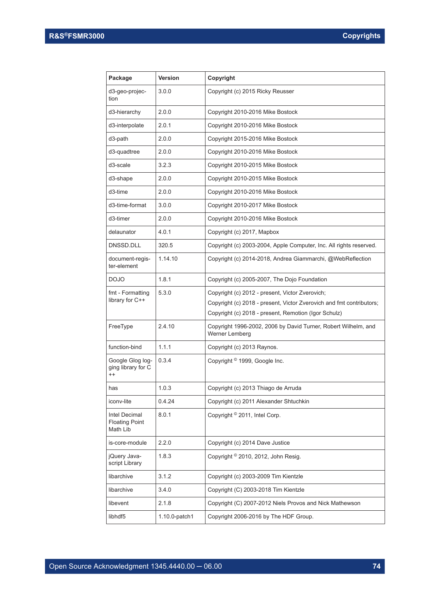| Package                                            | <b>Version</b> | Copyright                                                                        |
|----------------------------------------------------|----------------|----------------------------------------------------------------------------------|
| d3-geo-projec-<br>tion                             | 3.0.0          | Copyright (c) 2015 Ricky Reusser                                                 |
| d3-hierarchy                                       | 2.0.0          | Copyright 2010-2016 Mike Bostock                                                 |
| d3-interpolate                                     | 2.0.1          | Copyright 2010-2016 Mike Bostock                                                 |
| d3-path                                            | 2.0.0          | Copyright 2015-2016 Mike Bostock                                                 |
| d3-quadtree                                        | 2.0.0          | Copyright 2010-2016 Mike Bostock                                                 |
| d3-scale                                           | 3.2.3          | Copyright 2010-2015 Mike Bostock                                                 |
| d3-shape                                           | 2.0.0          | Copyright 2010-2015 Mike Bostock                                                 |
| d3-time                                            | 2.0.0          | Copyright 2010-2016 Mike Bostock                                                 |
| d3-time-format                                     | 3.0.0          | Copyright 2010-2017 Mike Bostock                                                 |
| d3-timer                                           | 2.0.0          | Copyright 2010-2016 Mike Bostock                                                 |
| delaunator                                         | 4.0.1          | Copyright (c) 2017, Mapbox                                                       |
| DNSSD.DLL                                          | 320.5          | Copyright (c) 2003-2004, Apple Computer, Inc. All rights reserved.               |
| document-regis-<br>ter-element                     | 1.14.10        | Copyright (c) 2014-2018, Andrea Giammarchi, @WebReflection                       |
| <b>DOJO</b>                                        | 1.8.1          | Copyright (c) 2005-2007, The Dojo Foundation                                     |
| fmt - Formatting                                   | 5.3.0          | Copyright (c) 2012 - present, Victor Zverovich;                                  |
| library for C++                                    |                | Copyright (c) 2018 - present, Victor Zverovich and fmt contributors;             |
|                                                    |                | Copyright (c) 2018 - present, Remotion (Igor Schulz)                             |
| FreeType                                           | 2.4.10         | Copyright 1996-2002, 2006 by David Turner, Robert Wilhelm, and<br>Werner Lemberg |
| function-bind                                      | 1.1.1          | Copyright (c) 2013 Raynos.                                                       |
| Google Glog log-<br>ging library for C<br>$^{++}$  | 0.3.4          | Copyright <sup>©</sup> 1999, Google Inc.                                         |
| has                                                | 1.0.3          | Copyright (c) 2013 Thiago de Arruda                                              |
| iconv-lite                                         | 0.4.24         | Copyright (c) 2011 Alexander Shtuchkin                                           |
| Intel Decimal<br><b>Floating Point</b><br>Math Lib | 8.0.1          | Copyright <sup>©</sup> 2011, Intel Corp.                                         |
| is-core-module                                     | 2.2.0          | Copyright (c) 2014 Dave Justice                                                  |
| jQuery Java-<br>script Library                     | 1.8.3          | Copyright <sup>©</sup> 2010, 2012, John Resig.                                   |
| libarchive                                         | 3.1.2          | Copyright (c) 2003-2009 Tim Kientzle                                             |
| libarchive                                         | 3.4.0          | Copyright (C) 2003-2018 Tim Kientzle                                             |
| libevent                                           | 2.1.8          | Copyright (C) 2007-2012 Niels Provos and Nick Mathewson                          |
| libhdf5                                            | 1.10.0-patch1  | Copyright 2006-2016 by The HDF Group.                                            |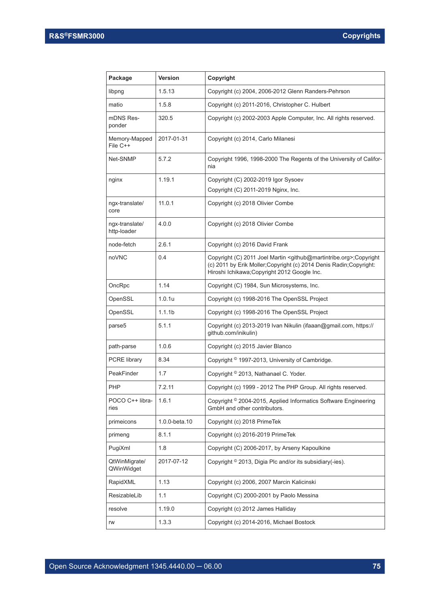| Package                       | <b>Version</b>     | Copyright                                                                                                                                                                                                           |
|-------------------------------|--------------------|---------------------------------------------------------------------------------------------------------------------------------------------------------------------------------------------------------------------|
| libpng                        | 1.5.13             | Copyright (c) 2004, 2006-2012 Glenn Randers-Pehrson                                                                                                                                                                 |
| matio                         | 1.5.8              | Copyright (c) 2011-2016, Christopher C. Hulbert                                                                                                                                                                     |
| mDNS Res-<br>ponder           | 320.5              | Copyright (c) 2002-2003 Apple Computer, Inc. All rights reserved.                                                                                                                                                   |
| Memory-Mapped<br>File C++     | 2017-01-31         | Copyright (c) 2014, Carlo Milanesi                                                                                                                                                                                  |
| Net-SNMP                      | 5.7.2              | Copyright 1996, 1998-2000 The Regents of the University of Califor-<br>nia                                                                                                                                          |
| nginx                         | 1.19.1             | Copyright (C) 2002-2019 Igor Sysoev<br>Copyright (C) 2011-2019 Nginx, Inc.                                                                                                                                          |
| ngx-translate/<br>core        | 11.0.1             | Copyright (c) 2018 Olivier Combe                                                                                                                                                                                    |
| ngx-translate/<br>http-loader | 4.0.0              | Copyright (c) 2018 Olivier Combe                                                                                                                                                                                    |
| node-fetch                    | 2.6.1              | Copyright (c) 2016 David Frank                                                                                                                                                                                      |
| noVNC                         | 0.4                | Copyright (C) 2011 Joel Martin <github@martintribe.org>;Copyright<br/>(c) 2011 by Erik Moller; Copyright (c) 2014 Denis Radin; Copyright:<br/>Hiroshi Ichikawa; Copyright 2012 Google Inc.</github@martintribe.org> |
| OncRpc                        | 1.14               | Copyright (C) 1984, Sun Microsystems, Inc.                                                                                                                                                                          |
| OpenSSL                       | 1.0.1u             | Copyright (c) 1998-2016 The OpenSSL Project                                                                                                                                                                         |
| OpenSSL                       | 1.1.1 <sub>b</sub> | Copyright (c) 1998-2016 The OpenSSL Project                                                                                                                                                                         |
| parse5                        | 5.1.1              | Copyright (c) 2013-2019 Ivan Nikulin (ifaaan@gmail.com, https://<br>github.com/inikulin)                                                                                                                            |
| path-parse                    | 1.0.6              | Copyright (c) 2015 Javier Blanco                                                                                                                                                                                    |
| PCRE library                  | 8.34               | Copyright <sup>©</sup> 1997-2013, University of Cambridge.                                                                                                                                                          |
| PeakFinder                    | 1.7                | Copyright <sup>©</sup> 2013, Nathanael C. Yoder.                                                                                                                                                                    |
| <b>PHP</b>                    | 7.2.11             | Copyright (c) 1999 - 2012 The PHP Group. All rights reserved.                                                                                                                                                       |
| POCO C++ libra-<br>ries       | 1.6.1              | Copyright <sup>©</sup> 2004-2015, Applied Informatics Software Engineering<br>GmbH and other contributors.                                                                                                          |
| primeicons                    | 1.0.0-beta.10      | Copyright (c) 2018 PrimeTek                                                                                                                                                                                         |
| primeng                       | 8.1.1              | Copyright (c) 2016-2019 PrimeTek                                                                                                                                                                                    |
| PugiXml                       | 1.8                | Copyright (C) 2006-2017, by Arseny Kapoulkine                                                                                                                                                                       |
| QtWinMigrate/<br>QWinWidget   | 2017-07-12         | Copyright <sup>©</sup> 2013, Digia Plc and/or its subsidiary(-ies).                                                                                                                                                 |
| RapidXML                      | 1.13               | Copyright (c) 2006, 2007 Marcin Kalicinski                                                                                                                                                                          |
| ResizableLib                  | 1.1                | Copyright (C) 2000-2001 by Paolo Messina                                                                                                                                                                            |
| resolve                       | 1.19.0             | Copyright (c) 2012 James Halliday                                                                                                                                                                                   |
| rw                            | 1.3.3              | Copyright (c) 2014-2016, Michael Bostock                                                                                                                                                                            |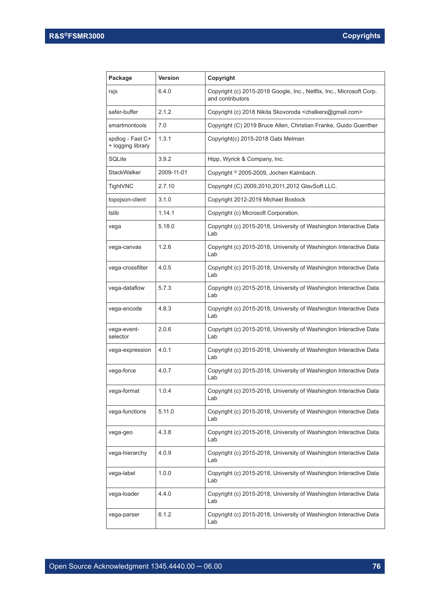| Package                               | <b>Version</b> | Copyright                                                                                |
|---------------------------------------|----------------|------------------------------------------------------------------------------------------|
| rxjs                                  | 6.4.0          | Copyright (c) 2015-2018 Google, Inc., Netflix, Inc., Microsoft Corp.<br>and contributors |
| safer-buffer                          | 2.1.2          | Copyright (c) 2018 Nikita Skovoroda <chalkerx@gmail.com></chalkerx@gmail.com>            |
| smartmontools                         | 7.0            | Copyright (C) 2019 Bruce Allen, Christian Franke, Guido Guenther                         |
| spdlog - Fast C+<br>+ logging library | 1.3.1          | Copyright(c) 2015-2018 Gabi Melman                                                       |
| SQLite                                | 3.9.2          | Hipp, Wyrick & Company, Inc.                                                             |
| <b>StackWalker</b>                    | 2009-11-01     | Copyright <sup>©</sup> 2005-2009, Jochen Kalmbach.                                       |
| <b>TightVNC</b>                       | 2.7.10         | Copyright (C) 2009, 2010, 2011, 2012 GlavSoft LLC.                                       |
| topojson-client                       | 3.1.0          | Copyright 2012-2019 Michael Bostock                                                      |
| tslib                                 | 1.14.1         | Copyright (c) Microsoft Corporation.                                                     |
| vega                                  | 5.18.0         | Copyright (c) 2015-2018, University of Washington Interactive Data<br>Lab                |
| vega-canvas                           | 1.2.6          | Copyright (c) 2015-2018, University of Washington Interactive Data<br>Lab                |
| vega-crossfilter                      | 4.0.5          | Copyright (c) 2015-2018, University of Washington Interactive Data<br>Lab                |
| vega-dataflow                         | 5.7.3          | Copyright (c) 2015-2018, University of Washington Interactive Data<br>Lab                |
| vega-encode                           | 4.8.3          | Copyright (c) 2015-2018, University of Washington Interactive Data<br>Lab                |
| vega-event-<br>selector               | 2.0.6          | Copyright (c) 2015-2018, University of Washington Interactive Data<br>Lab                |
| vega-expression                       | 4.0.1          | Copyright (c) 2015-2018, University of Washington Interactive Data<br>Lab                |
| vega-force                            | 4.0.7          | Copyright (c) 2015-2018, University of Washington Interactive Data<br>Lab                |
| vega-format                           | 1.0.4          | Copyright (c) 2015-2018, University of Washington Interactive Data<br>Lab                |
| vega-functions                        | 5.11.0         | Copyright (c) 2015-2018, University of Washington Interactive Data<br>Lab                |
| vega-geo                              | 4.3.8          | Copyright (c) 2015-2018, University of Washington Interactive Data<br>Lab                |
| vega-hierarchy                        | 4.0.9          | Copyright (c) 2015-2018, University of Washington Interactive Data<br>Lab                |
| vega-label                            | 1.0.0          | Copyright (c) 2015-2018, University of Washington Interactive Data<br>Lab                |
| vega-loader                           | 4.4.0          | Copyright (c) 2015-2018, University of Washington Interactive Data<br>Lab                |
| vega-parser                           | 6.1.2          | Copyright (c) 2015-2018, University of Washington Interactive Data<br>Lab                |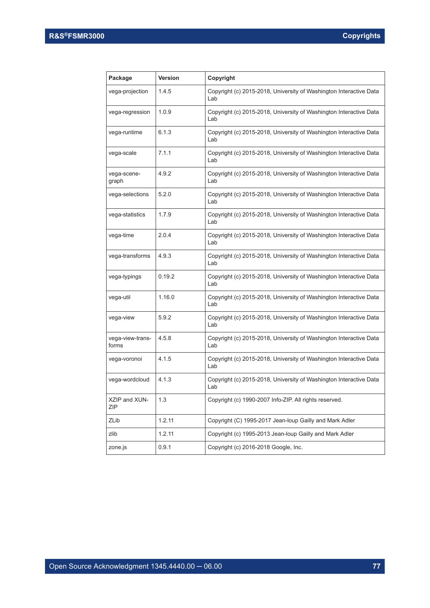| Package                   | <b>Version</b> | Copyright                                                                 |
|---------------------------|----------------|---------------------------------------------------------------------------|
| vega-projection           | 1.4.5          | Copyright (c) 2015-2018, University of Washington Interactive Data<br>Lab |
| vega-regression           | 1.0.9          | Copyright (c) 2015-2018, University of Washington Interactive Data<br>Lab |
| vega-runtime              | 6.1.3          | Copyright (c) 2015-2018, University of Washington Interactive Data<br>Lab |
| vega-scale                | 7.1.1          | Copyright (c) 2015-2018, University of Washington Interactive Data<br>Lab |
| vega-scene-<br>graph      | 4.9.2          | Copyright (c) 2015-2018, University of Washington Interactive Data<br>Lab |
| vega-selections           | 5.2.0          | Copyright (c) 2015-2018, University of Washington Interactive Data<br>Lab |
| vega-statistics           | 1.7.9          | Copyright (c) 2015-2018, University of Washington Interactive Data<br>Lab |
| vega-time                 | 2.0.4          | Copyright (c) 2015-2018, University of Washington Interactive Data<br>Lab |
| vega-transforms           | 4.9.3          | Copyright (c) 2015-2018, University of Washington Interactive Data<br>Lab |
| vega-typings              | 0.19.2         | Copyright (c) 2015-2018, University of Washington Interactive Data<br>Lab |
| vega-util                 | 1.16.0         | Copyright (c) 2015-2018, University of Washington Interactive Data<br>Lab |
| vega-view                 | 5.9.2          | Copyright (c) 2015-2018, University of Washington Interactive Data<br>Lab |
| vega-view-trans-<br>forms | 4.5.8          | Copyright (c) 2015-2018, University of Washington Interactive Data<br>Lab |
| vega-voronoi              | 4.1.5          | Copyright (c) 2015-2018, University of Washington Interactive Data<br>Lab |
| vega-wordcloud            | 4.1.3          | Copyright (c) 2015-2018, University of Washington Interactive Data<br>Lab |
| XZIP and XUN-<br>ZIP      | 1.3            | Copyright (c) 1990-2007 Info-ZIP. All rights reserved.                    |
| ZLib                      | 1.2.11         | Copyright (C) 1995-2017 Jean-loup Gailly and Mark Adler                   |
| zlib                      | 1.2.11         | Copyright (c) 1995-2013 Jean-loup Gailly and Mark Adler                   |
| zone.js                   | 0.9.1          | Copyright (c) 2016-2018 Google, Inc.                                      |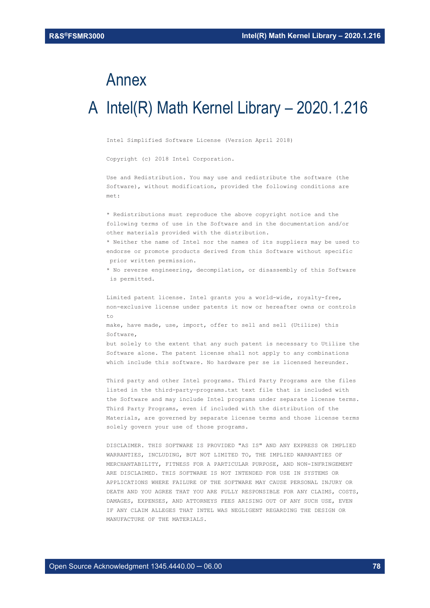## Annex A Intel(R) Math Kernel Library – 2020.1.216

Intel Simplified Software License (Version April 2018)

Copyright (c) 2018 Intel Corporation.

Use and Redistribution. You may use and redistribute the software (the Software), without modification, provided the following conditions are  $m \ominus$  +  $\cdot$ 

\* Redistributions must reproduce the above copyright notice and the following terms of use in the Software and in the documentation and/or other materials provided with the distribution.

\* Neither the name of Intel nor the names of its suppliers may be used to endorse or promote products derived from this Software without specific prior written permission.

\* No reverse engineering, decompilation, or disassembly of this Software is permitted.

Limited patent license. Intel grants you a world-wide, royalty-free, non-exclusive license under patents it now or hereafter owns or controls to

make, have made, use, import, offer to sell and sell (Utilize) this Software,

but solely to the extent that any such patent is necessary to Utilize the Software alone. The patent license shall not apply to any combinations which include this software. No hardware per se is licensed hereunder.

Third party and other Intel programs. Third Party Programs are the files listed in the third-party-programs.txt text file that is included with the Software and may include Intel programs under separate license terms. Third Party Programs, even if included with the distribution of the Materials, are governed by separate license terms and those license terms solely govern your use of those programs.

DISCLAIMER. THIS SOFTWARE IS PROVIDED "AS IS" AND ANY EXPRESS OR IMPLIED WARRANTIES, INCLUDING, BUT NOT LIMITED TO, THE IMPLIED WARRANTIES OF MERCHANTABILITY, FITNESS FOR A PARTICULAR PURPOSE, AND NON-INFRINGEMENT ARE DISCLAIMED. THIS SOFTWARE IS NOT INTENDED FOR USE IN SYSTEMS OR APPLICATIONS WHERE FAILURE OF THE SOFTWARE MAY CAUSE PERSONAL INJURY OR DEATH AND YOU AGREE THAT YOU ARE FULLY RESPONSIBLE FOR ANY CLAIMS, COSTS, DAMAGES, EXPENSES, AND ATTORNEYS FEES ARISING OUT OF ANY SUCH USE, EVEN IF ANY CLAIM ALLEGES THAT INTEL WAS NEGLIGENT REGARDING THE DESIGN OR MANUFACTURE OF THE MATERIALS.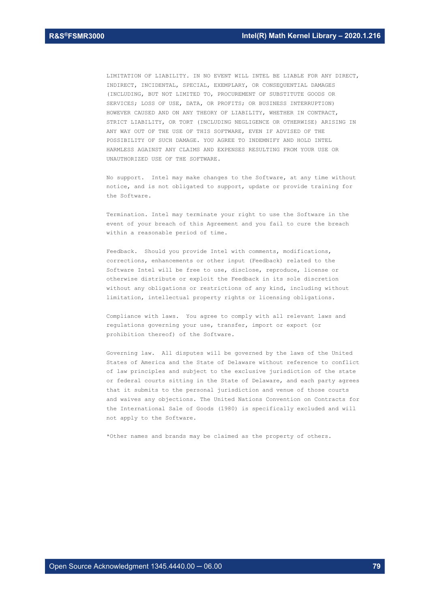LIMITATION OF LIABILITY. IN NO EVENT WILL INTEL BE LIABLE FOR ANY DIRECT, INDIRECT, INCIDENTAL, SPECIAL, EXEMPLARY, OR CONSEQUENTIAL DAMAGES (INCLUDING, BUT NOT LIMITED TO, PROCUREMENT OF SUBSTITUTE GOODS OR SERVICES; LOSS OF USE, DATA, OR PROFITS; OR BUSINESS INTERRUPTION) HOWEVER CAUSED AND ON ANY THEORY OF LIABILITY, WHETHER IN CONTRACT, STRICT LIABILITY, OR TORT (INCLUDING NEGLIGENCE OR OTHERWISE) ARISING IN ANY WAY OUT OF THE USE OF THIS SOFTWARE, EVEN IF ADVISED OF THE POSSIBILITY OF SUCH DAMAGE. YOU AGREE TO INDEMNIFY AND HOLD INTEL HARMLESS AGAINST ANY CLAIMS AND EXPENSES RESULTING FROM YOUR USE OR UNAUTHORIZED USE OF THE SOFTWARE.

No support. Intel may make changes to the Software, at any time without notice, and is not obligated to support, update or provide training for the Software.

Termination. Intel may terminate your right to use the Software in the event of your breach of this Agreement and you fail to cure the breach within a reasonable period of time.

Feedback. Should you provide Intel with comments, modifications, corrections, enhancements or other input (Feedback) related to the Software Intel will be free to use, disclose, reproduce, license or otherwise distribute or exploit the Feedback in its sole discretion without any obligations or restrictions of any kind, including without limitation, intellectual property rights or licensing obligations.

Compliance with laws. You agree to comply with all relevant laws and regulations governing your use, transfer, import or export (or prohibition thereof) of the Software.

Governing law. All disputes will be governed by the laws of the United States of America and the State of Delaware without reference to conflict of law principles and subject to the exclusive jurisdiction of the state or federal courts sitting in the State of Delaware, and each party agrees that it submits to the personal jurisdiction and venue of those courts and waives any objections. The United Nations Convention on Contracts for the International Sale of Goods (1980) is specifically excluded and will not apply to the Software.

\*Other names and brands may be claimed as the property of others.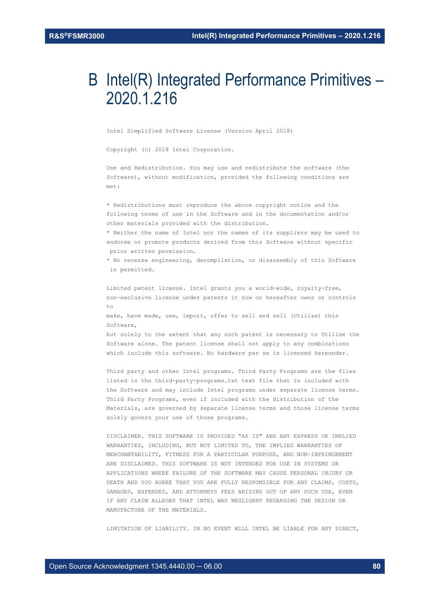## B Intel(R) Integrated Performance Primitives – 2020.1.216

Intel Simplified Software License (Version April 2018)

Copyright (c) 2018 Intel Corporation.

Use and Redistribution. You may use and redistribute the software (the Software), without modification, provided the following conditions are met:

\* Redistributions must reproduce the above copyright notice and the following terms of use in the Software and in the documentation and/or other materials provided with the distribution.

\* Neither the name of Intel nor the names of its suppliers may be used to endorse or promote products derived from this Software without specific prior written permission.

\* No reverse engineering, decompilation, or disassembly of this Software is permitted.

Limited patent license. Intel grants you a world-wide, royalty-free, non-exclusive license under patents it now or hereafter owns or controls  $t \circ$ 

make, have made, use, import, offer to sell and sell (Utilize) this Software,

but solely to the extent that any such patent is necessary to Utilize the Software alone. The patent license shall not apply to any combinations which include this software. No hardware per se is licensed hereunder.

Third party and other Intel programs. Third Party Programs are the files listed in the third-party-programs.txt text file that is included with the Software and may include Intel programs under separate license terms. Third Party Programs, even if included with the distribution of the Materials, are governed by separate license terms and those license terms solely govern your use of those programs.

DISCLAIMER. THIS SOFTWARE IS PROVIDED "AS IS" AND ANY EXPRESS OR IMPLIED WARRANTIES, INCLUDING, BUT NOT LIMITED TO, THE IMPLIED WARRANTIES OF MERCHANTABILITY, FITNESS FOR A PARTICULAR PURPOSE, AND NON-INFRINGEMENT ARE DISCLAIMED. THIS SOFTWARE IS NOT INTENDED FOR USE IN SYSTEMS OR APPLICATIONS WHERE FAILURE OF THE SOFTWARE MAY CAUSE PERSONAL INJURY OR DEATH AND YOU AGREE THAT YOU ARE FULLY RESPONSIBLE FOR ANY CLAIMS, COSTS, DAMAGES, EXPENSES, AND ATTORNEYS FEES ARISING OUT OF ANY SUCH USE, EVEN IF ANY CLAIM ALLEGES THAT INTEL WAS NEGLIGENT REGARDING THE DESIGN OR MANUFACTURE OF THE MATERIALS.

LIMITATION OF LIABILITY. IN NO EVENT WILL INTEL BE LIABLE FOR ANY DIRECT,